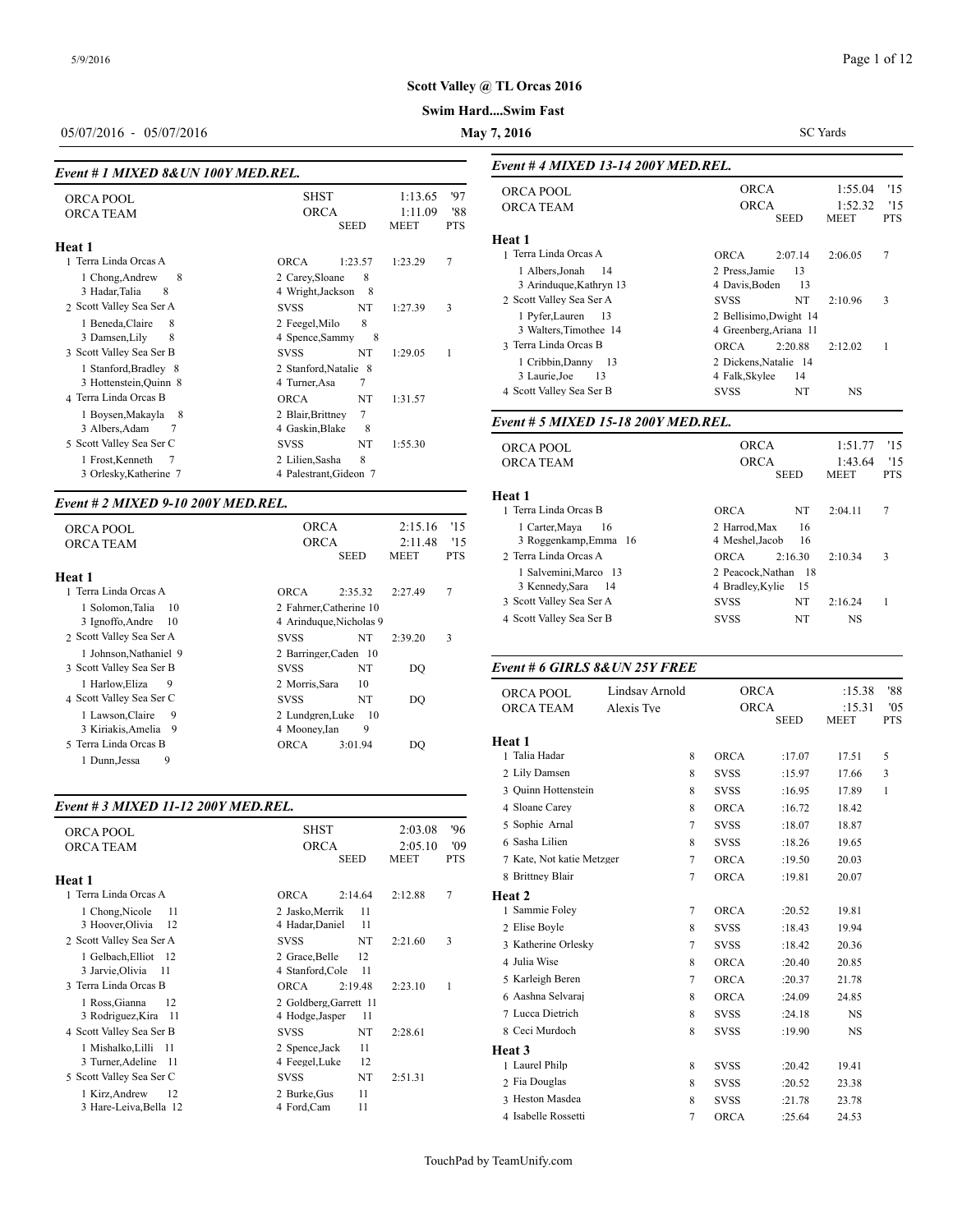# **Swim Hard....Swim Fast**

# 05/07/2016 - 05/07/2016 **May 7, 2016**

SC Yards

| Event # 1 MIXED 8& UN 100Y MED.REL.                                                                                                                                                                                                                                |                                                                                                                                                                                                                                                                                   |                          | Event #4 MIXE                                                                                                                                                                                                      |
|--------------------------------------------------------------------------------------------------------------------------------------------------------------------------------------------------------------------------------------------------------------------|-----------------------------------------------------------------------------------------------------------------------------------------------------------------------------------------------------------------------------------------------------------------------------------|--------------------------|--------------------------------------------------------------------------------------------------------------------------------------------------------------------------------------------------------------------|
| <b>ORCA POOL</b><br><b>ORCA TEAM</b>                                                                                                                                                                                                                               | <b>SHST</b><br>1:13.65<br><b>ORCA</b><br>1:11.09<br><b>SEED</b><br><b>MEET</b>                                                                                                                                                                                                    | '97<br>'88<br><b>PTS</b> | <b>ORCA POOL</b><br><b>ORCA TEAM</b>                                                                                                                                                                               |
| Heat 1<br>1 Terra Linda Orcas A<br>8<br>1 Chong, Andrew<br>8<br>3 Hadar, Talia<br>2 Scott Valley Sea Ser A<br>1 Beneda, Claire<br>8<br>8<br>3 Damsen, Lily<br>3 Scott Valley Sea Ser B<br>1 Stanford, Bradley 8<br>3 Hottenstein, Quinn 8<br>4 Terra Linda Orcas B | 1:23.57<br>1:23.29<br><b>ORCA</b><br>8<br>2 Carey, Sloane<br>4 Wright, Jackson<br>8<br><b>SVSS</b><br>NT<br>1:27.39<br>8<br>2 Feegel, Milo<br>4 Spence, Sammy<br>8<br><b>SVSS</b><br>NT<br>1:29.05<br>2 Stanford, Natalie 8<br>7<br>4 Turner, Asa<br><b>ORCA</b><br>NT<br>1:31.57 | 7<br>3<br>1              | <b>Heat 1</b><br>1 Terra Linda Orc<br>1 Albers, Jonah<br>3 Arinduque, K<br>2 Scott Valley Sea<br>1 Pyfer, Lauren<br>3 Walters, Time<br>3 Terra Linda Orc<br>1 Cribbin, Danı<br>3 Laurie, Joe<br>4 Scott Valley Sea |
| 1 Boysen, Makayla<br>-8<br>3 Albers, Adam<br>7                                                                                                                                                                                                                     | 7<br>2 Blair, Brittney<br>4 Gaskin, Blake<br>8                                                                                                                                                                                                                                    |                          | Event # 5 MIXE                                                                                                                                                                                                     |
| 5 Scott Valley Sea Ser C<br>1 Frost, Kenneth<br>7<br>3 Orlesky, Katherine 7                                                                                                                                                                                        | <b>SVSS</b><br>NT<br>1:55.30<br>8<br>2 Lilien, Sasha<br>4 Palestrant, Gideon 7                                                                                                                                                                                                    |                          | ORCA POOL<br><b>ORCA TEAM</b>                                                                                                                                                                                      |

#### *Event # 2 MIXED 9-10 200Y MED.REL.*

| LICIU II 4 MIZLD 7-10 4001 MLD.ILL.                                                                            |                                                                                                   |                                   |                          | Terra Linda Orcas B                                                                             |                              |   | <b>ORCA</b>                                    | NT                                    | 2:04.11              |
|----------------------------------------------------------------------------------------------------------------|---------------------------------------------------------------------------------------------------|-----------------------------------|--------------------------|-------------------------------------------------------------------------------------------------|------------------------------|---|------------------------------------------------|---------------------------------------|----------------------|
| ORCA POOL<br><b>ORCA TEAM</b>                                                                                  | <b>ORCA</b><br><b>ORCA</b><br><b>SEED</b>                                                         | 2:15.16<br>2:11.48<br><b>MEET</b> | '15<br>'15<br><b>PTS</b> | 1 Carter, Maya<br>3 Roggenkamp, Emma 16<br>2 Terra Linda Orcas A                                | -16                          |   | 2 Harrod.Max<br>4 Meshel, Jacob<br><b>ORCA</b> | 16<br>16<br>2:16.30                   | 2:10.34              |
| Heat 1<br>1 Terra Linda Orcas A<br>1 Solomon, Talia 10<br>3 Ignoffo, Andre<br>- 10<br>2 Scott Valley Sea Ser A | <b>ORCA</b><br>2:35.32<br>2 Fahrner, Catherine 10<br>4 Arinduque, Nicholas 9<br>NT<br><b>SVSS</b> | 2:27.49<br>2:39.20                | 7<br>3                   | 1 Salvemini.Marco 13<br>3 Kennedy, Sara<br>3 Scott Valley Sea Ser A<br>4 Scott Valley Sea Ser B | - 14                         |   | 4 Bradley, Kylie<br><b>SVSS</b><br><b>SVSS</b> | 2 Peacock.Nathan 18<br>15<br>NT<br>NT | 2:16.24<br><b>NS</b> |
| 1 Johnson, Nathaniel 9<br>3 Scott Valley Sea Ser B<br>1 Harlow.Eliza<br>-9<br>4 Scott Valley Sea Ser C         | 2 Barringer, Caden 10<br>NT<br><b>SVSS</b><br>10<br>2 Morris.Sara<br>NT<br><b>SVSS</b>            | DO<br>DQ                          |                          | Event # 6 GIRLS 8& UN 25Y FREE<br>ORCA POOL<br><b>ORCA TEAM</b>                                 | Lindsay Arnold<br>Alexis Tve |   | <b>ORCA</b><br><b>ORCA</b>                     |                                       | :15.38<br>:15.31     |
| 1 Lawson, Claire<br>- 9<br>3 Kiriakis, Amelia 9<br>5 Terra Linda Orcas B<br>9<br>1 Dunn.Jessa                  | 10<br>2 Lundgren, Luke<br>9<br>4 Mooney, Ian<br><b>ORCA</b><br>3:01.94                            | DQ                                |                          | Heat 1<br>Talia Hadar                                                                           |                              | 8 | <b>ORCA</b>                                    | <b>SEED</b><br>:17.07                 | <b>MEET</b><br>17.51 |

#### *Event # 3 MIXED 11-12 200Y MED.REL.*

| <b>ORCA POOL</b><br><b>ORCA TEAM</b><br>Heat 1 | <b>SHST</b><br><b>ORCA</b><br><b>SEED</b> | '96<br>2:03.08<br>2:05.10<br>'09<br><b>MEET</b><br><b>PTS</b> | 5 Sophie Arnal<br>6 Sasha Lilien<br>7 Kate, Not katie l<br>8 Brittney Blair |
|------------------------------------------------|-------------------------------------------|---------------------------------------------------------------|-----------------------------------------------------------------------------|
| 1 Terra Linda Orcas A                          | <b>ORCA</b><br>2:14.64                    | 7<br>2:12.88                                                  | <b>Heat 2</b>                                                               |
| 1 Chong, Nicole<br>11                          | 2 Jasko, Merrik<br>11                     |                                                               | 1 Sammie Foley                                                              |
| 3 Hoover, Olivia<br>12                         | 11<br>4 Hadar, Daniel                     |                                                               | 2 Elise Boyle                                                               |
| 2 Scott Valley Sea Ser A                       | NT<br><b>SVSS</b>                         | 3<br>2:21.60                                                  | 3 Katherine Orlesl                                                          |
| 1 Gelbach, Elliot<br>- 12                      | 12<br>2 Grace, Belle                      |                                                               | 4 Julia Wise                                                                |
| 3 Jarvie, Olivia<br>-11                        | 4 Stanford, Cole<br>11                    |                                                               | 5 Karleigh Beren                                                            |
| 3 Terra Linda Orcas B                          | <b>ORCA</b><br>2:19.48                    | 2:23.10<br>1                                                  |                                                                             |
| 1 Ross, Gianna<br>12                           | 2 Goldberg, Garrett 11                    |                                                               | 6 Aashna Selvaraj                                                           |
| 3 Rodriguez, Kira<br>- 11                      | 4 Hodge, Jasper<br>11                     |                                                               | 7 Lucca Dietrich                                                            |
| 4 Scott Valley Sea Ser B                       | NT<br><b>SVSS</b>                         | 2:28.61                                                       | 8 Ceci Murdoch                                                              |
| 1 Mishalko, Lilli<br>-11                       | 11<br>2 Spence, Jack                      |                                                               | Heat 3                                                                      |
| 3 Turner, Adeline<br>- 11                      | 12<br>4 Feegel, Luke                      |                                                               | 1 Laurel Philp                                                              |
| 5 Scott Valley Sea Ser C                       | <b>SVSS</b><br>NT                         | 2:51.31                                                       | 2 Fia Douglas                                                               |
| 12<br>1 Kirz, Andrew                           | 11<br>2 Burke, Gus                        |                                                               | 3 Heston Masdea                                                             |
| 3 Hare-Leiva, Bella 12                         | 11<br>4 Ford, Cam                         |                                                               | $1 - 1$ $11 - 12$ $11$                                                      |

| ORCA POOL                                       | <b>ORCA</b>                                      | 1:55.04     | '15        |
|-------------------------------------------------|--------------------------------------------------|-------------|------------|
| <b>ORCA TEAM</b>                                | <b>ORCA</b>                                      | 1:52.32     | '15        |
|                                                 | <b>SEED</b>                                      | <b>MEET</b> | <b>PTS</b> |
| Heat 1                                          |                                                  |             |            |
| 1 Terra Linda Orcas A                           | <b>ORCA</b><br>2:07.14                           | 2:06.05     | 7          |
| 1 Albers.Jonah<br>14<br>3 Arinduque, Kathryn 13 | 2 Press.Jamie<br>13<br>13<br>4 Davis, Boden      |             |            |
| 2 Scott Valley Sea Ser A                        | NT<br><b>SVSS</b>                                | 2:10.96     | 3          |
| 1 Pyfer, Lauren<br>13<br>3 Walters, Timothee 14 | 2 Bellisimo, Dwight 14<br>4 Greenberg, Ariana 11 |             |            |
| 3 Terra Linda Orcas B                           | <b>ORCA</b><br>2:20.88                           | 2:12.02     | 1          |
| 1 Cribbin, Danny 13<br>3 Laurie, Joe<br>13      | 2 Dickens, Natalie 14<br>4 Falk, Skylee<br>14    |             |            |
|                                                 |                                                  | <b>NS</b>   |            |
| 4 Scott Valley Sea Ser B                        | <b>SVSS</b><br>NT                                |             |            |
| Event # 5 MIXED 15-18 200Y MED.REL.             |                                                  |             |            |
| <b>ORCA POOL</b>                                | <b>ORCA</b>                                      | 1:51.77     | '15        |
| <b>ORCA TEAM</b>                                | <b>ORCA</b>                                      | 1:43.64     | 11.5       |
|                                                 | <b>SEED</b>                                      | <b>MEET</b> | <b>PTS</b> |
| Heat 1                                          |                                                  |             |            |
| 1 Terra Linda Orcas B                           | ORCA<br><b>NT</b>                                | 2:04.11     | 7          |
| 1 Carter, Maya<br>16<br>3 Roggenkamp, Emma 16   | 2 Harrod, Max<br>16<br>4 Meshel, Jacob<br>16     |             |            |
| 2 Terra Linda Orcas A                           | ORCA<br>2:16.30                                  | 2:10.34     | 3          |
| 1 Salvemini, Marco 13<br>3 Kennedy, Sara<br>-14 | 2 Peacock, Nathan 18<br>4 Bradley, Kylie<br>15   |             |            |
| 3 Scott Valley Sea Ser A                        | <b>NT</b><br><b>SVSS</b>                         | 2:16.24     | 1          |

*Event # 4 MIXED 13-14 200Y MED.REL.*

| ORCA POOL                 | Lindsay Arnold | <b>ORCA</b> |             | :15.38                | '88               |
|---------------------------|----------------|-------------|-------------|-----------------------|-------------------|
| <b>ORCA TEAM</b>          | Alexis Tve     | <b>ORCA</b> | <b>SEED</b> | :15.31<br><b>MEET</b> | '05<br><b>PTS</b> |
| Heat 1                    |                |             |             |                       |                   |
| 1 Talia Hadar             | 8              | <b>ORCA</b> | :17.07      | 17.51                 | 5                 |
| 2 Lily Damsen             | 8              | <b>SVSS</b> | :15.97      | 17.66                 | 3                 |
| 3 Ouinn Hottenstein       | 8              | <b>SVSS</b> | :16.95      | 17.89                 | $\mathbf{1}$      |
| 4 Sloane Carey            | 8              | <b>ORCA</b> | :16.72      | 18.42                 |                   |
| 5 Sophie Arnal            | $\overline{7}$ | <b>SVSS</b> | :18.07      | 18.87                 |                   |
| 6 Sasha Lilien            | 8              | <b>SVSS</b> | :18.26      | 19.65                 |                   |
| 7 Kate, Not katie Metzger | $\overline{7}$ | <b>ORCA</b> | :19.50      | 20.03                 |                   |
| 8 Brittney Blair          | $\tau$         | <b>ORCA</b> | :19.81      | 20.07                 |                   |
| Heat 2                    |                |             |             |                       |                   |
| 1 Sammie Folev            | $\overline{7}$ | <b>ORCA</b> | :20.52      | 19.81                 |                   |
| 2 Elise Boyle             | 8              | <b>SVSS</b> | :18.43      | 19.94                 |                   |
| 3 Katherine Orlesky       | $\overline{7}$ | <b>SVSS</b> | :18.42      | 20.36                 |                   |
| 4 Julia Wise              | 8              | <b>ORCA</b> | :20.40      | 20.85                 |                   |
| 5 Karleigh Beren          | 7              | <b>ORCA</b> | :20.37      | 21.78                 |                   |
| 6 Aashna Selvaraj         | 8              | <b>ORCA</b> | :24.09      | 24.85                 |                   |
| 7 Lucca Dietrich          | 8              | <b>SVSS</b> | :24.18      | <b>NS</b>             |                   |
| 8 Ceci Murdoch            | $\,$ 8 $\,$    | <b>SVSS</b> | :19.90      | NS                    |                   |
| Heat 3                    |                |             |             |                       |                   |
| 1 Laurel Philp            | 8              | <b>SVSS</b> | :20.42      | 19.41                 |                   |
| 2 Fia Douglas             | 8              | <b>SVSS</b> | :20.52      | 23.38                 |                   |
| 3 Heston Masdea           | 8              | <b>SVSS</b> | :21.78      | 23.78                 |                   |
| 4 Isabelle Rossetti       | $\overline{7}$ | ORCA        | :25.64      | 24.53                 |                   |
|                           |                |             |             |                       |                   |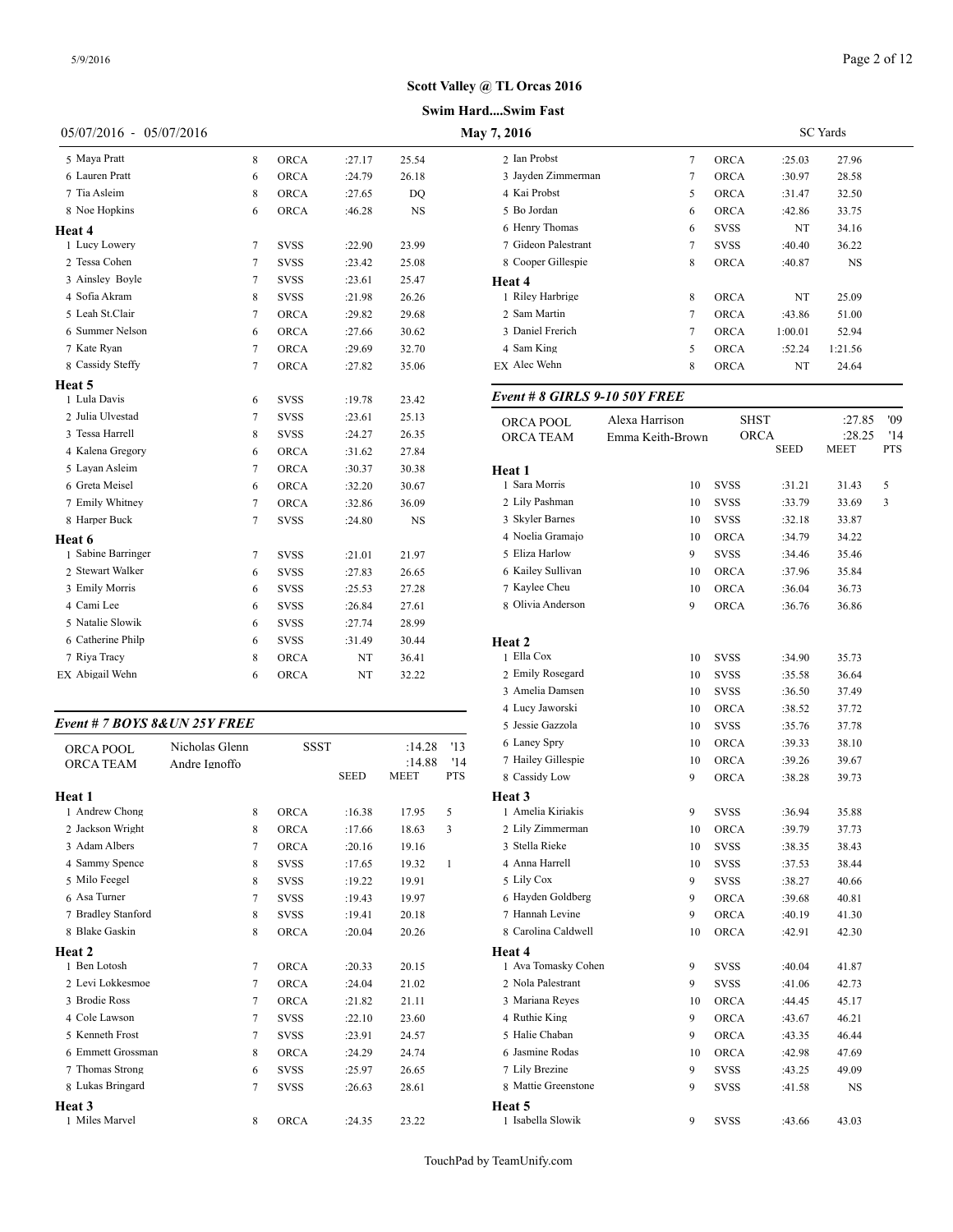#### **Swim Hard....Swim Fast**

| 05/07/2016 - 05/07/2016 |   |             |         |           | May 7, 2016                  |
|-------------------------|---|-------------|---------|-----------|------------------------------|
| 5 Mava Pratt            | 8 | ORCA        | :27.17  | 25.54     | 2 Ian Probst                 |
| 6 Lauren Pratt          | 6 | ORCA        | :24.79  | 26.18     | 3 Jayden Zimmerman           |
| 7 Tia Asleim            | 8 | <b>ORCA</b> | :27.65  | DO        | 4 Kai Probst                 |
| 8 Noe Hopkins           | 6 | <b>ORCA</b> | :46.28  | <b>NS</b> | 5 Bo Jordan                  |
| Heat 4                  |   |             |         |           | 6 Henry Thomas               |
| 1 Lucy Lowery           | 7 | <b>SVSS</b> | :22.90  | 23.99     | 7 Gideon Palestrant          |
| 2 Tessa Cohen           | 7 | <b>SVSS</b> | : 23.42 | 25.08     | 8 Cooper Gillespie           |
| 3 Ainsley Boyle         | 7 | <b>SVSS</b> | :23.61  | 25.47     | Heat 4                       |
| 4 Sofia Akram           | 8 | <b>SVSS</b> | :21.98  | 26.26     | 1 Riley Harbrige             |
| 5 Leah St.Clair         | 7 | <b>ORCA</b> | :29.82  | 29.68     | 2 Sam Martin                 |
| 6 Summer Nelson         | 6 | ORCA        | :27.66  | 30.62     | 3 Daniel Frerich             |
| 7 Kate Ryan             | 7 | ORCA        | :29.69  | 32.70     | 4 Sam King                   |
| 8 Cassidy Steffy        | 7 | <b>ORCA</b> | :27.82  | 35.06     | <b>EX Alec Wehn</b>          |
| <b>Heat 5</b>           |   |             |         |           |                              |
| 1 Lula Davis            | 6 | <b>SVSS</b> | :19.78  | 23.42     | Event # 8 GIRLS 9-10 50Y F1  |
| 2 Julia Ulvestad        | 7 | <b>SVSS</b> | :23.61  | 25.13     | Alexa Harı<br>ORCA POOL      |
| 3 Tessa Harrell         | 8 | <b>SVSS</b> | :24.27  | 26.35     | <b>ORCA TEAM</b><br>Emma Kei |
| 4 Kalena Gregory        | 6 | <b>ORCA</b> | :31.62  | 27.84     |                              |
| 5 Layan Asleim          | 7 | <b>ORCA</b> | :30.37  | 30.38     | Heat 1                       |
| 6 Greta Meisel          | 6 | <b>ORCA</b> | :32.20  | 30.67     | 1 Sara Morris                |
| 7 Emily Whitney         | 7 | ORCA        | :32.86  | 36.09     | 2 Lily Pashman               |
| 8 Harper Buck           | 7 | <b>SVSS</b> | :24.80  | <b>NS</b> | 3 Skyler Barnes              |
| Heat 6                  |   |             |         |           | 4 Noelia Gramajo             |
| 1 Sabine Barringer      | 7 | <b>SVSS</b> | :21.01  | 21.97     | 5 Eliza Harlow               |
| 2 Stewart Walker        | 6 | <b>SVSS</b> | :27.83  | 26.65     | 6 Kailey Sullivan            |
| 3 Emily Morris          | 6 | <b>SVSS</b> | :25.53  | 27.28     | 7 Kaylee Cheu                |
| 4 Cami Lee              | 6 | <b>SVSS</b> | :26.84  | 27.61     | 8 Olivia Anderson            |
| 5 Natalie Slowik        | 6 | <b>SVSS</b> | :27.74  | 28.99     |                              |
| 6 Catherine Philp       | 6 | <b>SVSS</b> | :31.49  | 30.44     | Heat 2                       |
| 7 Riya Tracy            | 8 | ORCA        | NT      | 36.41     | 1 Ella Cox                   |
| EX Abigail Wehn         | 6 | <b>ORCA</b> | NT      | 32.22     | 2 Emily Rosegard             |

# *Event # 7 BOYS 8&UN 25Y FREE*

| <b>ORCA POOL</b>   | Nicholas Glenn | SSST        |             | :14.28      | '13          | 6 Laney Spry       |
|--------------------|----------------|-------------|-------------|-------------|--------------|--------------------|
| <b>ORCA TEAM</b>   | Andre Ignoffo  |             |             | :14.88      | '14          | 7 Hailey Gillespie |
|                    |                |             | <b>SEED</b> | <b>MEET</b> | <b>PTS</b>   | 8 Cassidy Low      |
| Heat 1             |                |             |             |             |              | Heat 3             |
| 1 Andrew Chong     | 8              | <b>ORCA</b> | :16.38      | 17.95       | 5            | 1 Amelia Kiriakis  |
| 2 Jackson Wright   | 8              | <b>ORCA</b> | :17.66      | 18.63       | 3            | 2 Lily Zimmermar   |
| 3 Adam Albers      | 7              | <b>ORCA</b> | :20.16      | 19.16       |              | 3 Stella Rieke     |
| 4 Sammy Spence     | 8              | <b>SVSS</b> | :17.65      | 19.32       | $\mathbf{1}$ | 4 Anna Harrell     |
| 5 Milo Feegel      | 8              | <b>SVSS</b> | :19.22      | 19.91       |              | 5 Lily Cox         |
| 6 Asa Turner       | 7              | <b>SVSS</b> | :19.43      | 19.97       |              | 6 Hayden Goldber   |
| 7 Bradley Stanford | 8              | <b>SVSS</b> | :19.41      | 20.18       |              | 7 Hannah Levine    |
| 8 Blake Gaskin     | 8              | <b>ORCA</b> | :20.04      | 20.26       |              | 8 Carolina Caldwe  |
| Heat 2             |                |             |             |             |              | Heat 4             |
| 1 Ben Lotosh       | 7              | <b>ORCA</b> | :20.33      | 20.15       |              | 1 Ava Tomasky C    |
| 2 Levi Lokkesmoe   | 7              | <b>ORCA</b> | :24.04      | 21.02       |              | 2 Nola Palestrant  |
| 3 Brodie Ross      | $\overline{7}$ | <b>ORCA</b> | :21.82      | 21.11       |              | 3 Mariana Reyes    |
| 4 Cole Lawson      | 7              | <b>SVSS</b> | :22.10      | 23.60       |              | 4 Ruthie King      |
| 5 Kenneth Frost    | 7              | <b>SVSS</b> | :23.91      | 24.57       |              | 5 Halie Chaban     |
| 6 Emmett Grossman  | 8              | <b>ORCA</b> | :24.29      | 24.74       |              | 6 Jasmine Rodas    |
| 7 Thomas Strong    | 6              | <b>SVSS</b> | :25.97      | 26.65       |              | 7 Lily Brezine     |
| 8 Lukas Bringard   | 7              | <b>SVSS</b> | :26.63      | 28.61       |              | 8 Mattie Greensto  |
| Heat 3             |                |             |             |             |              | Heat 5             |
| 1 Miles Marvel     | 8              | <b>ORCA</b> | :24.35      | 23.22       |              | 1 Isabella Slowik  |

| 7,2016              | <b>SC</b> Yards |             |         |         |  |
|---------------------|-----------------|-------------|---------|---------|--|
| 2 Ian Probst        | 7               | <b>ORCA</b> | :25.03  | 27.96   |  |
| 3 Jayden Zimmerman  | 7               | <b>ORCA</b> | :30.97  | 28.58   |  |
| 4 Kai Probst        | 5               | <b>ORCA</b> | :31.47  | 32.50   |  |
| 5 Bo Jordan         | 6               | <b>ORCA</b> | :42.86  | 33.75   |  |
| 6 Henry Thomas      | 6               | <b>SVSS</b> | NT      | 34.16   |  |
| 7 Gideon Palestrant | 7               | <b>SVSS</b> | :40.40  | 36.22   |  |
| 8 Cooper Gillespie  | 8               | <b>ORCA</b> | :40.87  | NS      |  |
| Heat 4              |                 |             |         |         |  |
| 1 Riley Harbrige    | 8               | <b>ORCA</b> | NT      | 25.09   |  |
| 2 Sam Martin        | 7               | <b>ORCA</b> | :43.86  | 51.00   |  |
| 3 Daniel Frerich    | 7               | <b>ORCA</b> | 1:00.01 | 52.94   |  |
| 4 Sam King          | 5               | <b>ORCA</b> | :52.24  | 1:21.56 |  |
| EX Alec Wehn        | 8               | ORCA        | NT      | 24.64   |  |
|                     |                 |             |         |         |  |

# *Event # 8 GIRLS 9-10 50Y FREE*

| ORCA POOL           | Alexa Harrison   |             | SHST        | :27.85 | '09 |
|---------------------|------------------|-------------|-------------|--------|-----|
| ORCA TEAM           | Emma Keith-Brown |             | ORCA        | :28.25 | '14 |
|                     |                  |             | <b>SEED</b> | MEET   | PTS |
| Heat 1              |                  |             |             |        |     |
| 1 Sara Morris       | 10               | <b>SVSS</b> | :31.21      | 31.43  | 5   |
| 2 Lily Pashman      | 10               | <b>SVSS</b> | :33.79      | 33.69  | 3   |
| 3 Skyler Barnes     | 10               | <b>SVSS</b> | :32.18      | 33.87  |     |
| 4 Noelia Gramajo    | 10               | <b>ORCA</b> | :34.79      | 34.22  |     |
| 5 Eliza Harlow      | 9                | <b>SVSS</b> | :34.46      | 35.46  |     |
| 6 Kailey Sullivan   | 10               | <b>ORCA</b> | :37.96      | 35.84  |     |
| 7 Kaylee Cheu       | 10               | <b>ORCA</b> | :36.04      | 36.73  |     |
| 8 Olivia Anderson   | 9                | ORCA        | :36.76      | 36.86  |     |
|                     |                  |             |             |        |     |
| Heat 2              |                  |             |             |        |     |
| 1 Ella Cox          | 10               | <b>SVSS</b> | :34.90      | 35.73  |     |
| 2 Emily Rosegard    | 10               | <b>SVSS</b> | :35.58      | 36.64  |     |
| 3 Amelia Damsen     | 10               | <b>SVSS</b> | :36.50      | 37.49  |     |
| 4 Lucy Jaworski     | 10               | <b>ORCA</b> | :38.52      | 37.72  |     |
| 5 Jessie Gazzola    | 10               | <b>SVSS</b> | :35.76      | 37.78  |     |
| 6 Laney Spry        | 10               | <b>ORCA</b> | :39.33      | 38.10  |     |
| 7 Hailey Gillespie  | 10               | <b>ORCA</b> | :39.26      | 39.67  |     |
| 8 Cassidy Low       | 9                | ORCA        | :38.28      | 39.73  |     |
| Heat 3              |                  |             |             |        |     |
| 1 Amelia Kiriakis   | 9                | <b>SVSS</b> | :36.94      | 35.88  |     |
| 2 Lily Zimmerman    | 10               | <b>ORCA</b> | :39.79      | 37.73  |     |
| 3 Stella Rieke      | 10               | <b>SVSS</b> | :38.35      | 38.43  |     |
| 4 Anna Harrell      | 10               | <b>SVSS</b> | :37.53      | 38.44  |     |
| 5 Lily Cox          | 9                | <b>SVSS</b> | :38.27      | 40.66  |     |
| 6 Hayden Goldberg   | 9                | <b>ORCA</b> | :39.68      | 40.81  |     |
| 7 Hannah Levine     | 9                | <b>ORCA</b> | :40.19      | 41.30  |     |
| 8 Carolina Caldwell | 10               | <b>ORCA</b> | :42.91      | 42.30  |     |
| Heat 4              |                  |             |             |        |     |
| 1 Ava Tomasky Cohen | 9                | <b>SVSS</b> | :40.04      | 41.87  |     |
| 2 Nola Palestrant   | 9                | <b>SVSS</b> | :41.06      | 42.73  |     |
| 3 Mariana Reyes     | 10               | <b>ORCA</b> | :44.45      | 45.17  |     |
| 4 Ruthie King       | 9                | <b>ORCA</b> | :43.67      | 46.21  |     |
| 5 Halie Chaban      | 9                | <b>ORCA</b> | :43.35      | 46.44  |     |
| 6 Jasmine Rodas     | 10               | <b>ORCA</b> | :42.98      | 47.69  |     |
| 7 Lily Brezine      | 9                | <b>SVSS</b> | :43.25      | 49.09  |     |
| 8 Mattie Greenstone | 9                | SVSS        | :41.58      | NS     |     |
| Heat 5              |                  |             |             |        |     |
| 1 Isabella Slowik   | 9                | <b>SVSS</b> | :43.66      | 43.03  |     |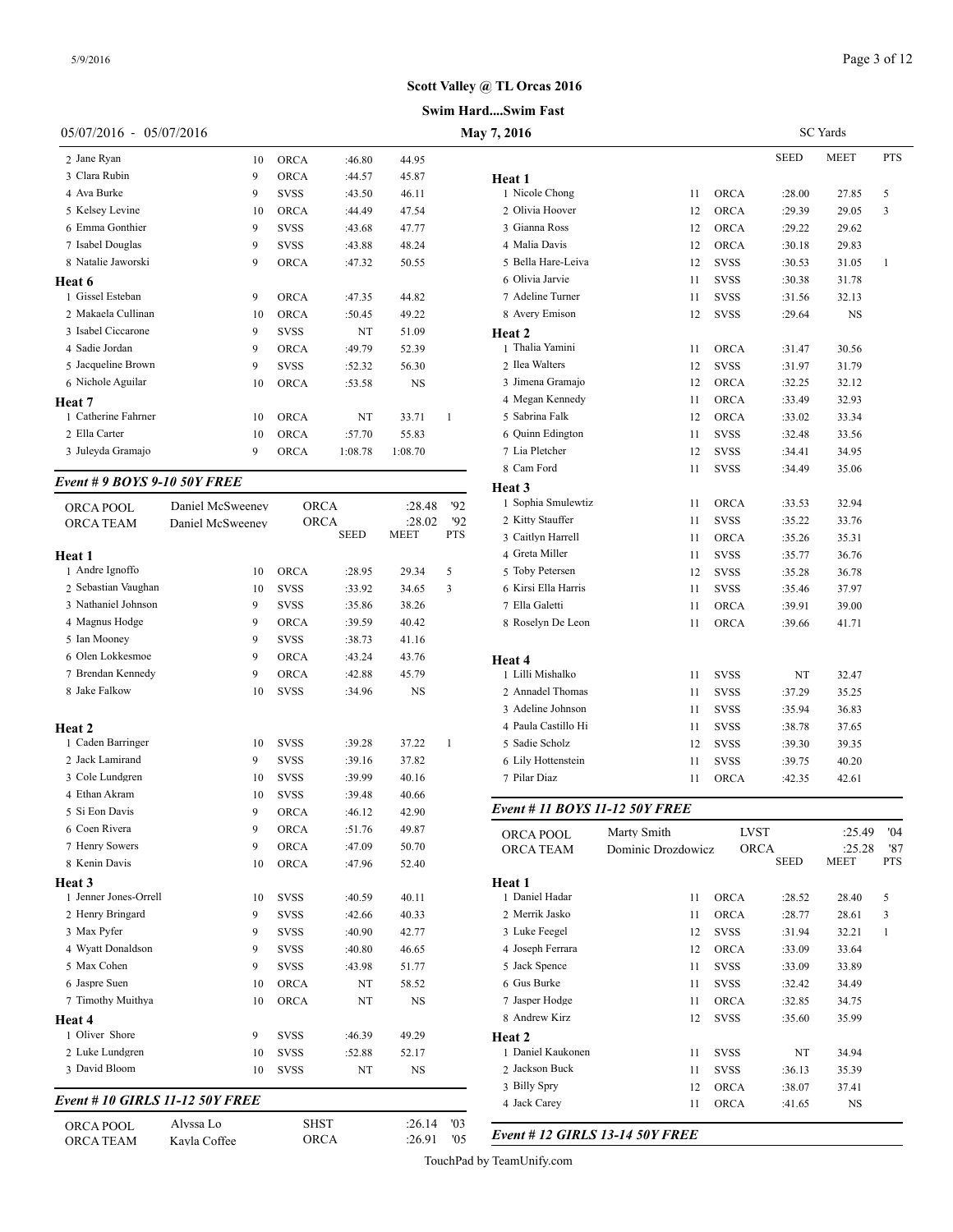#### **Swim Hard....Swim Fast**

|                           |    |             |             |           |   | Swim HardSwim Fast |
|---------------------------|----|-------------|-------------|-----------|---|--------------------|
| $05/07/2016 - 05/07/2016$ |    |             | May 7, 2016 |           |   |                    |
| 2 Jane Ryan               | 10 | <b>ORCA</b> | :46.80      | 44.95     |   |                    |
| 3 Clara Rubin             | 9  | <b>ORCA</b> | :44.57      | 45.87     |   | Heat 1             |
| 4 Ava Burke               | 9  | SVSS        | :43.50      | 46.11     |   | 1 Nicole Chong     |
| 5 Kelsey Levine           | 10 | <b>ORCA</b> | :44.49      | 47.54     |   | 2 Olivia Hoover    |
| 6 Emma Gonthier           | 9  | SVSS        | :43.68      | 47.77     |   | 3 Gianna Ross      |
| 7 Isabel Douglas          | 9  | <b>SVSS</b> | :43.88      | 48.24     |   | 4 Malia Davis      |
| 8 Natalie Jaworski        | 9  | <b>ORCA</b> | :47.32      | 50.55     |   | 5 Bella Hare-Leiva |
| Heat 6                    |    |             |             |           |   | 6 Olivia Jarvie    |
| 1 Gissel Esteban          | 9  | <b>ORCA</b> | :47.35      | 44.82     |   | 7 Adeline Turner   |
| 2 Makaela Cullinan        | 10 | <b>ORCA</b> | :50.45      | 49.22     |   | 8 Avery Emison     |
| 3 Isabel Ciccarone        | 9  | <b>SVSS</b> | NT          | 51.09     |   | Heat 2             |
| 4 Sadie Jordan            | 9  | <b>ORCA</b> | :49.79      | 52.39     |   | 1 Thalia Yamini    |
| 5 Jacqueline Brown        | 9  | <b>SVSS</b> | :52.32      | 56.30     |   | 2 Ilea Walters     |
| 6 Nichole Aguilar         | 10 | <b>ORCA</b> | :53.58      | <b>NS</b> |   | 3 Jimena Gramajo   |
| Heat 7                    |    |             |             |           |   | 4 Megan Kennedy    |
| 1 Catherine Fahrner       | 10 | <b>ORCA</b> | NT          | 33.71     | 1 | 5 Sabrina Falk     |

 Ella Carter 10 ORCA :57.70 55.83 Juleyda Gramajo 9 ORCA 1:08.78 1:08.70

## *Event # 9 BOYS 9-10 50Y FREE*

| ORCA POOL                              | Daniel McSweeney | <b>ORCA</b> |             | :28.48      | '92          | 1 Sophia Smulewt    |
|----------------------------------------|------------------|-------------|-------------|-------------|--------------|---------------------|
| ORCA TEAM                              | Daniel McSweenev | <b>ORCA</b> |             | :28.02      | 92           | 2 Kitty Stauffer    |
|                                        |                  |             | <b>SEED</b> | <b>MEET</b> | <b>PTS</b>   | 3 Caitlyn Harrell   |
| Heat 1                                 |                  |             |             |             |              | 4 Greta Miller      |
| 1 Andre Ignoffo                        | 10               | <b>ORCA</b> | :28.95      | 29.34       | 5            | 5 Toby Petersen     |
| 2 Sebastian Vaughan                    | 10               | <b>SVSS</b> | :33.92      | 34.65       | 3            | 6 Kirsi Ella Harris |
| 3 Nathaniel Johnson                    | 9                | <b>SVSS</b> | :35.86      | 38.26       |              | 7 Ella Galetti      |
| 4 Magnus Hodge                         | 9                | <b>ORCA</b> | :39.59      | 40.42       |              | 8 Roselyn De Leo    |
| 5 Ian Mooney                           | 9                | <b>SVSS</b> | :38.73      | 41.16       |              |                     |
| 6 Olen Lokkesmoe                       | 9                | <b>ORCA</b> | :43.24      | 43.76       |              | Heat 4              |
| 7 Brendan Kennedy                      | 9                | <b>ORCA</b> | :42.88      | 45.79       |              | 1 Lilli Mishalko    |
| 8 Jake Falkow                          | 10               | <b>SVSS</b> | :34.96      | NS          |              | 2 Annadel Thoma     |
|                                        |                  |             |             |             |              | 3 Adeline Johnsor   |
| Heat 2                                 |                  |             |             |             |              | 4 Paula Castillo H  |
| 1 Caden Barringer                      | 10               | <b>SVSS</b> | :39.28      | 37.22       | $\mathbf{1}$ | 5 Sadie Scholz      |
| 2 Jack Lamirand                        | 9                | SVSS        | :39.16      | 37.82       |              | 6 Lily Hottenstein  |
| 3 Cole Lundgren                        | 10               | <b>SVSS</b> | :39.99      | 40.16       |              | 7 Pilar Diaz        |
| 4 Ethan Akram                          | 10               | <b>SVSS</b> | :39.48      | 40.66       |              |                     |
| 5 Si Eon Davis                         | 9                | <b>ORCA</b> | :46.12      | 42.90       |              | Event # 11 $BOY$    |
| 6 Coen Rivera                          | 9                | ORCA        | :51.76      | 49.87       |              | ORCA POOL           |
| 7 Henry Sowers                         | 9                | <b>ORCA</b> | :47.09      | 50.70       |              | <b>ORCA TEAM</b>    |
| 8 Kenin Davis                          | 10               | <b>ORCA</b> | :47.96      | 52.40       |              |                     |
| Heat 3                                 |                  |             |             |             |              | Heat 1              |
| 1 Jenner Jones-Orrell                  | 10               | <b>SVSS</b> | :40.59      | 40.11       |              | 1 Daniel Hadar      |
| 2 Henry Bringard                       | 9                | <b>SVSS</b> | :42.66      | 40.33       |              | 2 Merrik Jasko      |
| 3 Max Pyfer                            | 9                | <b>SVSS</b> | :40.90      | 42.77       |              | 3 Luke Feegel       |
| 4 Wyatt Donaldson                      | 9                | <b>SVSS</b> | :40.80      | 46.65       |              | 4 Joseph Ferrara    |
| 5 Max Cohen                            | 9                | <b>SVSS</b> | :43.98      | 51.77       |              | 5 Jack Spence       |
| 6 Jaspre Suen                          | 10               | ORCA        | NT          | 58.52       |              | 6 Gus Burke         |
| 7 Timothy Muithya                      | 10               | <b>ORCA</b> | NT          | NS          |              | 7 Jasper Hodge      |
| Heat 4                                 |                  |             |             |             |              | 8 Andrew Kirz       |
| 1 Oliver Shore                         | 9                | SVSS        | :46.39      | 49.29       |              | Heat 2              |
| 2 Luke Lundgren                        | 10               | <b>SVSS</b> | :52.88      | 52.17       |              | 1 Daniel Kaukone    |
| 3 David Bloom                          | 10               | <b>SVSS</b> | NT          | NS          |              | 2 Jackson Buck      |
|                                        |                  |             |             |             |              | 3 Billy Spry        |
| <b>Event # 10 GIRLS 11-12 50Y FREE</b> |                  |             |             |             |              | 4 Jack Carey        |

| ORCA POOL        | Alvssa Lo    | <b>SHST</b> | $:26.14$ $'03$ |     |
|------------------|--------------|-------------|----------------|-----|
| <b>ORCA TEAM</b> | Kavla Coffee | ORCA        | :26.91         | '05 |

| 7, 2016             | <b>SC</b> Yards |             |             |             |              |  |  |
|---------------------|-----------------|-------------|-------------|-------------|--------------|--|--|
|                     |                 |             | <b>SEED</b> | <b>MEET</b> | <b>PTS</b>   |  |  |
| Heat 1              |                 |             |             |             |              |  |  |
| 1 Nicole Chong      | 11              | <b>ORCA</b> | :28.00      | 27.85       | 5            |  |  |
| 2 Olivia Hoover     | 12              | <b>ORCA</b> | :29.39      | 29.05       | 3            |  |  |
| 3 Gianna Ross       | 12              | ORCA        | :29.22      | 29.62       |              |  |  |
| 4 Malia Davis       | 12              | ORCA        | :30.18      | 29.83       |              |  |  |
| 5 Bella Hare-Leiva  | 12              | <b>SVSS</b> | :30.53      | 31.05       | $\mathbf{1}$ |  |  |
| 6 Olivia Jarvie     | 11              | <b>SVSS</b> | :30.38      | 31.78       |              |  |  |
| 7 Adeline Turner    | 11              | <b>SVSS</b> | :31.56      | 32.13       |              |  |  |
| 8 Avery Emison      | 12              | <b>SVSS</b> | :29.64      | NS          |              |  |  |
| Heat 2              |                 |             |             |             |              |  |  |
| 1 Thalia Yamini     | 11              | ORCA        | :31.47      | 30.56       |              |  |  |
| 2 Ilea Walters      | 12              | <b>SVSS</b> | :31.97      | 31.79       |              |  |  |
| 3 Jimena Gramajo    | 12              | <b>ORCA</b> | :32.25      | 32.12       |              |  |  |
| 4 Megan Kennedy     | 11              | <b>ORCA</b> | :33.49      | 32.93       |              |  |  |
| 5 Sabrina Falk      | 12              | ORCA        | :33.02      | 33.34       |              |  |  |
| 6 Quinn Edington    | 11              | <b>SVSS</b> | :32.48      | 33.56       |              |  |  |
| 7 Lia Pletcher      | 12              | <b>SVSS</b> | :34.41      | 34.95       |              |  |  |
| 8 Cam Ford          | 11              | <b>SVSS</b> | :34.49      | 35.06       |              |  |  |
| Heat 3              |                 |             |             |             |              |  |  |
| 1 Sophia Smulewtiz  | 11              | ORCA        | :33.53      | 32.94       |              |  |  |
| 2 Kitty Stauffer    | 11              | <b>SVSS</b> | :35.22      | 33.76       |              |  |  |
| 3 Caitlyn Harrell   | 11              | <b>ORCA</b> | :35.26      | 35.31       |              |  |  |
| 4 Greta Miller      | 11              | <b>SVSS</b> | :35.77      | 36.76       |              |  |  |
| 5 Toby Petersen     | 12              | <b>SVSS</b> | :35.28      | 36.78       |              |  |  |
| 6 Kirsi Ella Harris | 11              | <b>SVSS</b> | :35.46      | 37.97       |              |  |  |
| 7 Ella Galetti      | 11              | <b>ORCA</b> | :39.91      | 39.00       |              |  |  |
| 8 Roselyn De Leon   | 11              | <b>ORCA</b> | :39.66      | 41.71       |              |  |  |
| Heat 4              |                 |             |             |             |              |  |  |
| 1 Lilli Mishalko    | 11              | <b>SVSS</b> | NT          | 32.47       |              |  |  |
| 2 Annadel Thomas    | 11              | <b>SVSS</b> | :37.29      | 35.25       |              |  |  |
| 3 Adeline Johnson   | 11              | <b>SVSS</b> | :35.94      | 36.83       |              |  |  |
| 4 Paula Castillo Hi | 11              | <b>SVSS</b> | :38.78      | 37.65       |              |  |  |
| 5 Sadie Scholz      | 12              | <b>SVSS</b> | :39.30      | 39.35       |              |  |  |
| 6 Lily Hottenstein  | 11              | <b>SVSS</b> | :39.75      | 40.20       |              |  |  |
| 7 Pilar Diaz        | 11              | ORCA        | :42.35      | 42.61       |              |  |  |

#### *Event # 11 BOYS 11-12 50Y FREE*

| ORCA POOL         | Marty Smith        | <b>LVST</b> |             | :25.49 | 04'          |
|-------------------|--------------------|-------------|-------------|--------|--------------|
| <b>ORCA TEAM</b>  | Dominic Drozdowicz | <b>ORCA</b> |             | :25.28 | '87          |
|                   |                    |             | <b>SEED</b> | MEET   | <b>PTS</b>   |
| Heat 1            |                    |             |             |        |              |
| 1 Daniel Hadar    | 11                 | <b>ORCA</b> | :28.52      | 28.40  | 5            |
| 2 Merrik Jasko    | 11                 | <b>ORCA</b> | :28.77      | 28.61  | 3            |
| 3 Luke Feegel     | 12                 | <b>SVSS</b> | :31.94      | 32.21  | $\mathbf{1}$ |
| 4 Joseph Ferrara  | 12                 | <b>ORCA</b> | :33.09      | 33.64  |              |
| 5 Jack Spence     | 11                 | <b>SVSS</b> | :33.09      | 33.89  |              |
| 6 Gus Burke       | 11                 | <b>SVSS</b> | :32.42      | 34.49  |              |
| 7 Jasper Hodge    | 11                 | <b>ORCA</b> | :32.85      | 34.75  |              |
| 8 Andrew Kirz     | 12                 | <b>SVSS</b> | :35.60      | 35.99  |              |
| Heat 2            |                    |             |             |        |              |
| 1 Daniel Kaukonen | 11                 | <b>SVSS</b> | NT          | 34.94  |              |
| 2 Jackson Buck    | 11                 | <b>SVSS</b> | :36.13      | 35.39  |              |
| 3 Billy Spry      | 12                 | <b>ORCA</b> | :38.07      | 37.41  |              |
| 4 Jack Carey      | 11                 | <b>ORCA</b> | :41.65      | NS     |              |

ORCA TEAM Kayla Coffee ORCA :26.91 '05 *Event # 12 GIRLS 13-14 50Y FREE*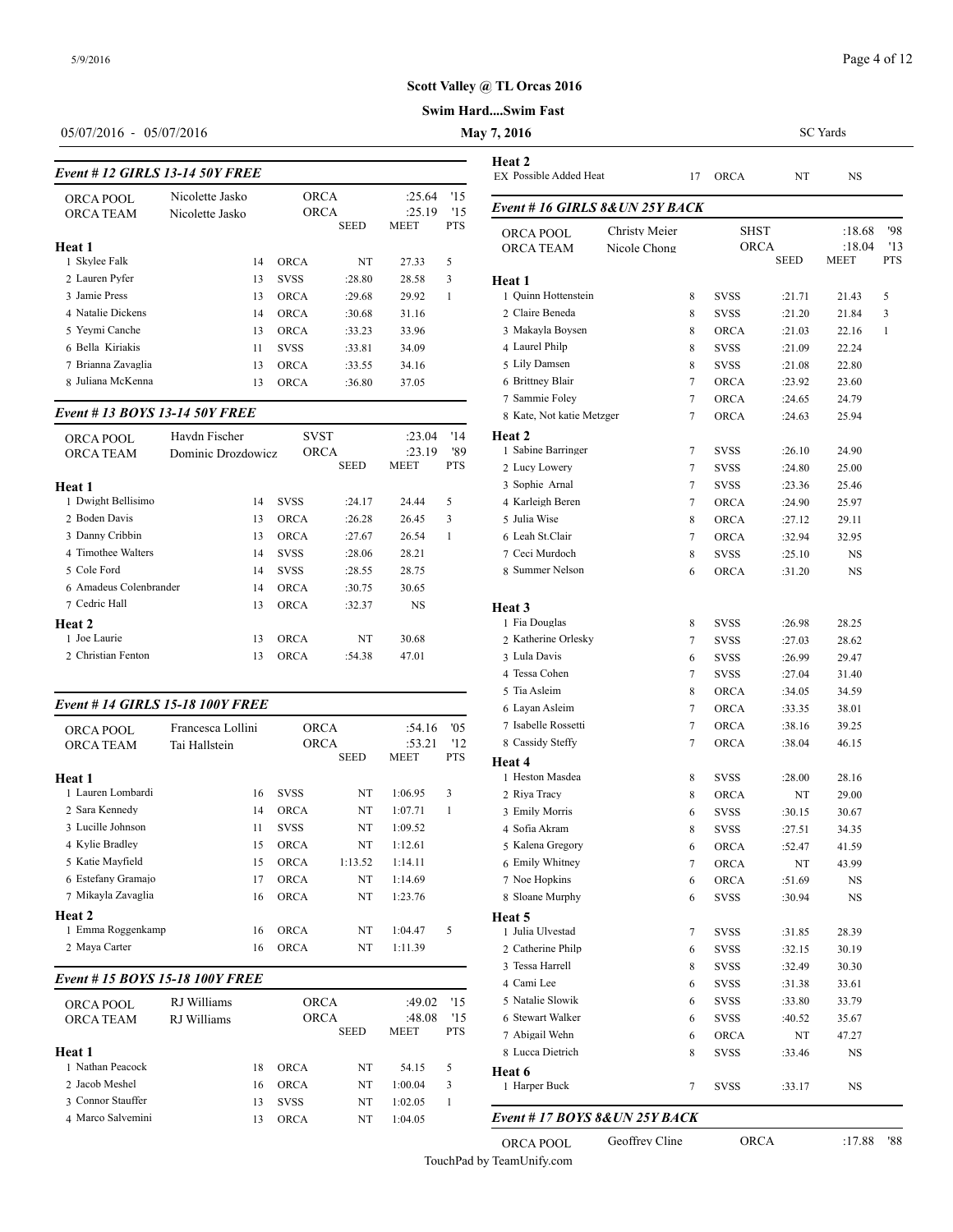# **Swim Hard....Swim Fast**

## 05/07/2016 - 05/07/2016 **May**

# *Event # 12 GIRLS 13-14 50Y FREE*

| $E$ rem $\pi$ 12 maarts 19-14 901 Facts | EX POSSIBIE Added |             |             |             |            |                   |
|-----------------------------------------|-------------------|-------------|-------------|-------------|------------|-------------------|
| ORCA POOL                               | Nicolette Jasko   | <b>ORCA</b> |             | :25.64      | '15        |                   |
| <b>ORCA TEAM</b>                        | Nicolette Jasko   | <b>ORCA</b> |             | :25.19      | 15         | Event #16 GIRI    |
|                                         |                   |             | <b>SEED</b> | <b>MEET</b> | <b>PTS</b> | <b>ORCA POOL</b>  |
| Heat 1                                  |                   |             |             |             |            | <b>ORCA TEAM</b>  |
| 1 Skylee Falk                           | 14                | <b>ORCA</b> | NT          | 27.33       | 5          |                   |
| 2 Lauren Pyfer                          | 13                | <b>SVSS</b> | :28.80      | 28.58       | 3          | Heat 1            |
| 3 Jamie Press                           | 13                | <b>ORCA</b> | :29.68      | 29.92       |            | 1 Ouinn Hottenste |
| 4 Natalie Dickens                       | 14                | <b>ORCA</b> | :30.68      | 31.16       |            | 2 Claire Beneda   |
| 5 Yevmi Canche                          | 13                | <b>ORCA</b> | :33.23      | 33.96       |            | 3 Makavla Boyser  |
| 6 Bella Kiriakis                        | 11                | <b>SVSS</b> | :33.81      | 34.09       |            | 4 Laurel Philp    |
| 7 Brianna Zavaglia                      | 13                | <b>ORCA</b> | :33.55      | 34.16       |            | 5 Lily Damsen     |
| 8 Juliana McKenna                       | 13                | <b>ORCA</b> | :36.80      | 37.05       |            | 6 Brittney Blair  |
|                                         |                   |             |             |             |            |                   |

## *Event # 13 BOYS 13-14 50Y FREE*

| ORCA POOL<br><b>ORCA TEAM</b> | Havdn Fischer<br>Dominic Drozdowicz | <b>SVST</b><br><b>ORCA</b> |             | :23.04<br>:23.19 | '14<br>'89 | Heat 2<br>1 Sabine Barringe |
|-------------------------------|-------------------------------------|----------------------------|-------------|------------------|------------|-----------------------------|
|                               |                                     |                            | <b>SEED</b> | MEET             | <b>PTS</b> | 2 Lucy Lowery               |
| Heat 1                        |                                     |                            |             |                  |            | 3 Sophie Arnal              |
| 1 Dwight Bellisimo            | 14                                  | <b>SVSS</b>                | :24.17      | 24.44            | 5          | 4 Karleigh Beren            |
| 2 Boden Davis                 | 13                                  | <b>ORCA</b>                | :26.28      | 26.45            | 3          | 5 Julia Wise                |
| 3 Danny Cribbin               | 13                                  | <b>ORCA</b>                | :27.67      | 26.54            | 1          | 6 Leah St.Clair             |
| 4 Timothee Walters            | 14                                  | <b>SVSS</b>                | :28.06      | 28.21            |            | 7 Ceci Murdoch              |
| 5 Cole Ford                   | 14                                  | <b>SVSS</b>                | :28.55      | 28.75            |            | 8 Summer Nelson             |
| 6 Amadeus Colenbrander        | 14                                  | <b>ORCA</b>                | :30.75      | 30.65            |            |                             |
| 7 Cedric Hall                 | 13                                  | <b>ORCA</b>                | :32.37      | <b>NS</b>        |            | Heat 3                      |
| Heat 2                        |                                     |                            |             |                  |            | 1 Fia Douglas               |
| 1 Joe Laurie                  | 13                                  | <b>ORCA</b>                | NT          | 30.68            |            | 2 Katherine Orlesl          |
| 2 Christian Fenton            | 13                                  | <b>ORCA</b>                | :54.38      | 47.01            |            | 3 Lula Davis                |
|                               |                                     |                            |             |                  |            |                             |

## *Event # 14 GIRLS 15-18 100Y FREE*

| <b>ORCA POOL</b>               | Francesca Lollini |             | <b>ORCA</b> | :54.16  | '05        | 7 Isabelle Rossetti |
|--------------------------------|-------------------|-------------|-------------|---------|------------|---------------------|
| <b>ORCA TEAM</b>               | Tai Hallstein     |             | <b>ORCA</b> | :53.21  | '12        | 8 Cassidy Steffy    |
|                                |                   |             | <b>SEED</b> | MEET    | <b>PTS</b> | <b>Heat 4</b>       |
| Heat 1                         |                   |             |             |         |            | 1 Heston Masdea     |
| 1 Lauren Lombardi              | 16                | <b>SVSS</b> | NT          | 1:06.95 | 3          | 2 Riva Tracy        |
| 2 Sara Kennedy                 | 14                | ORCA        | NT          | 1:07.71 | 1          | 3 Emily Morris      |
| 3 Lucille Johnson              | 11                | <b>SVSS</b> | NT          | 1:09.52 |            | 4 Sofia Akram       |
| 4 Kylie Bradley                | 15                | <b>ORCA</b> | NT          | 1:12.61 |            | 5 Kalena Gregory    |
| 5 Katie Mayfield               | 15                | <b>ORCA</b> | 1:13.52     | 1:14.11 |            | 6 Emily Whitney     |
| 6 Estefany Gramajo             | 17                | <b>ORCA</b> | NT          | 1:14.69 |            | 7 Noe Hopkins       |
| 7 Mikayla Zavaglia             | 16                | <b>ORCA</b> | NT          | 1:23.76 |            | 8 Sloane Murphy     |
| Heat 2                         |                   |             |             |         |            | Heat 5              |
| 1 Emma Roggenkamp              | 16                | <b>ORCA</b> | NT          | 1:04.47 | 5          | 1 Julia Ulvestad    |
| 2 Maya Carter                  | 16                | <b>ORCA</b> | NT          | 1:11.39 |            | 2 Catherine Philp   |
|                                |                   |             |             |         |            | 3 Tessa Harrell     |
| Event #15 BOYS 15-18 100Y FREE |                   |             |             |         |            | 4 Cami Lee          |

| ORCA POOL         | RJ Williams | ORCA |             |             | :49.02      | '15        | 5 Natalie Slowik |
|-------------------|-------------|------|-------------|-------------|-------------|------------|------------------|
| <b>ORCA TEAM</b>  | RJ Williams | ORCA |             |             | :48.08      | 15         | 6 Stewart Walker |
|                   |             |      |             | <b>SEED</b> | <b>MEET</b> | <b>PTS</b> | 7 Abigail Wehn   |
| Heat 1            |             |      |             |             |             |            | 8 Lucca Dietrich |
| 1 Nathan Peacock  |             | 18   | <b>ORCA</b> | NT          | 54.15       | 5          | Heat 6           |
| 2 Jacob Meshel    |             | 16   | ORCA        | NT          | 1:00.04     | 3          | 1 Harper Buck    |
| 3 Connor Stauffer |             | 13   | <b>SVSS</b> | NT          | 1:02.05     |            |                  |
| 4 Marco Salvemini |             | 13   | ORCA        | NT          | 1:04.05     |            | Event # $17 BOY$ |
|                   |             |      |             |             |             |            |                  |

| $\sqrt{7,2016}$                         |                               |        | SC Yards                   |                  |                          |                          |  |  |
|-----------------------------------------|-------------------------------|--------|----------------------------|------------------|--------------------------|--------------------------|--|--|
| Heat 2<br><b>EX Possible Added Heat</b> |                               | 17     | ORCA                       | NT               | NS                       |                          |  |  |
| Event # 16 GIRLS 8&UN 25Y BACK          |                               |        |                            |                  |                          |                          |  |  |
| ORCA POOL<br>ORCA TEAM                  | Christy Meier<br>Nicole Chong |        | SHST<br><b>ORCA</b>        | SEED             | :18.68<br>:18.04<br>MEET | '98<br>'13<br><b>PTS</b> |  |  |
| Heat 1                                  |                               |        |                            |                  |                          |                          |  |  |
| 1 Quinn Hottenstein                     |                               | 8      | <b>SVSS</b>                | :21.71           | 21.43                    | 5                        |  |  |
| 2 Claire Beneda                         |                               | 8      | SVSS                       | :21.20           | 21.84                    | 3                        |  |  |
| 3 Makayla Boysen                        |                               | 8      | <b>ORCA</b>                | :21.03           | 22.16                    | 1                        |  |  |
| 4 Laurel Philp                          |                               | 8      | <b>SVSS</b>                | :21.09           | 22.24                    |                          |  |  |
| 5 Lily Damsen                           |                               | 8      | <b>SVSS</b>                | :21.08           | 22.80                    |                          |  |  |
| 6 Brittney Blair                        |                               | 7      | <b>ORCA</b>                | :23.92           | 23.60                    |                          |  |  |
| 7 Sammie Foley                          |                               | 7      | ORCA                       | :24.65           | 24.79                    |                          |  |  |
| 8 Kate, Not katie Metzger               |                               | 7      | <b>ORCA</b>                | :24.63           | 25.94                    |                          |  |  |
| Heat 2                                  |                               |        |                            |                  |                          |                          |  |  |
| 1 Sabine Barringer                      |                               | 7      | SVSS                       | :26.10           | 24.90                    |                          |  |  |
| 2 Lucy Lowery                           |                               | 7      | <b>SVSS</b>                | :24.80           | 25.00                    |                          |  |  |
| 3 Sophie Arnal                          |                               | 7      | SVSS                       | :23.36           | 25.46                    |                          |  |  |
| 4 Karleigh Beren                        |                               | 7      | <b>ORCA</b><br><b>ORCA</b> | :24.90           | 25.97                    |                          |  |  |
| 5 Julia Wise<br>6 Leah St.Clair         |                               | 8      |                            | :27.12           | 29.11                    |                          |  |  |
| 7 Ceci Murdoch                          |                               | 7<br>8 | <b>ORCA</b><br><b>SVSS</b> | :32.94<br>:25.10 | 32.95<br>NS              |                          |  |  |
| 8 Summer Nelson                         |                               | 6      | ORCA                       | :31.20           | NS                       |                          |  |  |
| Heat 3                                  |                               |        |                            |                  |                          |                          |  |  |
| 1 Fia Douglas                           |                               | 8      | <b>SVSS</b>                | :26.98           | 28.25                    |                          |  |  |
| 2 Katherine Orlesky                     |                               | 7      | <b>SVSS</b>                | :27.03           | 28.62                    |                          |  |  |
| 3 Lula Davis                            |                               | 6      | SVSS                       | :26.99           | 29.47                    |                          |  |  |
| 4 Tessa Cohen                           |                               | 7      | SVSS                       | :27.04           | 31.40                    |                          |  |  |
| 5 Tia Asleim                            |                               | 8      | <b>ORCA</b>                | :34.05           | 34.59                    |                          |  |  |
| 6 Layan Asleim                          |                               | 7      | <b>ORCA</b>                | :33.35           | 38.01                    |                          |  |  |
| 7 Isabelle Rossetti                     |                               | 7      | <b>ORCA</b>                | :38.16           | 39.25                    |                          |  |  |
| 8 Cassidy Steffy                        |                               | 7      | <b>ORCA</b>                | :38.04           | 46.15                    |                          |  |  |
| Heat 4                                  |                               |        |                            |                  |                          |                          |  |  |
| 1 Heston Masdea                         |                               | 8      | <b>SVSS</b>                | :28.00           | 28.16                    |                          |  |  |
| 2 Riya Tracy                            |                               | 8      | <b>ORCA</b>                | NT               | 29.00                    |                          |  |  |
| 3 Emily Morris                          |                               | 6      | <b>SVSS</b>                | :30.15           | 30.67                    |                          |  |  |
| 4  Sofia Akram                          |                               | 8      | svss                       | :27.51           | 34.35                    |                          |  |  |
| 5 Kalena Gregory                        |                               | 6      | ORCA                       | :52.47           | 41.59                    |                          |  |  |
| 6 Emily Whitney                         |                               | 7      | ORCA                       | NT               | 43.99                    |                          |  |  |
| 7 Noe Hopkins                           |                               | 6      | ORCA                       | :51.69           | NS                       |                          |  |  |
| 8 Sloane Murphy                         |                               | 6      | <b>SVSS</b>                | :30.94           | NS                       |                          |  |  |
| Heat 5                                  |                               |        |                            |                  |                          |                          |  |  |
| 1 Julia Ulvestad                        |                               | 7      | SVSS                       | :31.85           | 28.39                    |                          |  |  |
| 2 Catherine Philp                       |                               | 6      | svss                       | :32.15           | 30.19                    |                          |  |  |
| 3 Tessa Harrell                         |                               | 8      | SVSS                       | :32.49           | 30.30                    |                          |  |  |
| 4 Cami Lee                              |                               | 6      | SVSS                       | :31.38           | 33.61                    |                          |  |  |
| 5 Natalie Slowik<br>6 Stewart Walker    |                               | 6      | SVSS                       | :33.80           | 33.79                    |                          |  |  |
| 7 Abigail Wehn                          |                               | 6      | svss                       | :40.52           | 35.67                    |                          |  |  |
| 8 Lucca Dietrich                        |                               | 6      | ORCA                       | NT               | 47.27                    |                          |  |  |
|                                         |                               | 8      | svss                       | :33.46           | NS                       |                          |  |  |
| Heat 6<br>1 Harper Buck                 |                               | 7      | svss                       | :33.17           | NS                       |                          |  |  |

ORCA POOL Geoffrey Cline ORCA :17.88 '88 TouchPad by TeamUnify.com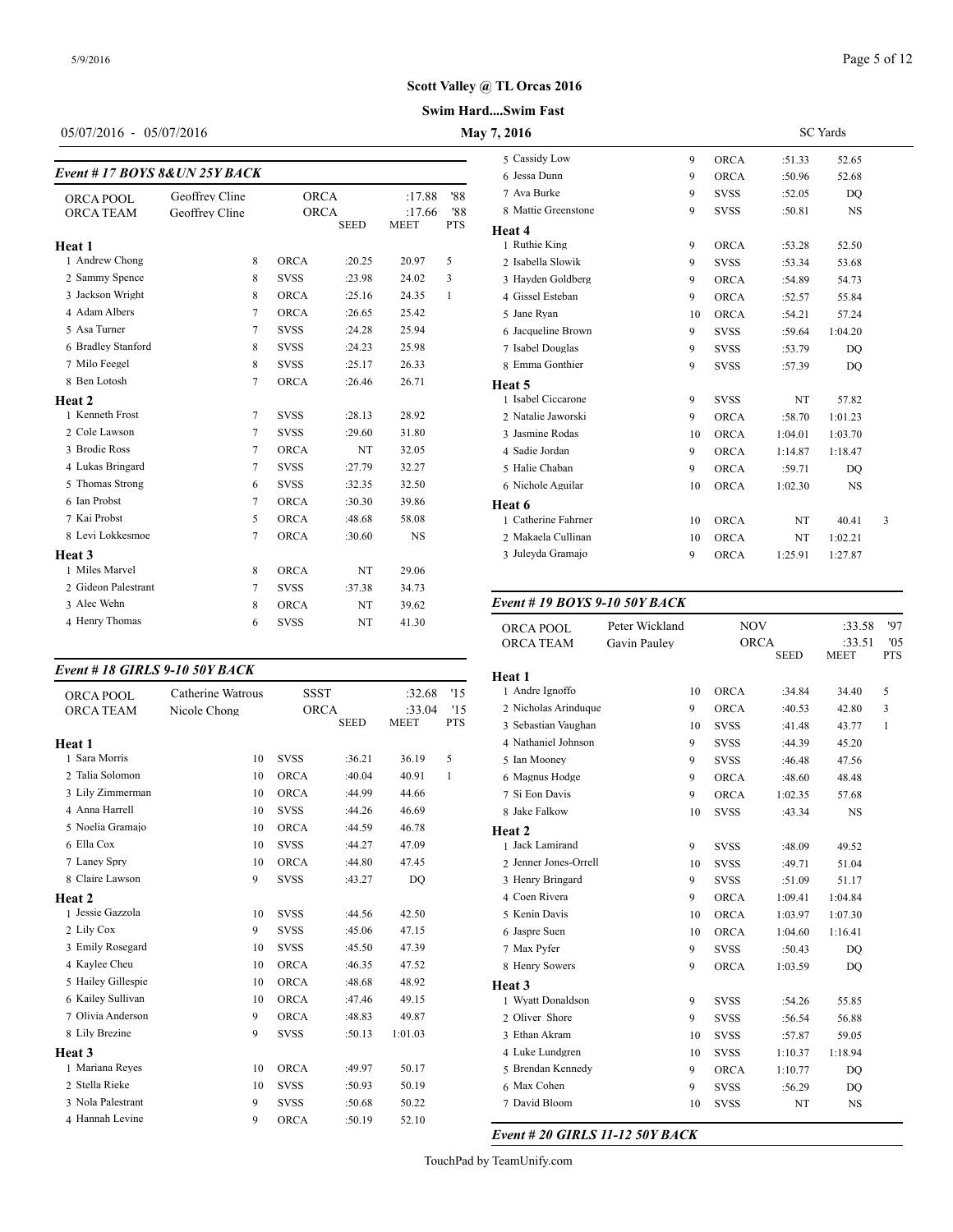## Page 5 of 12

# **Swim Hard....Swim Fast Scott Valley @ TL Orcas 2016**

# 05/07/2016 - 05/07/2016 **May 7, 2016**

# *Event # 17 BOYS 8&UN 25Y BACK*

| $E$ rem $\pi$ 1/ DO 19 00.011 291 D/ICK |                |             |             |             |            | 6 Jessa Dunn       |
|-----------------------------------------|----------------|-------------|-------------|-------------|------------|--------------------|
| ORCA POOL                               | Geoffrey Cline | <b>ORCA</b> |             | :17.88      | '88        | 7 Ava Burke        |
| <b>ORCA TEAM</b>                        | Geoffrey Cline | <b>ORCA</b> |             | :17.66      | '88        | 8 Mattie Greensto  |
|                                         |                |             | <b>SEED</b> | <b>MEET</b> | <b>PTS</b> | Heat 4             |
| Heat 1                                  |                |             |             |             |            | 1 Ruthie King      |
| 1 Andrew Chong                          | 8              | <b>ORCA</b> | :20.25      | 20.97       | 5          | 2 Isabella Slowik  |
| 2 Sammy Spence                          | 8              | <b>SVSS</b> | :23.98      | 24.02       | 3          | 3 Hayden Goldber   |
| 3 Jackson Wright                        | 8              | <b>ORCA</b> | :25.16      | 24.35       | 1          | 4 Gissel Esteban   |
| 4 Adam Albers                           | 7              | <b>ORCA</b> | :26.65      | 25.42       |            | 5 Jane Ryan        |
| 5 Asa Turner                            | $\overline{7}$ | <b>SVSS</b> | :24.28      | 25.94       |            | 6 Jacqueline Brow  |
| 6 Bradley Stanford                      | 8              | <b>SVSS</b> | :24.23      | 25.98       |            | 7 Isabel Douglas   |
| 7 Milo Feegel                           | 8              | <b>SVSS</b> | :25.17      | 26.33       |            | 8 Emma Gonthier    |
| 8 Ben Lotosh                            | $\overline{7}$ | <b>ORCA</b> | :26.46      | 26.71       |            | Heat 5             |
| Heat 2                                  |                |             |             |             |            | 1 Isabel Ciccarone |
| 1 Kenneth Frost                         | $\tau$         | <b>SVSS</b> | :28.13      | 28.92       |            | 2 Natalie Jaworsk  |
| 2 Cole Lawson                           | $\overline{7}$ | <b>SVSS</b> | :29.60      | 31.80       |            | 3 Jasmine Rodas    |
| 3 Brodie Ross                           | $\overline{7}$ | <b>ORCA</b> | NT          | 32.05       |            | 4 Sadie Jordan     |
| 4 Lukas Bringard                        | $\overline{7}$ | <b>SVSS</b> | :27.79      | 32.27       |            | 5 Halie Chaban     |
| 5 Thomas Strong                         | 6              | <b>SVSS</b> | :32.35      | 32.50       |            | 6 Nichole Aguilar  |
| 6 Ian Probst                            | $\tau$         | <b>ORCA</b> | :30.30      | 39.86       |            | Heat 6             |
| 7 Kai Probst                            | 5              | <b>ORCA</b> | :48.68      | 58.08       |            | 1 Catherine Fahrn  |
| 8 Levi Lokkesmoe                        | $\overline{7}$ | <b>ORCA</b> | :30.60      | <b>NS</b>   |            | 2 Makaela Cullina  |
| Heat 3                                  |                |             |             |             |            | 3 Juleyda Gramajo  |
| 1 Miles Marvel                          | 8              | <b>ORCA</b> | NT          | 29.06       |            |                    |
| 2 Gideon Palestrant                     | 7              | <b>SVSS</b> | :37.38      | 34.73       |            |                    |
| 3 Alec Wehn                             | 8              | <b>ORCA</b> | NT          | 39.62       |            | Event # 19 $BOY$   |
| 4 Henry Thomas                          | 6              | <b>SVSS</b> | NT          | 41.30       |            | ORCA POOL          |

#### *Event # 18 GIRLS 9-10 50Y BACK*

| ORCA POOL          | Catherine Watrous | <b>SSST</b> |             | :32.68      | '15        | 1 Andre Ignoffo   |
|--------------------|-------------------|-------------|-------------|-------------|------------|-------------------|
| <b>ORCA TEAM</b>   | Nicole Chong      | <b>ORCA</b> |             | :33.04      | 15         | 2 Nicholas Arindu |
|                    |                   |             | <b>SEED</b> | <b>MEET</b> | <b>PTS</b> | 3 Sebastian Vaugh |
| Heat 1             |                   |             |             |             |            | 4 Nathaniel Johns |
| 1 Sara Morris      | 10                | <b>SVSS</b> | :36.21      | 36.19       | 5          | 5 Ian Mooney      |
| 2 Talia Solomon    | 10                | <b>ORCA</b> | :40.04      | 40.91       | 1          | 6 Magnus Hodge    |
| 3 Lily Zimmerman   | 10                | <b>ORCA</b> | :44.99      | 44.66       |            | 7 Si Eon Davis    |
| 4 Anna Harrell     | 10                | <b>SVSS</b> | :44.26      | 46.69       |            | 8 Jake Falkow     |
| 5 Noelia Gramajo   | 10                | <b>ORCA</b> | :44.59      | 46.78       |            | Heat 2            |
| 6 Ella Cox         | 10                | <b>SVSS</b> | :44.27      | 47.09       |            | 1 Jack Lamirand   |
| 7 Laney Spry       | 10                | <b>ORCA</b> | :44.80      | 47.45       |            | 2 Jenner Jones-Or |
| 8 Claire Lawson    | 9                 | <b>SVSS</b> | :43.27      | DQ          |            | 3 Henry Bringard  |
| Heat 2             |                   |             |             |             |            | 4 Coen Rivera     |
| 1 Jessie Gazzola   | 10                | <b>SVSS</b> | :44.56      | 42.50       |            | 5 Kenin Davis     |
| 2 Lily Cox         | 9                 | <b>SVSS</b> | :45.06      | 47.15       |            | 6 Jaspre Suen     |
| 3 Emily Rosegard   | 10                | <b>SVSS</b> | :45.50      | 47.39       |            | 7 Max Pyfer       |
| 4 Kaylee Cheu      | 10                | <b>ORCA</b> | :46.35      | 47.52       |            | 8 Henry Sowers    |
| 5 Hailey Gillespie | 10                | <b>ORCA</b> | :48.68      | 48.92       |            | Heat 3            |
| 6 Kailey Sullivan  | 10                | <b>ORCA</b> | :47.46      | 49.15       |            | 1 Wyatt Donaldso  |
| 7 Olivia Anderson  | 9                 | <b>ORCA</b> | :48.83      | 49.87       |            | 2 Oliver Shore    |
| 8 Lily Brezine     | 9                 | <b>SVSS</b> | :50.13      | 1:01.03     |            | 3 Ethan Akram     |
| Heat 3             |                   |             |             |             |            | 4 Luke Lundgren   |
| 1 Mariana Reyes    | 10                | <b>ORCA</b> | :49.97      | 50.17       |            | 5 Brendan Kenned  |
| 2 Stella Rieke     | 10                | <b>SVSS</b> | :50.93      | 50.19       |            | 6 Max Cohen       |
| 3 Nola Palestrant  | 9                 | <b>SVSS</b> | :50.68      | 50.22       |            | 7 David Bloom     |
| 4 Hannah Levine    | 9                 | <b>ORCA</b> | :50.19      | 52.10       |            |                   |

| 7,2016              | <b>SC</b> Yards |             |         |         |   |  |
|---------------------|-----------------|-------------|---------|---------|---|--|
| 5 Cassidy Low       | 9               | <b>ORCA</b> | :51.33  | 52.65   |   |  |
| 6 Jessa Dunn        | 9               | <b>ORCA</b> | :50.96  | 52.68   |   |  |
| 7 Ava Burke         | 9               | <b>SVSS</b> | :52.05  | DO      |   |  |
| 8 Mattie Greenstone | 9               | <b>SVSS</b> | :50.81  | NS      |   |  |
| Heat 4              |                 |             |         |         |   |  |
| 1 Ruthie King       | 9               | <b>ORCA</b> | :53.28  | 52.50   |   |  |
| 2 Isabella Slowik   | 9               | <b>SVSS</b> | :53.34  | 53.68   |   |  |
| 3 Hayden Goldberg   | 9               | ORCA        | :54.89  | 54.73   |   |  |
| 4 Gissel Esteban    | 9               | <b>ORCA</b> | :52.57  | 55.84   |   |  |
| 5 Jane Ryan         | 10              | <b>ORCA</b> | :54.21  | 57.24   |   |  |
| 6 Jacqueline Brown  | 9               | <b>SVSS</b> | :59.64  | 1:04.20 |   |  |
| 7 Isabel Douglas    | 9               | <b>SVSS</b> | :53.79  | DO      |   |  |
| 8 Emma Gonthier     | 9               | <b>SVSS</b> | :57.39  | DO      |   |  |
| Heat 5              |                 |             |         |         |   |  |
| 1 Isabel Ciccarone  | 9               | <b>SVSS</b> | NT      | 57.82   |   |  |
| 2 Natalie Jaworski  | 9               | <b>ORCA</b> | :58.70  | 1:01.23 |   |  |
| 3 Jasmine Rodas     | 10              | <b>ORCA</b> | 1:04.01 | 1:03.70 |   |  |
| 4 Sadie Jordan      | 9               | <b>ORCA</b> | 1:14.87 | 1:18.47 |   |  |
| 5 Halie Chaban      | 9               | <b>ORCA</b> | :59.71  | DQ      |   |  |
| 6 Nichole Aguilar   | 10              | <b>ORCA</b> | 1:02.30 | NS      |   |  |
| Heat 6              |                 |             |         |         |   |  |
| 1 Catherine Fahrner | 10              | <b>ORCA</b> | NT      | 40.41   | 3 |  |
| 2 Makaela Cullinan  | 10              | ORCA        | NT      | 1:02.21 |   |  |
| 3 Juleyda Gramajo   | 9               | <b>ORCA</b> | 1:25.91 | 1:27.87 |   |  |
|                     |                 |             |         |         |   |  |

#### *Event # 19 BOYS 9-10 50Y BACK*

| ORCA POOL             | Peter Wickland |             | <b>NOV</b>                 | :33.58                | '97               |
|-----------------------|----------------|-------------|----------------------------|-----------------------|-------------------|
| <b>ORCA TEAM</b>      | Gavin Paulev   |             | <b>ORCA</b><br><b>SEED</b> | :33.51<br><b>MEET</b> | '05<br><b>PTS</b> |
| Heat 1                |                |             |                            |                       |                   |
| 1 Andre Ignoffo       | 10             | <b>ORCA</b> | :34.84                     | 34.40                 | 5                 |
| 2 Nicholas Arinduque  | 9              | <b>ORCA</b> | :40.53                     | 42.80                 | 3                 |
| 3 Sebastian Vaughan   | 10             | <b>SVSS</b> | :41.48                     | 43.77                 | 1                 |
| 4 Nathaniel Johnson   | 9              | <b>SVSS</b> | :44.39                     | 45.20                 |                   |
| 5 Ian Mooney          | 9              | <b>SVSS</b> | :46.48                     | 47.56                 |                   |
| 6 Magnus Hodge        | 9              | ORCA        | :48.60                     | 48.48                 |                   |
| 7 Si Eon Davis        | 9              | ORCA        | 1:02.35                    | 57.68                 |                   |
| 8 Jake Falkow         | 10             | <b>SVSS</b> | :43.34                     | <b>NS</b>             |                   |
| Heat 2                |                |             |                            |                       |                   |
| 1 Jack Lamirand       | 9              | <b>SVSS</b> | :48.09                     | 49.52                 |                   |
| 2 Jenner Jones-Orrell | 10             | <b>SVSS</b> | :49.71                     | 51.04                 |                   |
| 3 Henry Bringard      | 9              | <b>SVSS</b> | :51.09                     | 51.17                 |                   |
| 4 Coen Rivera         | 9              | <b>ORCA</b> | 1:09.41                    | 1:04.84               |                   |
| 5 Kenin Davis         | 10             | <b>ORCA</b> | 1:03.97                    | 1:07.30               |                   |
| 6 Jaspre Suen         | 10             | <b>ORCA</b> | 1:04.60                    | 1:16.41               |                   |
| 7 Max Pyfer           | 9              | <b>SVSS</b> | :50.43                     | DO                    |                   |
| 8 Henry Sowers        | 9              | <b>ORCA</b> | 1:03.59                    | DO                    |                   |
| Heat 3                |                |             |                            |                       |                   |
| 1 Wyatt Donaldson     | 9              | <b>SVSS</b> | :54.26                     | 55.85                 |                   |
| 2 Oliver Shore        | 9              | <b>SVSS</b> | :56.54                     | 56.88                 |                   |
| 3 Ethan Akram         | 10             | <b>SVSS</b> | :57.87                     | 59.05                 |                   |
| 4 Luke Lundgren       | 10             | <b>SVSS</b> | 1:10.37                    | 1:18.94               |                   |
| 5 Brendan Kennedy     | 9              | ORCA        | 1:10.77                    | DO                    |                   |
| 6 Max Cohen           | 9              | <b>SVSS</b> | :56.29                     | DO                    |                   |
| 7 David Bloom         | 10             | <b>SVSS</b> | NT                         | NS                    |                   |

# *Event # 20 GIRLS 11-12 50Y BACK*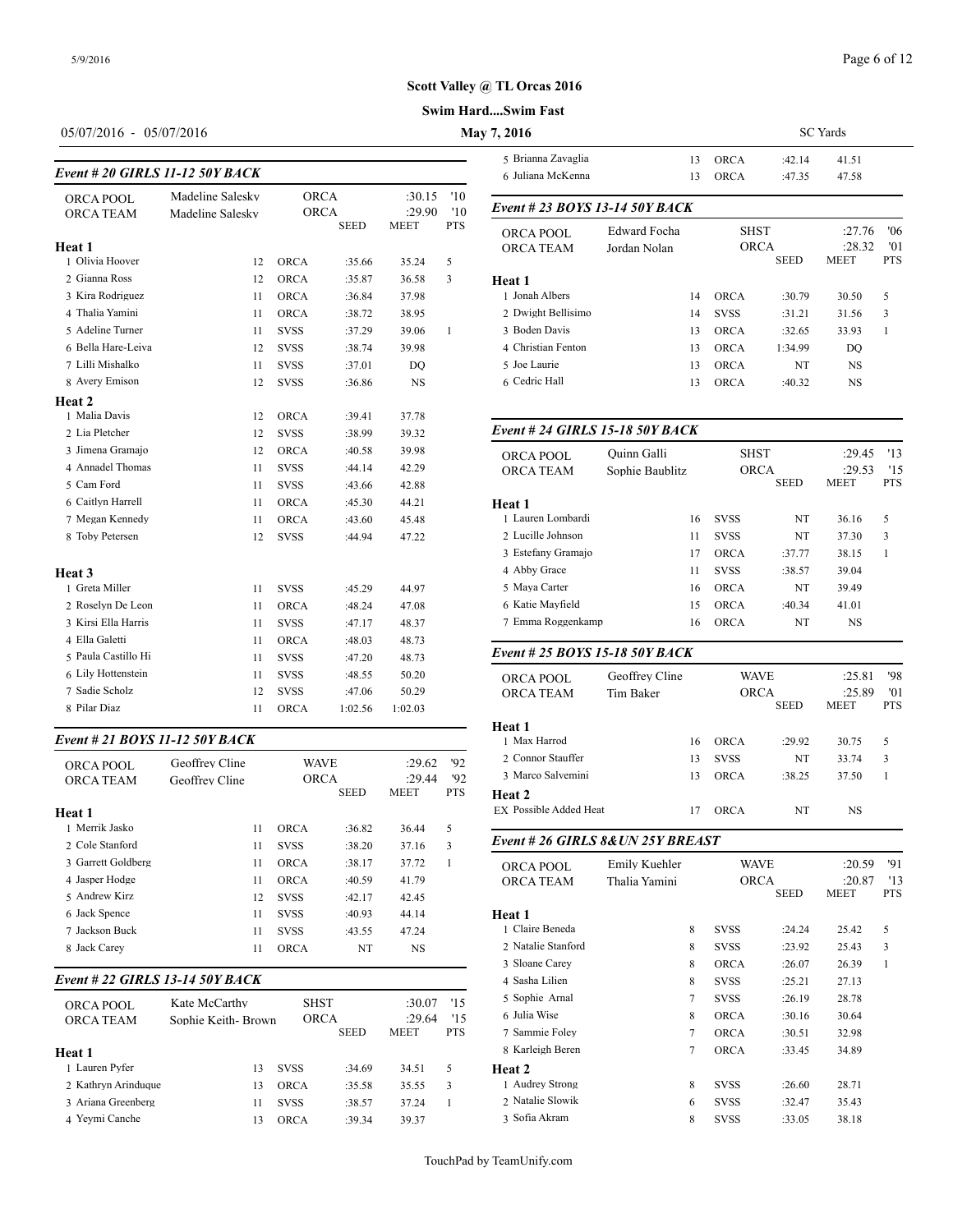## Page 6 of 12

## **Scott Valley @ TL Orcas 2016**

#### **Swim Hard....Swim Fast**

# 05/07/2016 - 05/07/2016 **May**

| Event # 20 GIRLS 11-12 50Y BACK | 6 Juliana McKenn |                            |         |                |                   |                                      |
|---------------------------------|------------------|----------------------------|---------|----------------|-------------------|--------------------------------------|
| ORCA POOL                       | Madeline Salesky | <b>ORCA</b>                |         | :30.15         | '10               | Event # 23 BOY                       |
| <b>ORCA TEAM</b>                | Madeline Salesky | <b>ORCA</b><br><b>SEED</b> |         | :29.90<br>MEET | '10<br><b>PTS</b> |                                      |
| Heat 1                          |                  |                            |         |                |                   | <b>ORCA POOL</b><br><b>ORCA TEAM</b> |
| 1 Olivia Hoover                 | 12               | <b>ORCA</b>                | :35.66  | 35.24          | 5                 |                                      |
| 2 Gianna Ross                   | 12               | <b>ORCA</b>                | :35.87  | 36.58          | 3                 | Heat 1                               |
| 3 Kira Rodriguez                | 11               | <b>ORCA</b>                | :36.84  | 37.98          |                   | 1 Jonah Albers                       |
| 4 Thalia Yamini                 | 11               | <b>ORCA</b>                | :38.72  | 38.95          |                   | 2 Dwight Bellisim                    |
| 5 Adeline Turner                | 11               | <b>SVSS</b>                | :37.29  | 39.06          | $\mathbf{1}$      | 3 Boden Davis                        |
| 6 Bella Hare-Leiva              | 12               | <b>SVSS</b>                | :38.74  | 39.98          |                   | 4 Christian Fentor                   |
| 7 Lilli Mishalko                | 11               | <b>SVSS</b>                | :37.01  | DO             |                   | 5 Joe Laurie                         |
| 8 Avery Emison                  | 12               | <b>SVSS</b>                | :36.86  | NS             |                   | 6 Cedric Hall                        |
| Heat 2                          |                  |                            |         |                |                   |                                      |
| 1 Malia Davis                   | 12               | <b>ORCA</b>                | :39.41  | 37.78          |                   |                                      |
| 2 Lia Pletcher                  | 12               | <b>SVSS</b>                | :38.99  | 39.32          |                   | Event # 24 GIRI                      |
| 3 Jimena Gramajo                | 12               | <b>ORCA</b>                | :40.58  | 39.98          |                   | ORCA POOL                            |
| 4 Annadel Thomas                | 11               | <b>SVSS</b>                | :44.14  | 42.29          |                   | <b>ORCA TEAM</b>                     |
| 5 Cam Ford                      | 11               | <b>SVSS</b>                | :43.66  | 42.88          |                   |                                      |
| 6 Caitlyn Harrell               | 11               | <b>ORCA</b>                | :45.30  | 44.21          |                   | Heat 1                               |
| 7 Megan Kennedy                 | 11               | <b>ORCA</b>                | :43.60  | 45.48          |                   | 1 Lauren Lombard                     |
| 8 Toby Petersen                 | 12               | <b>SVSS</b>                | :44.94  | 47.22          |                   | 2 Lucille Johnson                    |
|                                 |                  |                            |         |                |                   | 3 Estefany Grama                     |
| Heat <sub>3</sub>               |                  |                            |         |                |                   | 4 Abby Grace                         |
| 1 Greta Miller                  | 11               | <b>SVSS</b>                | :45.29  | 44.97          |                   | 5 Maya Carter                        |
| 2 Roselyn De Leon               | 11               | <b>ORCA</b>                | :48.24  | 47.08          |                   | 6 Katie Mayfield                     |
| 3 Kirsi Ella Harris             | 11               | <b>SVSS</b>                | :47.17  | 48.37          |                   | 7 Emma Roggenk                       |
| 4 Ella Galetti                  | 11               | <b>ORCA</b>                | :48.03  | 48.73          |                   |                                      |
| 5 Paula Castillo Hi             | 11               | <b>SVSS</b>                | :47.20  | 48.73          |                   | Event # 25 $BOY$                     |
| 6 Lily Hottenstein              | 11               | <b>SVSS</b>                | :48.55  | 50.20          |                   | <b>ORCA POOL</b>                     |
| 7 Sadie Scholz                  | 12               | <b>SVSS</b>                | :47.06  | 50.29          |                   | <b>ORCA TEAM</b>                     |
| 8 Pilar Diaz                    | 11               | <b>ORCA</b>                | 1:02.56 | 1:02.03        |                   |                                      |

#### *Event # 21 BOYS 11-12 50Y BACK*

| ORCA POOL<br><b>ORCA TEAM</b><br>Heat 1 | Geoffrey Cline<br>Geoffrey Cline | <b>WAVE</b><br><b>ORCA</b> | <b>SEED</b> | :29.62<br>:29.44<br><b>MEET</b> | 92<br>92<br><b>PTS</b> | 2 Connor Stauffer<br>3 Marco Salvemir<br>Heat 2<br>EX Possible Added |
|-----------------------------------------|----------------------------------|----------------------------|-------------|---------------------------------|------------------------|----------------------------------------------------------------------|
| 1 Merrik Jasko                          | 11                               | <b>ORCA</b>                | :36.82      | 36.44                           | 5                      |                                                                      |
| 2. Cole Stanford                        | 11                               | <b>SVSS</b>                | :38.20      | 37.16                           | 3                      | Event # 26 GIRI                                                      |
| 3 Garrett Goldberg                      | 11                               | <b>ORCA</b>                | :38.17      | 37.72                           | 1                      | ORCA POOL                                                            |
| 4 Jasper Hodge                          | 11                               | <b>ORCA</b>                | :40.59      | 41.79                           |                        | <b>ORCA TEAM</b>                                                     |
| 5 Andrew Kirz                           | 12                               | <b>SVSS</b>                | :42.17      | 42.45                           |                        |                                                                      |
| 6 Jack Spence                           | 11                               | <b>SVSS</b>                | :40.93      | 44.14                           |                        | Heat 1                                                               |
| 7 Jackson Buck                          | 11                               | <b>SVSS</b>                | :43.55      | 47.24                           |                        | 1 Claire Beneda                                                      |
| 8 Jack Carey                            | 11                               | <b>ORCA</b>                | NT          | NS                              |                        | 2 Natalie Stanford                                                   |
|                                         |                                  |                            |             |                                 |                        |                                                                      |

## *Event # 22 GIRLS 13-14 50Y BACK*

| ORCA POOL           | Kate McCarthy      | <b>SHST</b> |             | :30.07      | '15        | 5 Sophie Arnal   |
|---------------------|--------------------|-------------|-------------|-------------|------------|------------------|
| <b>ORCA TEAM</b>    | Sophie Keith-Brown | ORCA        |             | :29.64      | '15        | 6 Julia Wise     |
|                     |                    |             | <b>SEED</b> | <b>MEET</b> | <b>PTS</b> | 7 Sammie Foley   |
| Heat 1              |                    |             |             |             |            | 8 Karleigh Beren |
| 1 Lauren Pyfer      | 13                 | <b>SVSS</b> | :34.69      | 34.51       | 5          | Heat 2           |
| 2 Kathryn Arinduque | 13                 | ORCA        | :35.58      | 35.55       | 3          | 1 Audrey Strong  |
| 3 Ariana Greenberg  | 11                 | <b>SVSS</b> | :38.57      | 37.24       |            | 2 Natalie Slowik |
| 4 Yevmi Canche      | 13                 | ORCA        | :39.34      | 39.37       |            | 3 Sofia Akram    |

| 7,2016                           |              | <b>SC</b> Yards |             |             |        |            |  |  |
|----------------------------------|--------------|-----------------|-------------|-------------|--------|------------|--|--|
| 5 Brianna Zavaglia               |              | 13              | <b>ORCA</b> | :42.14      | 41.51  |            |  |  |
| 6 Juliana McKenna                |              | 13              | <b>ORCA</b> | :47.35      | 47.58  |            |  |  |
| Event # 23 BOYS 13-14 50Y BACK   |              |                 |             |             |        |            |  |  |
| <b>Edward Focha</b><br>ORCA POOL |              |                 | <b>SHST</b> |             | :27.76 | '06        |  |  |
| <b>ORCA TEAM</b>                 | Jordan Nolan | <b>ORCA</b>     |             |             | :28.32 | '01        |  |  |
|                                  |              |                 |             | <b>SEED</b> | MEET   | <b>PTS</b> |  |  |
| Heat 1                           |              |                 |             |             |        |            |  |  |
| 1 Jonah Albers                   |              | 14              | <b>ORCA</b> | :30.79      | 30.50  | 5          |  |  |
| 2 Dwight Bellisimo               |              | 14              | <b>SVSS</b> | :31.21      | 31.56  | 3          |  |  |
| 3 Boden Davis                    |              | 13              | <b>ORCA</b> | :32.65      | 33.93  | 1          |  |  |
| 4 Christian Fenton               |              | 13              | <b>ORCA</b> | 1:34.99     | DO     |            |  |  |
| 5 Joe Laurie                     |              | 13              | <b>ORCA</b> | NT          | NS     |            |  |  |
| 6 Cedric Hall                    |              | 13              | <b>ORCA</b> | :40.32      | NS     |            |  |  |
|                                  |              |                 |             |             |        |            |  |  |

| Event # 24 GIRLS 15-18 50Y BACK |                 |                            |             |                       |                   |
|---------------------------------|-----------------|----------------------------|-------------|-----------------------|-------------------|
| <b>ORCA POOL</b>                | Ouinn Galli     |                            | <b>SHST</b> |                       | 13                |
| <b>ORCA TEAM</b>                | Sophie Baublitz | <b>ORCA</b><br><b>SEED</b> |             | :29.53<br><b>MEET</b> | '15<br><b>PTS</b> |
| Heat 1                          |                 |                            |             |                       |                   |
| 1 Lauren Lombardi               | 16              | <b>SVSS</b>                | NT          | 36.16                 | 5                 |
| 2 Lucille Johnson               | 11              | <b>SVSS</b>                | NT          | 37.30                 | 3                 |
| 3 Estefany Gramajo              | 17              | <b>ORCA</b>                | :37.77      | 38.15                 | 1                 |
| 4 Abby Grace                    | 11              | <b>SVSS</b>                | :38.57      | 39.04                 |                   |
| 5 Maya Carter                   | 16              | <b>ORCA</b>                | NT          | 39.49                 |                   |
| 6 Katie Mayfield                | 15              | <b>ORCA</b>                | :40.34      | 41.01                 |                   |
| 7 Emma Roggenkamp               | 16              | <b>ORCA</b>                | NT          | <b>NS</b>             |                   |
| Event # 25 BOYS 15-18 50Y BACK  |                 |                            |             |                       |                   |
| ORCA POOL                       | Geoffrey Cline  | <b>WAVE</b>                |             | :25.81                | '98               |
| <b>ORCA TEAM</b>                | Tim Baker       | <b>ORCA</b>                | <b>SEED</b> | :25.89<br><b>MEET</b> | '01<br><b>PTS</b> |
| Heat 1                          |                 |                            |             |                       |                   |
| 1 Max Harrod                    | 16              | <b>ORCA</b>                | :29.92      | 30.75                 | 5                 |
| 2 Connor Stauffer               | 13              | <b>SVSS</b>                | NT          | 33.74                 | 3                 |
| 3 Marco Salvemini               | 13              | <b>ORCA</b>                | :38.25      | 37.50                 | 1                 |
| Heat 2                          |                 |                            |             |                       |                   |
| <b>EX Possible Added Heat</b>   | 17              | <b>ORCA</b>                | NT          | <b>NS</b>             |                   |

## SEED MEET PTS 7 Sammie Foley 7 ORCA :30.51 32.98 *Event # 26 GIRLS 8&UN 25Y BREAST* ORCA POOL Emily Kuehler WAVE :20.59 '91<br>
ORCA TEAM Thalia Yamini ORCA :20.87 '13 ORCA TEAM Thalia Yamini ORCA :20.87 '13 **MEET Heat 1** 1 Claire Beneda 8 SVSS :24.24 25.42 5 2 Natalie Stanford 8 SVSS :23.92 25.43 3 3 Sloane Carey 8 ORCA :26.07 26.39 1 4 Sasha Lilien 8 SVSS :25.21 27.13 5 Sophie Arnal 7 SVSS :26.19 28.78 6 Julia Wise 8 ORCA :30.16 30.64 8 Karleigh Beren 7 ORCA :33.45 34.89 **Heat 2** 1 Audrey Strong 8 SVSS :26.60 28.71 2 Natalie Slowik 6 SVSS :32.47 35.43 3 Sofia Akram 8 SVSS :33.05 38.18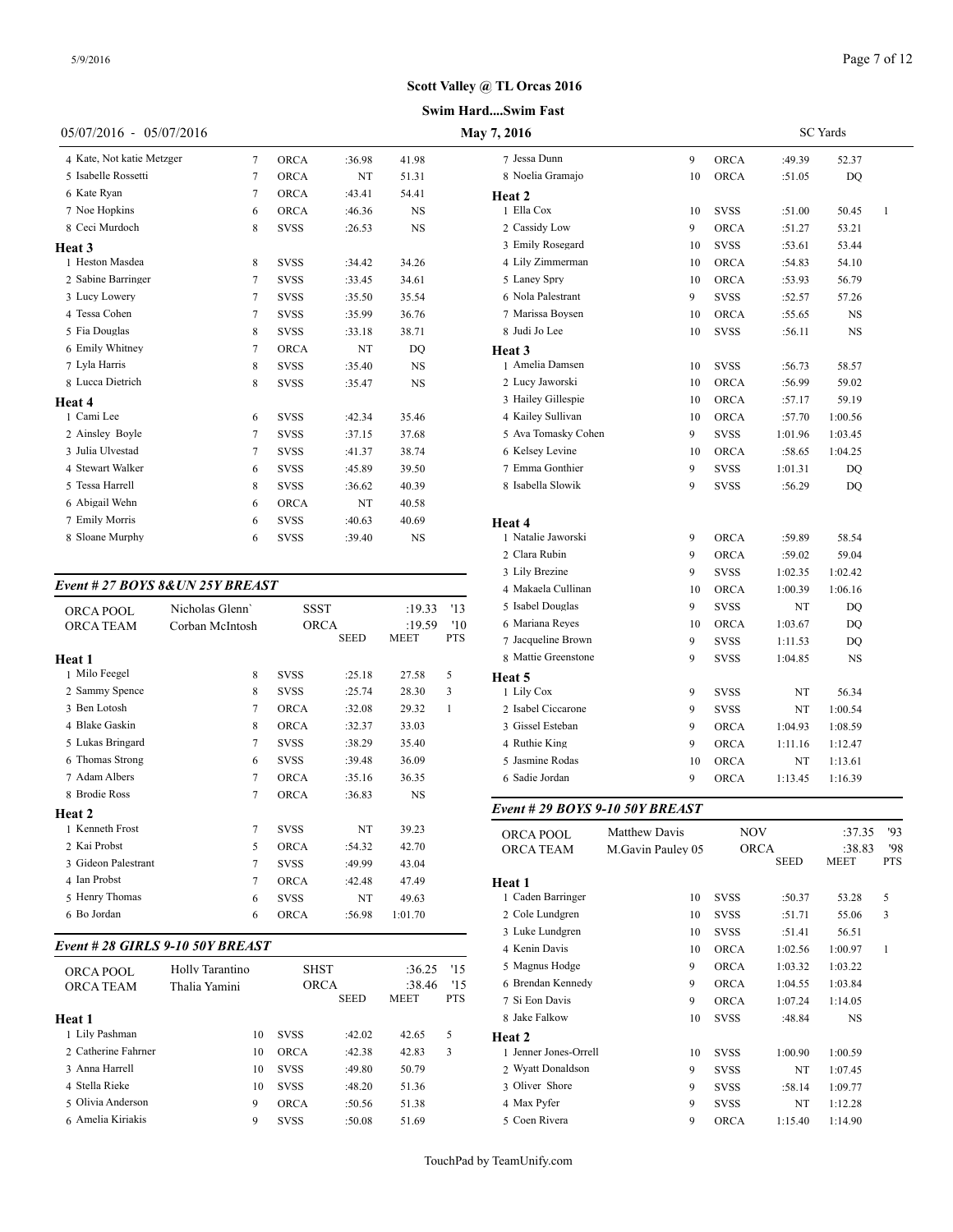#### **Swim Hard....Swim Fast**

| 05/07/2016 - 05/07/2016   |   |             |        |           | May 7, 2016      |
|---------------------------|---|-------------|--------|-----------|------------------|
| 4 Kate, Not katie Metzger | 7 | <b>ORCA</b> | :36.98 | 41.98     | 7 Jessa Dunn     |
| 5 Isabelle Rossetti       | 7 | <b>ORCA</b> | NT     | 51.31     | 8 Noelia Grama   |
| 6 Kate Ryan               | 7 | <b>ORCA</b> | :43.41 | 54.41     | Heat 2           |
| 7 Noe Hopkins             | 6 | <b>ORCA</b> | :46.36 | <b>NS</b> | 1 Ella Cox       |
| 8 Ceci Murdoch            | 8 | <b>SVSS</b> | :26.53 | <b>NS</b> | 2 Cassidy Low    |
| <b>Heat 3</b>             |   |             |        |           | 3 Emily Rosega   |
| 1 Heston Masdea           | 8 | <b>SVSS</b> | :34.42 | 34.26     | 4 Lily Zimmern   |
| 2 Sabine Barringer        | 7 | <b>SVSS</b> | :33.45 | 34.61     | 5 Laney Spry     |
| 3 Lucy Lowery             | 7 | <b>SVSS</b> | :35.50 | 35.54     | 6 Nola Palestrar |
| 4 Tessa Cohen             | 7 | <b>SVSS</b> | :35.99 | 36.76     | 7 Marissa Boyse  |
| 5 Fia Douglas             | 8 | <b>SVSS</b> | :33.18 | 38.71     | 8 Judi Jo Lee    |
| 6 Emily Whitney           | 7 | <b>ORCA</b> | NT     | DO        | Heat 3           |
| 7 Lyla Harris             | 8 | <b>SVSS</b> | :35.40 | <b>NS</b> | 1 Amelia Dams    |
| 8 Lucca Dietrich          | 8 | <b>SVSS</b> | :35.47 | <b>NS</b> | 2 Lucy Jaworski  |
| Heat 4                    |   |             |        |           | 3 Hailey Gillesp |
| 1 Cami Lee                | 6 | <b>SVSS</b> | :42.34 | 35.46     | 4 Kailey Sulliva |
| 2 Ainsley Boyle           | 7 | <b>SVSS</b> | :37.15 | 37.68     | 5 Ava Tomasky    |
| 3 Julia Ulvestad          | 7 | <b>SVSS</b> | :41.37 | 38.74     | 6 Kelsey Levine  |
| 4 Stewart Walker          | 6 | <b>SVSS</b> | :45.89 | 39.50     | 7 Emma Gonthi    |
| 5 Tessa Harrell           | 8 | <b>SVSS</b> | :36.62 | 40.39     | 8 Isabella Slowi |
| 6 Abigail Wehn            | 6 | <b>ORCA</b> | NT     | 40.58     |                  |
| 7 Emily Morris            | 6 | <b>SVSS</b> | :40.63 | 40.69     | Heat 4           |
| 8 Sloane Murphy           | 6 | <b>SVSS</b> | :39.40 | <b>NS</b> | 1 Natalie Jawors |

## *Event # 27 BOYS 8&UN 25Y BREAST*

| <b>ORCA POOL</b><br><b>ORCA TEAM</b> | Nicholas Glenn'<br>Corban McIntosh | <b>SSST</b><br><b>ORCA</b> | <b>SEED</b> | :19.33<br>:19.59<br><b>MEET</b> | '13<br>'10<br><b>PTS</b> | 5 Isabel Douglas<br>6 Mariana Reyes<br>7 Jacqueline Brow |
|--------------------------------------|------------------------------------|----------------------------|-------------|---------------------------------|--------------------------|----------------------------------------------------------|
| Heat 1                               |                                    |                            |             |                                 |                          | 8 Mattie Greensto                                        |
| 1 Milo Feegel                        | 8                                  | <b>SVSS</b>                | :25.18      | 27.58                           | 5                        | Heat 5                                                   |
| 2 Sammy Spence                       | 8                                  | <b>SVSS</b>                | :25.74      | 28.30                           | 3                        | 1 Lily Cox                                               |
| 3 Ben Lotosh                         | $\overline{7}$                     | <b>ORCA</b>                | :32.08      | 29.32                           | 1                        | 2 Isabel Ciccarone                                       |
| 4 Blake Gaskin                       | 8                                  | <b>ORCA</b>                | :32.37      | 33.03                           |                          | 3 Gissel Esteban                                         |
| 5 Lukas Bringard                     | 7                                  | <b>SVSS</b>                | :38.29      | 35.40                           |                          | 4 Ruthie King                                            |
| 6 Thomas Strong                      | 6                                  | <b>SVSS</b>                | :39.48      | 36.09                           |                          | 5 Jasmine Rodas                                          |
| 7 Adam Albers                        | 7                                  | <b>ORCA</b>                | :35.16      | 36.35                           |                          | 6 Sadie Jordan                                           |
| 8 Brodie Ross                        | 7                                  | <b>ORCA</b>                | :36.83      | <b>NS</b>                       |                          |                                                          |
| Heat 2                               |                                    |                            |             |                                 |                          | Event # 29 $BOY$                                         |
| 1 Kenneth Frost                      | 7                                  | <b>SVSS</b>                | NT          | 39.23                           |                          | ORCA POOL                                                |
| 2 Kai Probst                         | 5                                  | <b>ORCA</b>                | :54.32      | 42.70                           |                          | <b>ORCA TEAM</b>                                         |
| 3 Gideon Palestrant                  | 7                                  | <b>SVSS</b>                | :49.99      | 43.04                           |                          |                                                          |
| 4 Ian Probst                         | $\overline{7}$                     | <b>ORCA</b>                | :42.48      | 47.49                           |                          | Heat 1                                                   |
| 5 Henry Thomas                       | 6                                  | <b>SVSS</b>                | NT          | 49.63                           |                          | 1 Caden Barringer                                        |
| 6 Bo Jordan                          | 6                                  | <b>ORCA</b>                | :56.98      | 1:01.70                         |                          | 2 Cole Lundgren                                          |
|                                      |                                    |                            |             |                                 |                          | 3 Luke Lundgren                                          |
|                                      | Event # 28 GIRLS 9-10 50Y BREAST   |                            |             |                                 |                          | 4 Kenin Davis                                            |
| <b>ORCA POOL</b>                     | Holly Tarantino                    | <b>SHST</b>                |             | :36.25                          | '15                      | 5 Magnus Hodge                                           |
| <b>ORCA TEAM</b>                     | Thalia Yamini                      | <b>ORCA</b>                | <b>SEED</b> | :38.46<br><b>MEET</b>           | '15<br><b>PTS</b>        | 6 Brendan Kenned<br>7 Si Eon Davis                       |
|                                      |                                    |                            |             |                                 |                          |                                                          |

| Heat 1               |    |             |        |       |   | 8 Jake Falk  |
|----------------------|----|-------------|--------|-------|---|--------------|
| 1 Lily Pashman       | 10 | <b>SVSS</b> | :42.02 | 42.65 | 5 | Heat 2       |
| 2. Catherine Fahrner | 10 | <b>ORCA</b> | :42.38 | 42.83 | 3 | 1 Jenner Jor |
| 3 Anna Harrell       | 10 | <b>SVSS</b> | :49.80 | 50.79 |   | 2 Wyatt Do   |
| 4 Stella Rieke       | 10 | <b>SVSS</b> | :48.20 | 51.36 |   | 3 Oliver Sh  |
| 5 Olivia Anderson    | 9  | ORCA        | :50.56 | 51.38 |   | 4 Max Pyfe   |
| 6 Amelia Kiriakis    | 9  | <b>SVSS</b> | :50.08 | 51.69 |   | 5 Coen Riv   |
|                      |    |             |        |       |   |              |

| May 7, 2016         |    | <b>SC</b> Yards |         |         |              |  |  |
|---------------------|----|-----------------|---------|---------|--------------|--|--|
| 7 Jessa Dunn        | 9  | <b>ORCA</b>     | :49.39  | 52.37   |              |  |  |
| 8 Noelia Gramajo    | 10 | <b>ORCA</b>     | :51.05  | DQ      |              |  |  |
| Heat 2              |    |                 |         |         |              |  |  |
| 1 Ella Cox          | 10 | <b>SVSS</b>     | :51.00  | 50.45   | $\mathbf{1}$ |  |  |
| 2 Cassidy Low       | 9  | ORCA            | :51.27  | 53.21   |              |  |  |
| 3 Emily Rosegard    | 10 | <b>SVSS</b>     | :53.61  | 53.44   |              |  |  |
| 4 Lily Zimmerman    | 10 | <b>ORCA</b>     | :54.83  | 54.10   |              |  |  |
| 5 Laney Spry        | 10 | <b>ORCA</b>     | :53.93  | 56.79   |              |  |  |
| 6 Nola Palestrant   | 9  | <b>SVSS</b>     | :52.57  | 57.26   |              |  |  |
| 7 Marissa Boysen    | 10 | <b>ORCA</b>     | :55.65  | NS      |              |  |  |
| 8 Judi Jo Lee       | 10 | <b>SVSS</b>     | :56.11  | NS      |              |  |  |
| Heat 3              |    |                 |         |         |              |  |  |
| 1 Amelia Damsen     | 10 | <b>SVSS</b>     | :56.73  | 58.57   |              |  |  |
| 2 Lucy Jaworski     | 10 | <b>ORCA</b>     | :56.99  | 59.02   |              |  |  |
| 3 Hailey Gillespie  | 10 | <b>ORCA</b>     | :57.17  | 59.19   |              |  |  |
| 4 Kailey Sullivan   | 10 | <b>ORCA</b>     | :57.70  | 1:00.56 |              |  |  |
| 5 Ava Tomasky Cohen | 9  | <b>SVSS</b>     | 1:01.96 | 1:03.45 |              |  |  |
| 6 Kelsey Levine     | 10 | ORCA            | :58.65  | 1:04.25 |              |  |  |
| 7 Emma Gonthier     | 9  | <b>SVSS</b>     | 1:01.31 | DQ      |              |  |  |
| 8 Isabella Slowik   | 9  | <b>SVSS</b>     | :56.29  | DQ      |              |  |  |
| Heat 4              |    |                 |         |         |              |  |  |
| 1 Natalie Jaworski  | 9  | <b>ORCA</b>     | :59.89  | 58.54   |              |  |  |
| 2 Clara Rubin       | 9  | <b>ORCA</b>     | :59.02  | 59.04   |              |  |  |
| 3 Lily Brezine      | 9  | <b>SVSS</b>     | 1:02.35 | 1:02.42 |              |  |  |
| 4 Makaela Cullinan  | 10 | <b>ORCA</b>     | 1:00.39 | 1:06.16 |              |  |  |
| 5 Isabel Douglas    | 9  | <b>SVSS</b>     | NT      | DQ      |              |  |  |
| 6 Mariana Reyes     | 10 | <b>ORCA</b>     | 1:03.67 | DQ      |              |  |  |
| 7 Jacqueline Brown  | 9  | SVSS            | 1:11.53 | DQ      |              |  |  |
| 8 Mattie Greenstone | 9  | <b>SVSS</b>     | 1:04.85 | NS      |              |  |  |
| Heat 5              |    |                 |         |         |              |  |  |
| 1 Lily Cox          | 9  | <b>SVSS</b>     | NT      | 56.34   |              |  |  |
| 2 Isabel Ciccarone  | 9  | <b>SVSS</b>     | NT      | 1:00.54 |              |  |  |
| 3 Gissel Esteban    | 9  | ORCA            | 1:04.93 | 1:08.59 |              |  |  |
| 4 Ruthie King       | 9  | ORCA            | 1:11.16 | 1:12.47 |              |  |  |
| 5 Jasmine Rodas     | 10 | <b>ORCA</b>     | NT      | 1:13.61 |              |  |  |
| 6 Sadie Jordan      | 9  | ORCA            | 1:13.45 | 1:16.39 |              |  |  |

#### *Event # 29 BOYS 9-10 50Y BREAST*

| ORCA POOL             | <b>Matthew Davis</b> | <b>NOV</b>  |             | :37.35    | 93         |  |
|-----------------------|----------------------|-------------|-------------|-----------|------------|--|
| <b>ORCA TEAM</b>      | M.Gavin Pauley 05    |             | <b>ORCA</b> | :38.83    | '98        |  |
|                       |                      |             | SEED        | MEET      | <b>PTS</b> |  |
| Heat 1                |                      |             |             |           |            |  |
| 1 Caden Barringer     | 10                   | <b>SVSS</b> | :50.37      | 53.28     | 5          |  |
| 2 Cole Lundgren       | 10                   | <b>SVSS</b> | :51.71      | 55.06     | 3          |  |
| 3 Luke Lundgren       | 10                   | <b>SVSS</b> | :51.41      | 56.51     |            |  |
| 4 Kenin Davis         | 10                   | <b>ORCA</b> | 1:02.56     | 1:00.97   | 1          |  |
| 5 Magnus Hodge        | 9                    | <b>ORCA</b> | 1:03.32     | 1:03.22   |            |  |
| 6 Brendan Kennedy     | 9                    | <b>ORCA</b> | 1:04.55     | 1:03.84   |            |  |
| 7 Si Eon Davis        | 9                    | <b>ORCA</b> | 1:07.24     | 1:14.05   |            |  |
| 8 Jake Falkow         | 10                   | <b>SVSS</b> | :48.84      | <b>NS</b> |            |  |
| Heat 2                |                      |             |             |           |            |  |
| 1 Jenner Jones-Orrell | 10                   | <b>SVSS</b> | 1:00.90     | 1:00.59   |            |  |
| 2 Wyatt Donaldson     | 9                    | <b>SVSS</b> | NT          | 1:07.45   |            |  |
| 3 Oliver Shore        | 9                    | <b>SVSS</b> | :58.14      | 1:09.77   |            |  |
| 4 Max Pyfer           | 9                    | <b>SVSS</b> | NT          | 1:12.28   |            |  |
| 5 Coen Rivera         | 9                    | <b>ORCA</b> | 1:15.40     | 1:14.90   |            |  |
|                       |                      |             |             |           |            |  |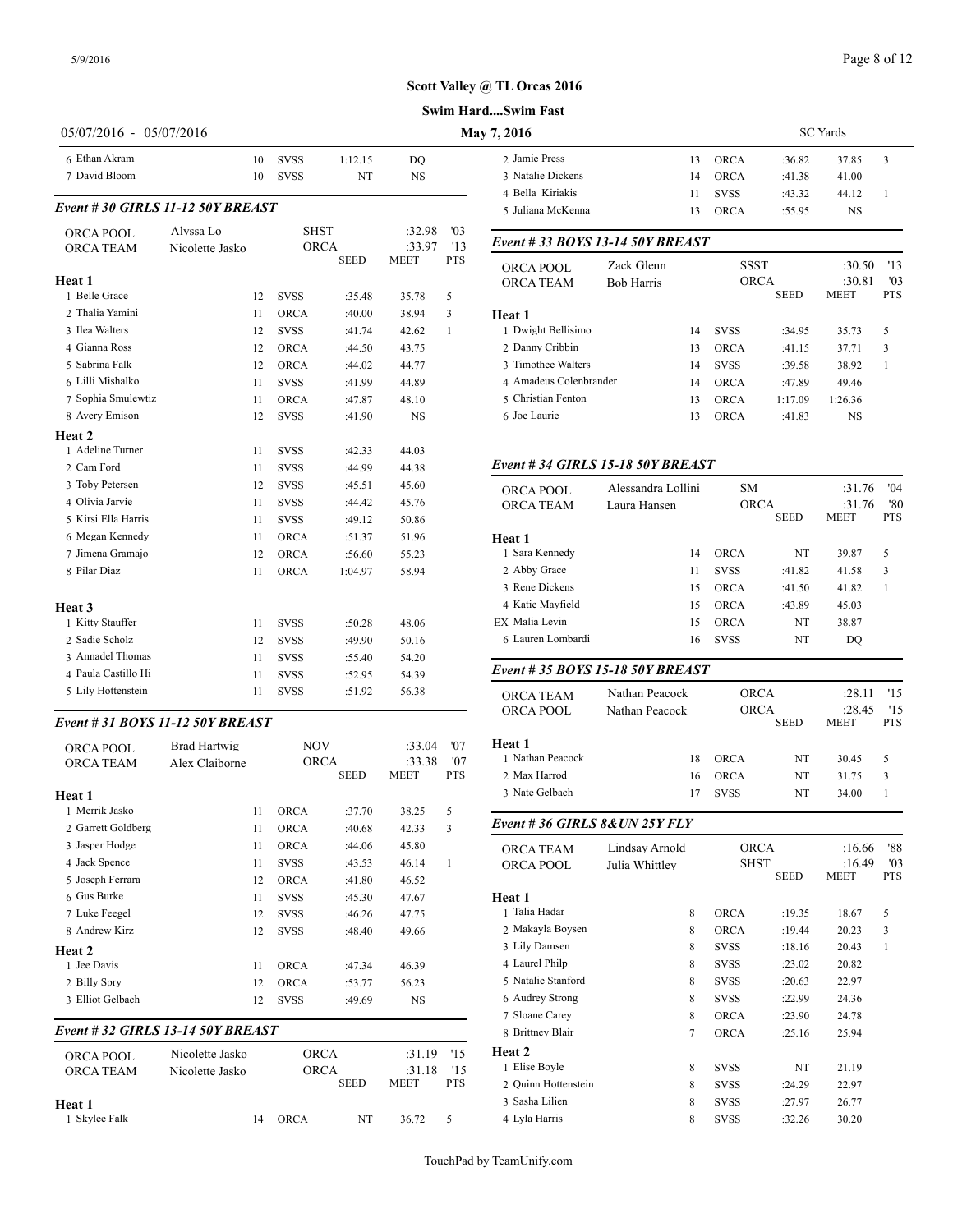#### **Swim Hard....Swim Fast**

| 6 Ethan Akram<br>7 David Bloom<br>Event #30 GIRLS 11-12 50Y BREAST | 10                           | 10 | <b>SVSS</b>                |                  |                  |              |                                                        |                   |
|--------------------------------------------------------------------|------------------------------|----|----------------------------|------------------|------------------|--------------|--------------------------------------------------------|-------------------|
|                                                                    |                              |    | <b>SVSS</b>                | 1:12.15<br>NT    | DO<br><b>NS</b>  |              | 2 Jamie Press<br>3 Natalie Dickens<br>4 Bella Kiriakis |                   |
|                                                                    |                              |    |                            |                  |                  |              | 5 Juliana McKenna                                      |                   |
| <b>ORCA POOL</b><br><b>ORCA TEAM</b>                               | Alvssa Lo<br>Nicolette Jasko |    | <b>SHST</b><br><b>ORCA</b> |                  | :32.98<br>:33.97 | '03<br>'13   | Event # 33 BOYS 13-14 50Y B                            |                   |
|                                                                    |                              |    |                            | <b>SEED</b>      | MEET             | PTS          | ORCA POOL                                              | Zack Glen         |
| Heat 1                                                             |                              |    |                            |                  |                  |              | <b>ORCA TEAM</b>                                       | <b>Bob Harris</b> |
| 1 Belle Grace                                                      | 12                           |    | <b>SVSS</b>                | :35.48           | 35.78            | 5            |                                                        |                   |
| 2 Thalia Yamini                                                    | 11                           |    | <b>ORCA</b>                | :40.00           | 38.94            | 3            | Heat 1                                                 |                   |
| 3 Ilea Walters<br>4 Gianna Ross                                    | 12                           |    | <b>SVSS</b>                | :41.74           | 42.62            | $\mathbf{1}$ | 1 Dwight Bellisimo                                     |                   |
| 5 Sabrina Falk                                                     | 12                           |    | <b>ORCA</b>                | :44.50           | 43.75            |              | 2 Danny Cribbin<br>3 Timothee Walters                  |                   |
| 6 Lilli Mishalko                                                   | 12                           |    | <b>ORCA</b>                | :44.02           | 44.77            |              | 4 Amadeus Colenbrander                                 |                   |
| 7 Sophia Smulewtiz                                                 | 11                           |    | <b>SVSS</b>                | :41.99           | 44.89            |              | 5 Christian Fenton                                     |                   |
| 8 Avery Emison                                                     | 11<br>12                     |    | <b>ORCA</b><br><b>SVSS</b> | :47.87           | 48.10            |              | 6 Joe Laurie                                           |                   |
|                                                                    |                              |    |                            | :41.90           | <b>NS</b>        |              |                                                        |                   |
| Heat 2<br>1 Adeline Turner                                         |                              |    |                            |                  |                  |              |                                                        |                   |
| 2 Cam Ford                                                         | 11<br>11                     |    | <b>SVSS</b><br><b>SVSS</b> | :42.33<br>:44.99 | 44.03<br>44.38   |              | Event # 34 GIRLS 15-18 50Y                             |                   |
| 3 Toby Petersen                                                    | 12                           |    | <b>SVSS</b>                | :45.51           | 45.60            |              |                                                        |                   |
| 4 Olivia Jarvie                                                    | 11                           |    | <b>SVSS</b>                | :44.42           | 45.76            |              | ORCA POOL                                              | Alessandra        |
| 5 Kirsi Ella Harris                                                | 11                           |    | <b>SVSS</b>                | :49.12           | 50.86            |              | <b>ORCA TEAM</b>                                       | Laura Hans        |
| 6 Megan Kennedy                                                    | 11                           |    | <b>ORCA</b>                | :51.37           | 51.96            |              | Heat 1                                                 |                   |
| 7 Jimena Gramajo                                                   | 12                           |    | <b>ORCA</b>                | :56.60           | 55.23            |              | 1 Sara Kennedy                                         |                   |
| 8 Pilar Diaz                                                       | 11                           |    | ORCA                       | 1:04.97          | 58.94            |              | 2 Abby Grace                                           |                   |
|                                                                    |                              |    |                            |                  |                  |              | 3 Rene Dickens                                         |                   |
| Heat <sub>3</sub>                                                  |                              |    |                            |                  |                  |              | 4 Katie Mayfield                                       |                   |
| 1 Kitty Stauffer                                                   | 11                           |    | <b>SVSS</b>                | :50.28           | 48.06            |              | EX Malia Levin                                         |                   |
| 2 Sadie Scholz                                                     | 12                           |    | <b>SVSS</b>                | :49.90           | 50.16            |              | 6 Lauren Lombardi                                      |                   |
| 3 Annadel Thomas                                                   | 11                           |    | <b>SVSS</b>                | :55.40           | 54.20            |              |                                                        |                   |
| 4 Paula Castillo Hi                                                | 11                           |    | <b>SVSS</b>                | :52.95           | 54.39            |              | Event # 35 BOYS 15-18 50Y B                            |                   |
| 5 Lily Hottenstein                                                 | 11                           |    | <b>SVSS</b>                | :51.92           | 56.38            |              | ORCA TEAM                                              | Nathan Pea        |
| Event # 31 BOYS 11-12 50Y BREAST                                   |                              |    |                            |                  |                  |              | ORCA POOL                                              | Nathan Pea        |

| <b>ORCA POOL</b><br><b>ORCA TEAM</b> | <b>Brad Hartwig</b><br>Alex Claiborne | <b>NOV</b><br><b>ORCA</b> | <b>SEED</b> | :33.04<br>:33.38<br><b>MEET</b> | '07<br>'07<br><b>PTS</b> | Heat 1<br>1 Nathan Peacock<br>2 Max Harrod |
|--------------------------------------|---------------------------------------|---------------------------|-------------|---------------------------------|--------------------------|--------------------------------------------|
| Heat 1                               |                                       |                           |             |                                 |                          | 3 Nate Gelbach                             |
| 1 Merrik Jasko                       | 11                                    | <b>ORCA</b>               | :37.70      | 38.25                           | 5                        |                                            |
| 2 Garrett Goldberg                   | 11                                    | <b>ORCA</b>               | :40.68      | 42.33                           | 3                        | Event #36 GIRI                             |
| 3 Jasper Hodge                       | 11                                    | <b>ORCA</b>               | :44.06      | 45.80                           |                          | <b>ORCA TEAM</b>                           |
| 4 Jack Spence                        | 11                                    | <b>SVSS</b>               | :43.53      | 46.14                           | 1                        | ORCA POOL                                  |
| 5 Joseph Ferrara                     | 12                                    | <b>ORCA</b>               | :41.80      | 46.52                           |                          |                                            |
| 6 Gus Burke                          | 11                                    | <b>SVSS</b>               | :45.30      | 47.67                           |                          | Heat 1                                     |
| 7 Luke Feegel                        | 12                                    | <b>SVSS</b>               | :46.26      | 47.75                           |                          | 1 Talia Hadar                              |
| 8 Andrew Kirz                        | 12                                    | <b>SVSS</b>               | :48.40      | 49.66                           |                          | 2 Makayla Boyser                           |
| Heat 2                               |                                       |                           |             |                                 |                          | 3 Lily Damsen                              |
| 1 Jee Davis                          | 11                                    | <b>ORCA</b>               | :47.34      | 46.39                           |                          | 4 Laurel Philp                             |
| 2 Billy Spry                         | 12                                    | <b>ORCA</b>               | :53.77      | 56.23                           |                          | 5 Natalie Stanford                         |
| 3 Elliot Gelbach                     | 12                                    | <b>SVSS</b>               | :49.69      | <b>NS</b>                       |                          | 6 Audrey Strong                            |
|                                      |                                       |                           |             |                                 |                          | 7 Sloane Carey                             |
|                                      | Event # 32 GIRLS 13-14 50Y BREAST     |                           |             |                                 |                          | 8 Brittney Blair                           |
| <b>ORCA POOL</b>                     | Nicolette Jasko                       | <b>ORCA</b>               |             | :31.19                          | '15                      | <b>Heat 2</b>                              |
| <b>ORCA TEAM</b>                     | Nicolette Jasko                       | <b>ORCA</b>               |             | :31.18                          | 15                       | 1 Elise Boyle                              |
|                                      |                                       |                           | <b>SEED</b> | <b>MEET</b>                     | <b>PTS</b>               | 2 Ouinn Hottenste                          |

14 ORCA NT 36.72 5

**Heat 1**

| 7, 2016           |    | <b>SC</b> Yards |        |           |    |  |  |  |  |
|-------------------|----|-----------------|--------|-----------|----|--|--|--|--|
| 2 Jamie Press     | 13 | <b>ORCA</b>     | :36.82 | 37.85     | -3 |  |  |  |  |
| 3 Natalie Dickens | 14 | ORCA            | :41.38 | 41.00     |    |  |  |  |  |
| 4 Bella Kiriakis  | 11 | <b>SVSS</b>     | :43.32 | 44.12     |    |  |  |  |  |
| 5 Juliana McKenna | 13 | ORCA            | :55.95 | <b>NS</b> |    |  |  |  |  |
|                   |    |                 |        |           |    |  |  |  |  |

#### *Event # 33 BOYS 13-14 50Y BREAST*

| ORCA POOL<br><b>ORCA TEAM</b> | Zack Glenn<br><b>Bob Harris</b> |    | <b>SSST</b><br><b>ORCA</b> | <b>SEED</b> | :30.50<br>:30.81<br><b>MEET</b> | '13<br>'03<br><b>PTS</b> |  |
|-------------------------------|---------------------------------|----|----------------------------|-------------|---------------------------------|--------------------------|--|
| Heat 1                        |                                 |    |                            |             |                                 |                          |  |
| 1 Dwight Bellisimo            |                                 | 14 | <b>SVSS</b>                | :34.95      | 35.73                           | 5                        |  |
| 2 Danny Cribbin               |                                 | 13 | ORCA                       | :41.15      | 37.71                           | 3                        |  |
| 3 Timothee Walters            |                                 | 14 | <b>SVSS</b>                | :39.58      | 38.92                           |                          |  |
| 4 Amadeus Colenbrander        |                                 | 14 | <b>ORCA</b>                | :47.89      | 49.46                           |                          |  |
| 5 Christian Fenton            |                                 | 13 | ORCA                       | 1:17.09     | 1:26.36                         |                          |  |
| 6 Joe Laurie                  |                                 | 13 | ORCA                       | :41.83      | NS                              |                          |  |
|                               |                                 |    |                            |             |                                 |                          |  |

# *Event # 34 GIRLS 15-18 50Y BREAST*

| ORCA POOL                     | Alessandra Lollini               | <b>SM</b>   |             | :31.76      | '04        |
|-------------------------------|----------------------------------|-------------|-------------|-------------|------------|
| <b>ORCA TEAM</b>              | Laura Hansen                     | <b>ORCA</b> |             | :31.76      | '80        |
|                               |                                  |             | <b>SEED</b> | <b>MEET</b> | <b>PTS</b> |
| Heat 1                        |                                  |             |             |             |            |
| 1 Sara Kennedy                | 14                               | <b>ORCA</b> | NT          | 39.87       | 5          |
| 2 Abby Grace                  | 11                               | <b>SVSS</b> | :41.82      | 41.58       | 3          |
| 3 Rene Dickens                | 15                               | <b>ORCA</b> | :41.50      | 41.82       | 1          |
| 4 Katie Mayfield              | 15                               | <b>ORCA</b> | :43.89      | 45.03       |            |
| EX Malia Levin                | 15                               | <b>ORCA</b> | NT          | 38.87       |            |
| 6 Lauren Lombardi             | 16                               | <b>SVSS</b> | NT          | DO          |            |
|                               | Event # 35 BOYS 15-18 50Y BREAST |             |             |             |            |
| <b>ORCA TEAM</b>              | Nathan Peacock                   | <b>ORCA</b> |             | :28.11      | '15        |
| ORCA POOL                     | Nathan Peacock                   | <b>ORCA</b> |             | :28.45      | 15         |
|                               |                                  |             | <b>SEED</b> | <b>MEET</b> | <b>PTS</b> |
| Heat 1                        |                                  |             |             |             |            |
| 1 Nathan Peacock              | 18                               | <b>ORCA</b> | NT          | 30.45       | 5          |
| 2 Max Harrod                  | 16                               | <b>ORCA</b> | NT          | 31.75       | 3          |
| 3 Nate Gelbach                | 17                               | <b>SVSS</b> | NT          | 34.00       | 1          |
| Event #36 GIRLS 8& UN 25Y FLY |                                  |             |             |             |            |
| <b>ORCA TEAM</b>              | Lindsay Arnold                   | <b>ORCA</b> |             | :16.66      | '88        |
| <b>ORCA POOL</b>              | Julia Whittlev                   | SHST        |             | :16.49      | '03        |
|                               |                                  |             | <b>SEED</b> | <b>MEET</b> | <b>PTS</b> |

| UNUA FUUL           | лина минису |   | <u> UIIU I</u> |             | .           | v.         |
|---------------------|-------------|---|----------------|-------------|-------------|------------|
|                     |             |   |                | <b>SEED</b> | <b>MEET</b> | <b>PTS</b> |
| <b>Heat 1</b>       |             |   |                |             |             |            |
| 1 Talia Hadar       |             | 8 | <b>ORCA</b>    | :19.35      | 18.67       | 5          |
| 2 Makayla Boysen    |             | 8 | <b>ORCA</b>    | :19.44      | 20.23       | 3          |
| 3 Lily Damsen       |             | 8 | <b>SVSS</b>    | :18.16      | 20.43       | 1          |
| 4 Laurel Philp      |             | 8 | <b>SVSS</b>    | :23.02      | 20.82       |            |
| 5 Natalie Stanford  |             | 8 | <b>SVSS</b>    | :20.63      | 22.97       |            |
| 6 Audrey Strong     |             | 8 | <b>SVSS</b>    | :22.99      | 24.36       |            |
| 7 Sloane Carey      |             | 8 | <b>ORCA</b>    | :23.90      | 24.78       |            |
| 8 Brittney Blair    |             | 7 | <b>ORCA</b>    | :25.16      | 25.94       |            |
| <b>Heat 2</b>       |             |   |                |             |             |            |
| 1 Elise Boyle       |             | 8 | <b>SVSS</b>    | NT          | 21.19       |            |
| 2 Ouinn Hottenstein |             | 8 | <b>SVSS</b>    | :24.29      | 22.97       |            |
| 3 Sasha Lilien      |             | 8 | <b>SVSS</b>    | :27.97      | 26.77       |            |
| 4 Lyla Harris       |             | 8 | <b>SVSS</b>    | :32.26      | 30.20       |            |
|                     |             |   |                |             |             |            |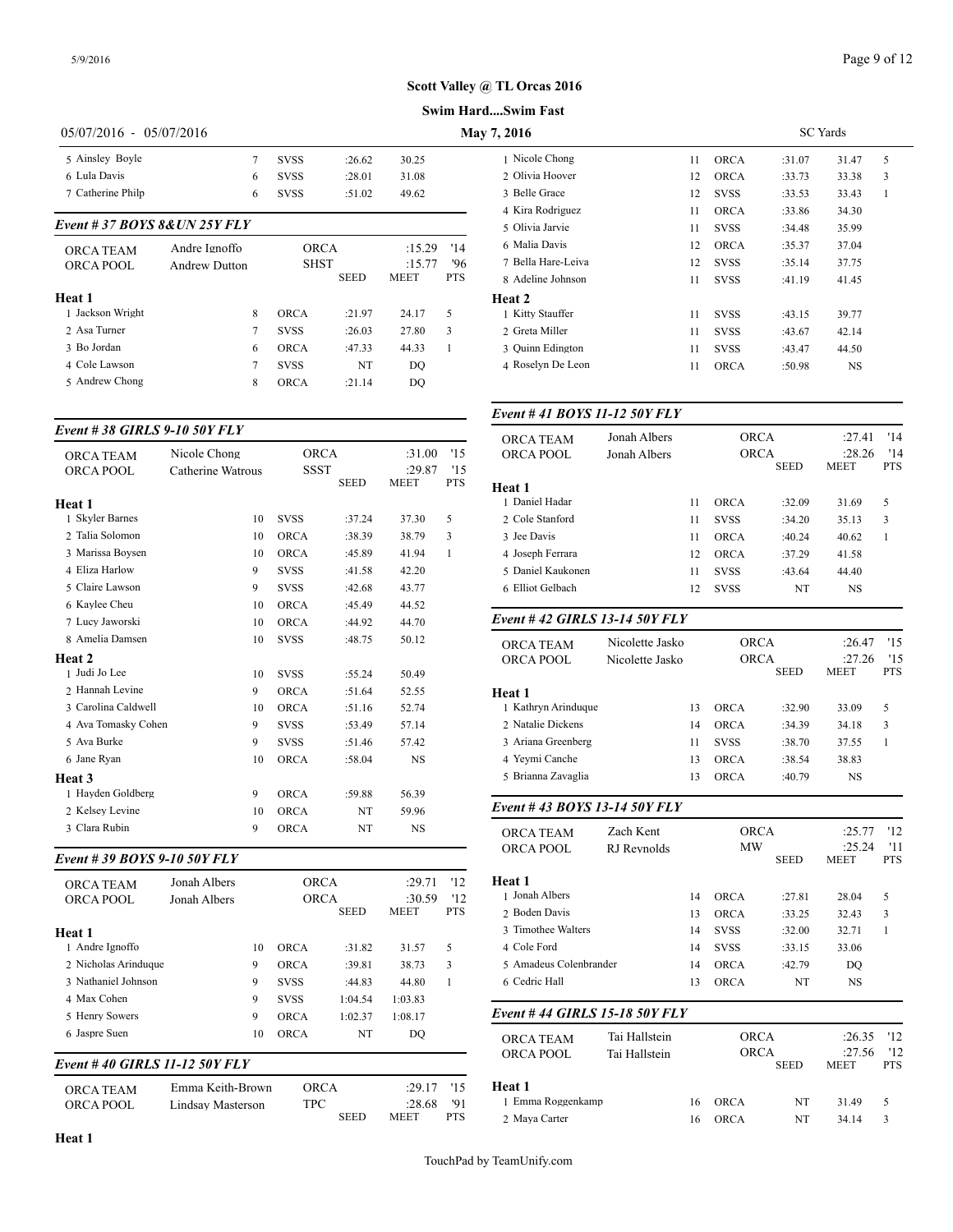**Swim Hard....Swim Fast**

# 05/07/2016 - 05/07/2016 **May**

| 5 Ainsley Boyle               | 7                    | <b>SVSS</b> | :26.62      | 30.25  |            | 1 Nicole Chong    |
|-------------------------------|----------------------|-------------|-------------|--------|------------|-------------------|
| 6 Lula Davis                  | 6                    | <b>SVSS</b> | :28.01      | 31.08  |            | 2 Olivia Hoover   |
| 7 Catherine Philp             | 6                    | <b>SVSS</b> | :51.02      | 49.62  |            | 3 Belle Grace     |
|                               |                      |             |             |        |            | 4 Kira Rodriguez  |
| Event # 37 BOYS 8& UN 25Y FLY |                      |             |             |        |            | 5 Olivia Jarvie   |
| <b>ORCA TEAM</b>              | Andre Ignoffo        |             | <b>ORCA</b> | :15.29 | '14        | 6 Malia Davis     |
| ORCA POOL                     | <b>Andrew Dutton</b> |             | <b>SHST</b> | :15.77 | '96        | 7 Bella Hare-Leiv |
|                               |                      |             | <b>SEED</b> | MEET   | <b>PTS</b> | 8 Adeline Johnsor |
| Heat 1                        |                      |             |             |        |            | Heat 2            |
| 1 Jackson Wright              | 8                    | ORCA        | :21.97      | 24.17  | 5          | 1 Kitty Stauffer  |
| 2 Asa Turner                  | 7                    | <b>SVSS</b> | :26.03      | 27.80  | 3          | 2 Greta Miller    |
| 3 Bo Jordan                   | 6                    | <b>ORCA</b> | :47.33      | 44.33  | 1          | 3 Ouinn Edington  |
| 4 Cole Lawson                 | 7                    | <b>SVSS</b> | NT          | DO.    |            | 4 Roselyn De Leo  |
| 5 Andrew Chong                | 8                    | <b>ORCA</b> | : 21.14     | DO.    |            |                   |

#### *Event # 38 GIRLS 9-10 50Y FLY*

|                     | Nicole Chong      | <b>ORCA</b> |             | :31.00                | '15               | UNUA TEAM         |
|---------------------|-------------------|-------------|-------------|-----------------------|-------------------|-------------------|
| <b>ORCA TEAM</b>    |                   |             |             |                       |                   | <b>ORCA POOL</b>  |
| <b>ORCA POOL</b>    | Catherine Watrous | <b>SSST</b> | <b>SEED</b> | :29.87<br><b>MEET</b> | '15<br><b>PTS</b> | Heat 1            |
| Heat 1              |                   |             |             |                       |                   | 1 Daniel Hadar    |
| 1 Skyler Barnes     | 10                | <b>SVSS</b> | :37.24      | 37.30                 | 5                 | 2 Cole Stanford   |
| 2 Talia Solomon     | 10                | <b>ORCA</b> | :38.39      | 38.79                 | 3                 | 3 Jee Davis       |
| 3 Marissa Boysen    | 10                | <b>ORCA</b> | :45.89      | 41.94                 | $\mathbf{1}$      | 4 Joseph Ferrara  |
| 4 Eliza Harlow      | 9                 | <b>SVSS</b> | :41.58      | 42.20                 |                   | 5 Daniel Kaukone  |
| 5 Claire Lawson     | 9                 | <b>SVSS</b> | :42.68      | 43.77                 |                   | 6 Elliot Gelbach  |
| 6 Kaylee Cheu       | 10                | <b>ORCA</b> | :45.49      | 44.52                 |                   |                   |
| 7 Lucy Jaworski     | 10                | <b>ORCA</b> | :44.92      | 44.70                 |                   | Event #42 GIRI    |
| 8 Amelia Damsen     | 10                | <b>SVSS</b> | :48.75      | 50.12                 |                   | ORCA TEAM         |
| Heat 2              |                   |             |             |                       |                   | <b>ORCA POOL</b>  |
| 1 Judi Jo Lee       | 10                | <b>SVSS</b> | :55.24      | 50.49                 |                   |                   |
| 2 Hannah Levine     | 9                 | <b>ORCA</b> | :51.64      | 52.55                 |                   | Heat 1            |
| 3 Carolina Caldwell | 10                | <b>ORCA</b> | :51.16      | 52.74                 |                   | 1 Kathryn Arindu  |
| 4 Ava Tomasky Cohen | 9                 | <b>SVSS</b> | :53.49      | 57.14                 |                   | 2 Natalie Dickens |
| 5 Ava Burke         | 9                 | <b>SVSS</b> | :51.46      | 57.42                 |                   | 3 Ariana Greenber |
| 6 Jane Ryan         | 10                | <b>ORCA</b> | :58.04      | <b>NS</b>             |                   | 4 Yeymi Canche    |
| Heat 3              |                   |             |             |                       |                   | 5 Brianna Zavagli |
| 1 Hayden Goldberg   | 9                 | <b>ORCA</b> | :59.88      | 56.39                 |                   |                   |
| 2 Kelsev Levine     | 10                | <b>ORCA</b> | NT          | 59.96                 |                   | Event #43 BOY     |
| 3 Clara Rubin       | 9                 | <b>ORCA</b> | NT          | <b>NS</b>             |                   | <b>ORCA TEAM</b>  |

#### *Event # 39 BOYS 9-10 50Y FLY*

| <b>ORCA TEAM</b><br>ORCA POOL | Jonah Albers<br>Jonah Albers |    | <b>ORCA</b><br><b>ORCA</b> |             | :29.71<br>:30.59 | 12<br>'12  | Heat 1<br>1 Jonah Albers |
|-------------------------------|------------------------------|----|----------------------------|-------------|------------------|------------|--------------------------|
|                               |                              |    |                            | <b>SEED</b> | <b>MEET</b>      | <b>PTS</b> | 2 Boden Davis            |
| Heat 1                        |                              |    |                            |             |                  |            | 3 Timothee Walter        |
| 1 Andre Ignoffo               |                              | 10 | <b>ORCA</b>                | :31.82      | 31.57            | 5          | 4 Cole Ford              |
| 2 Nicholas Arinduque          |                              | 9  | <b>ORCA</b>                | :39.81      | 38.73            | 3          | 5 Amadeus Colen          |
| 3 Nathaniel Johnson           |                              | 9  | <b>SVSS</b>                | :44.83      | 44.80            |            | 6 Cedric Hall            |
| 4 Max Cohen                   |                              | 9  | <b>SVSS</b>                | 1:04.54     | 1:03.83          |            |                          |
| 5 Henry Sowers                |                              | 9  | <b>ORCA</b>                | 1:02.37     | 1:08.17          |            | Event #44 GIRI           |
| 6 Jaspre Suen                 |                              | 10 | <b>ORCA</b>                | NT          | DO               |            | <b>ORCA TEAM</b>         |
| Event #40 GIRLS 11-12 50Y FLY |                              |    |                            |             |                  |            | ORCA POOL                |

| <b>ORCA TEAM</b> | Emma Keith-Brown  | ORCA        | $:29.17$ '15 | Heat 1         |
|------------------|-------------------|-------------|--------------|----------------|
| ORCA POOL        | Lindsay Masterson | TPC -       | :28.68 '91   | 1 Emma Roggenk |
|                  |                   | <b>SEED</b> | PTS.<br>MEET | 2 Maya Carter  |

| <b>SC</b> Yards |        |           |   |  |  |  |  |
|-----------------|--------|-----------|---|--|--|--|--|
| <b>ORCA</b>     | :31.07 | 31.47     | 5 |  |  |  |  |
| <b>ORCA</b>     | :33.73 | 33.38     | 3 |  |  |  |  |
| <b>SVSS</b>     | :33.53 | 33.43     | 1 |  |  |  |  |
| <b>ORCA</b>     | :33.86 | 34.30     |   |  |  |  |  |
| <b>SVSS</b>     | :34.48 | 35.99     |   |  |  |  |  |
| <b>ORCA</b>     | :35.37 | 37.04     |   |  |  |  |  |
| <b>SVSS</b>     | :35.14 | 37.75     |   |  |  |  |  |
| <b>SVSS</b>     | :41.19 | 41.45     |   |  |  |  |  |
|                 |        |           |   |  |  |  |  |
| <b>SVSS</b>     | :43.15 | 39.77     |   |  |  |  |  |
| <b>SVSS</b>     | :43.67 | 42.14     |   |  |  |  |  |
| <b>SVSS</b>     | :43.47 | 44.50     |   |  |  |  |  |
| <b>ORCA</b>     | :50.98 | <b>NS</b> |   |  |  |  |  |
|                 |        |           |   |  |  |  |  |

#### *Event # 41 BOYS 11-12 50Y FLY*

| <b>ORCA TEAM</b>  | Jonah Albers |    | <b>ORCA</b> | '14<br>:27.41 |                       |                   |
|-------------------|--------------|----|-------------|---------------|-----------------------|-------------------|
| ORCA POOL         | Jonah Albers |    | <b>ORCA</b> | <b>SEED</b>   | :28.26<br><b>MEET</b> | '14<br><b>PTS</b> |
| <b>Heat 1</b>     |              |    |             |               |                       |                   |
| 1 Daniel Hadar    |              | 11 | <b>ORCA</b> | :32.09        | 31.69                 | 5                 |
| 2 Cole Stanford   |              | 11 | <b>SVSS</b> | :34.20        | 35.13                 | 3                 |
| 3 Jee Davis       |              | 11 | <b>ORCA</b> | :40.24        | 40.62                 |                   |
| 4 Joseph Ferrara  |              | 12 | <b>ORCA</b> | :37.29        | 41.58                 |                   |
| 5 Daniel Kaukonen |              | 11 | <b>SVSS</b> | :43.64        | 44.40                 |                   |
| 6 Elliot Gelbach  |              | 12 | <b>SVSS</b> | NT            | NS                    |                   |
|                   |              |    |             |               |                       |                   |

#### *Event # 42 GIRLS 13-14 50Y FLY*

| <b>ORCA TEAM</b><br>ORCA POOL | Nicolette Jasko<br>Nicolette Jasko |             | ORCA<br><b>ORCA</b><br><b>SEED</b> | :26.47<br>:27.26<br><b>MEET</b> | 15<br>15<br><b>PTS</b> |
|-------------------------------|------------------------------------|-------------|------------------------------------|---------------------------------|------------------------|
| Heat 1                        |                                    |             |                                    |                                 |                        |
| 1 Kathryn Arinduque           | 13                                 | ORCA        | :32.90                             | 33.09                           | 5                      |
| 2 Natalie Dickens             | 14                                 | ORCA        | :34.39                             | 34.18                           | 3                      |
| 3 Ariana Greenberg            | 11                                 | <b>SVSS</b> | :38.70                             | 37.55                           |                        |
| 4 Yeymi Canche                | 13                                 | ORCA        | :38.54                             | 38.83                           |                        |
| 5 Brianna Zavaglia            | 13                                 | <b>ORCA</b> | :40.79                             | NS.                             |                        |
|                               |                                    |             |                                    |                                 |                        |

## *Event # 43 BOYS 13-14 50Y FLY*

| <b>ORCA TEAM</b><br>ORCA POOL  | Zach Kent<br>RJ Revnolds |    | <b>ORCA</b><br>MW | <b>SEED</b> | :25.77<br>:25.24<br><b>MEET</b> | '12<br>'11<br><b>PTS</b> |
|--------------------------------|--------------------------|----|-------------------|-------------|---------------------------------|--------------------------|
| Heat 1                         |                          |    |                   |             |                                 |                          |
| 1 Jonah Albers                 |                          | 14 | <b>ORCA</b>       | :27.81      | 28.04                           | 5                        |
| 2 Boden Davis                  |                          | 13 | <b>ORCA</b>       | :33.25      | 32.43                           | 3                        |
| 3 Timothee Walters             |                          | 14 | <b>SVSS</b>       | :32.00      | 32.71                           | 1                        |
| 4 Cole Ford                    |                          | 14 | <b>SVSS</b>       | :33.15      | 33.06                           |                          |
| 5 Amadeus Colenbrander         |                          | 14 | <b>ORCA</b>       | :42.79      | DO                              |                          |
| 6 Cedric Hall                  |                          | 13 | <b>ORCA</b>       | NT          | NS                              |                          |
| Event # 44 GIRLS 15-18 50Y FLY |                          |    |                   |             |                                 |                          |
| <b>ORCA TEAM</b>               | Tai Hallstein            |    | <b>ORCA</b>       |             | :26.35                          | '12                      |
| ORCA POOL                      | Tai Hallstein            |    | <b>ORCA</b>       |             | :27.56                          | '12                      |

| <b>UNUA FUUL</b>  | таг гтанусні |    | $\sqrt{11/11}$ |             | $-1.00$     | $\overline{1}$ |  |
|-------------------|--------------|----|----------------|-------------|-------------|----------------|--|
|                   |              |    |                | <b>SEED</b> | <b>MEET</b> | PTS            |  |
| Heat 1            |              |    |                |             |             |                |  |
| 1 Emma Roggenkamp |              | 16 | <b>ORCA</b>    | NT          | 31 49       |                |  |
| 2 Maya Carter     |              | 16 | <b>ORCA</b>    | NT          | 34.14       |                |  |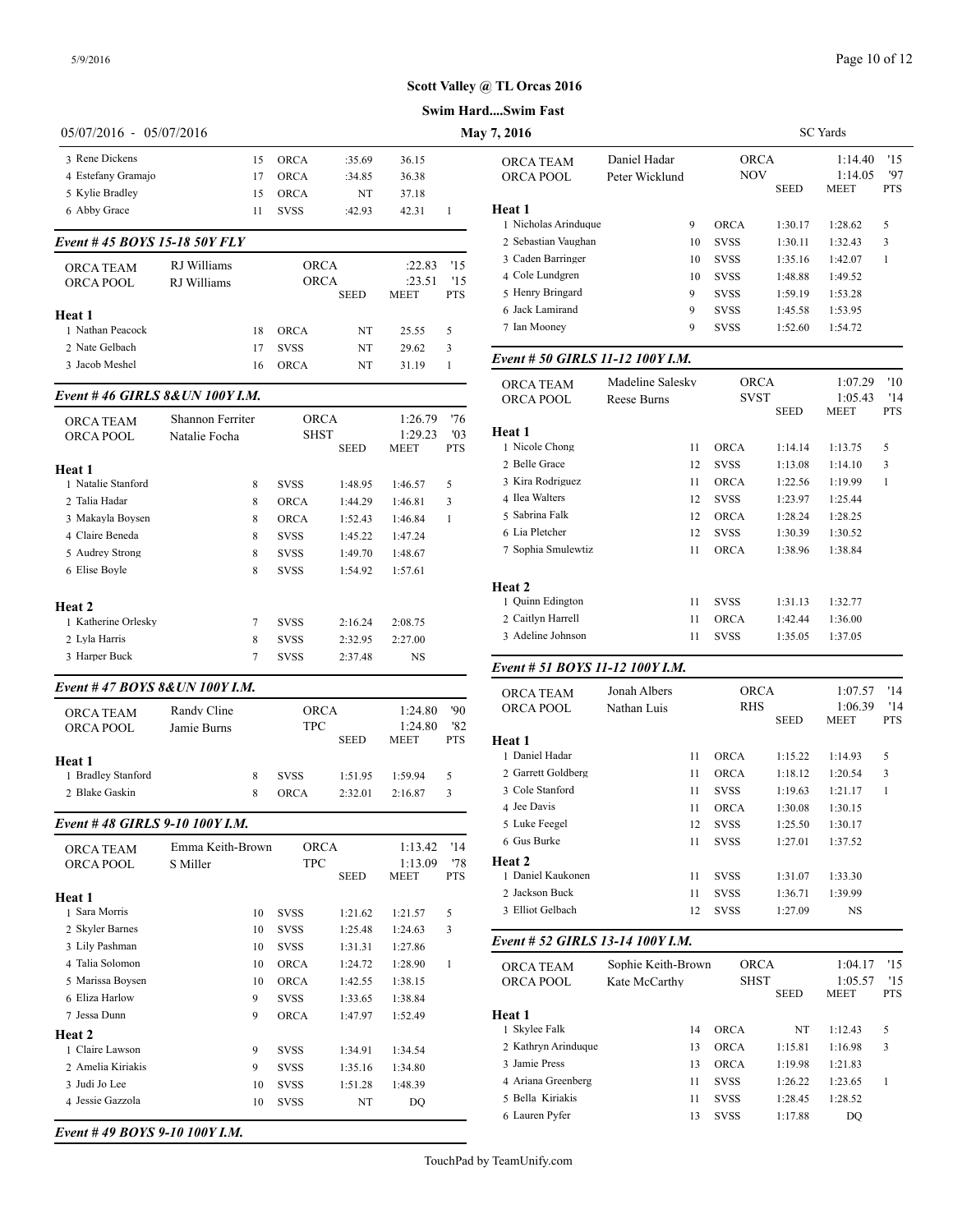| 05/07/2016 - 05/07/2016<br>May 7, 2016<br>3 Rene Dickens<br>15<br>ORCA<br>:35.69<br>36.15<br>ORCA TEAM<br>4 Estefany Gramajo<br>ORCA POOL<br><b>ORCA</b><br>36.38<br>17<br>:34.85<br>5 Kylie Bradley<br>15<br><b>ORCA</b><br>NT<br>37.18<br>Heat 1<br>6 Abby Grace<br>11<br><b>SVSS</b><br>:42.93<br>42.31<br>1<br>1 Nicholas Arinduque<br>Event #45 BOYS 15-18 50Y FLY<br>2 Sebastian Vaughan<br>3 Caden Barringer<br>RJ Williams<br><b>ORCA</b><br>:22.83<br>'15<br>ORCA TEAM<br>4 Cole Lundgren<br>ORCA<br>'15<br>:23.51<br>ORCA POOL<br>RJ Williams<br>5 Henry Bringard<br><b>SEED</b><br><b>PTS</b><br>MEET<br>6 Jack Lamirand<br>Heat 1<br>7 Ian Mooney<br>1 Nathan Peacock<br>18<br><b>ORCA</b><br>NT<br>25.55<br>5<br>2 Nate Gelbach<br>17<br><b>SVSS</b><br>29.62<br>NT<br>3<br>Event # 50 GIRLS 11-12 1001<br>3 Jacob Meshel<br>16<br>ORCA<br>NT<br>31.19<br>1<br>ORCA TEAM<br>Event #46 GIRLS 8& UN 100Y I.M.<br>ORCA POOL<br>Reese Burr<br>Shannon Ferriter<br>ORCA<br>1:26.79<br>'76<br>ORCA TEAM<br><b>Heat 1</b><br><b>SHST</b><br>'03<br>1:29.23<br><b>ORCA POOL</b><br>Natalie Focha<br>1 Nicole Chong<br><b>PTS</b><br>SEED<br>MEET<br>2 Belle Grace<br>Heat 1<br>3 Kira Rodriguez<br>1 Natalie Stanford<br>8<br><b>SVSS</b><br>1:48.95<br>1:46.57<br>5<br>4 Ilea Walters<br>2 Talia Hadar<br><b>ORCA</b><br>3<br>8<br>1:44.29<br>1:46.81<br>5 Sabrina Falk<br>3 Makayla Boysen<br>8<br>$\mathbf{1}$<br>ORCA<br>1:52.43<br>1:46.84<br>6 Lia Pletcher<br>4 Claire Beneda<br>8<br><b>SVSS</b><br>1:45.22<br>1:47.24<br>7 Sophia Smulewtiz<br>5 Audrey Strong<br>8<br><b>SVSS</b><br>1:48.67<br>1:49.70<br>6 Elise Boyle<br>8<br><b>SVSS</b><br>1:54.92<br>1:57.61<br>Heat 2<br>1 Quinn Edington<br>Heat 2<br>2 Caitlyn Harrell<br>1 Katherine Orlesky<br>7<br><b>SVSS</b><br>2:16.24<br>2:08.75<br>3 Adeline Johnson<br>2 Lyla Harris<br>8<br><b>SVSS</b><br>2:32.95<br>2:27.00<br>3 Harper Buck<br>7<br><b>SVSS</b><br>NS<br>2:37.48<br>Event # 51 BOYS 11-12 100Y<br>Event #47 BOYS 8&UN 100Y I.M.<br>Jonah Albe<br>ORCA TEAM<br>ORCA POOL<br>Nathan Lui<br>Randy Cline<br><b>ORCA</b><br>'90<br>1:24.80<br>ORCA TEAM<br><b>TPC</b><br>'82<br>1:24.80<br>ORCA POOL<br>Jamie Burns<br><b>PTS</b><br>SEED<br>MEET<br><b>Heat 1</b><br>1 Daniel Hadar<br>Heat 1<br>2 Garrett Goldberg<br>1 Bradley Stanford<br><b>SVSS</b><br>5<br>8<br>1:51.95<br>1:59.94<br>3 Cole Stanford<br>2 Blake Gaskin<br>8<br>3<br>ORCA<br>2:32.01<br>2:16.87<br>4 Jee Davis<br>Event #48 GIRLS 9-10 100Y I.M.<br>5 Luke Feegel<br>6 Gus Burke<br>Emma Keith-Brown<br><b>ORCA</b><br>1:13.42<br>'14<br>ORCA TEAM<br>Heat 2<br>'78<br><b>TPC</b><br>1:13.09<br>ORCA POOL<br>S Miller<br>1 Daniel Kaukonen<br>SEED<br>MEET<br><b>PTS</b><br>2 Jackson Buck<br>Heat 1<br>3 Elliot Gelbach<br>1 Sara Morris<br>10<br><b>SVSS</b><br>1:21.62<br>1:21.57<br>5<br>2 Skyler Barnes<br>3<br>10<br><b>SVSS</b><br>1:25.48<br>1:24.63<br>Event # 52 GIRLS 13-14 1001<br>3 Lily Pashman<br>10<br>SVSS<br>1:31.31<br>1:27.86<br>4 Talia Solomon<br>Sophie Ke<br>10<br><b>ORCA</b><br>1:24.72<br>1:28.90<br>$\mathbf{1}$<br>ORCA TEAM<br>5 Marissa Boysen<br>10<br>ORCA<br>1:42.55<br>1:38.15<br>ORCA POOL<br>6 Eliza Harlow<br>9<br><b>SVSS</b><br>1:33.65<br>1:38.84<br>Heat 1<br>7 Jessa Dunn<br>9<br>ORCA<br>1:47.97<br>1:52.49<br>1 Skylee Falk<br>Heat 2<br>2 Kathryn Arinduque<br>1 Claire Lawson<br>9<br>SVSS<br>1:34.91<br>1:34.54<br>3 Jamie Press<br>2 Amelia Kiriakis<br>9<br>SVSS<br>1:35.16<br>1:34.80<br>4 Ariana Greenberg<br>3 Judi Jo Lee<br>1:48.39<br>10<br><b>SVSS</b><br>1:51.28<br>5 Bella Kiriakis<br>4 Jessie Gazzola<br>SVSS<br>10<br>NT<br>DQ |  |  |  | Swim HardSwim Fast |            |
|-----------------------------------------------------------------------------------------------------------------------------------------------------------------------------------------------------------------------------------------------------------------------------------------------------------------------------------------------------------------------------------------------------------------------------------------------------------------------------------------------------------------------------------------------------------------------------------------------------------------------------------------------------------------------------------------------------------------------------------------------------------------------------------------------------------------------------------------------------------------------------------------------------------------------------------------------------------------------------------------------------------------------------------------------------------------------------------------------------------------------------------------------------------------------------------------------------------------------------------------------------------------------------------------------------------------------------------------------------------------------------------------------------------------------------------------------------------------------------------------------------------------------------------------------------------------------------------------------------------------------------------------------------------------------------------------------------------------------------------------------------------------------------------------------------------------------------------------------------------------------------------------------------------------------------------------------------------------------------------------------------------------------------------------------------------------------------------------------------------------------------------------------------------------------------------------------------------------------------------------------------------------------------------------------------------------------------------------------------------------------------------------------------------------------------------------------------------------------------------------------------------------------------------------------------------------------------------------------------------------------------------------------------------------------------------------------------------------------------------------------------------------------------------------------------------------------------------------------------------------------------------------------------------------------------------------------------------------------------------------------------------------------------------------------------------------------------------------------------------------------------------------------------------------------------------------------------------------------------------------------------------------------------------------------------------------------------------------------------------------------------------------------------------------------------------------------------------------------------------------------------------------------------------------------------------------------------------------------------------------------------------------------------|--|--|--|--------------------|------------|
|                                                                                                                                                                                                                                                                                                                                                                                                                                                                                                                                                                                                                                                                                                                                                                                                                                                                                                                                                                                                                                                                                                                                                                                                                                                                                                                                                                                                                                                                                                                                                                                                                                                                                                                                                                                                                                                                                                                                                                                                                                                                                                                                                                                                                                                                                                                                                                                                                                                                                                                                                                                                                                                                                                                                                                                                                                                                                                                                                                                                                                                                                                                                                                                                                                                                                                                                                                                                                                                                                                                                                                                                                                                     |  |  |  |                    |            |
|                                                                                                                                                                                                                                                                                                                                                                                                                                                                                                                                                                                                                                                                                                                                                                                                                                                                                                                                                                                                                                                                                                                                                                                                                                                                                                                                                                                                                                                                                                                                                                                                                                                                                                                                                                                                                                                                                                                                                                                                                                                                                                                                                                                                                                                                                                                                                                                                                                                                                                                                                                                                                                                                                                                                                                                                                                                                                                                                                                                                                                                                                                                                                                                                                                                                                                                                                                                                                                                                                                                                                                                                                                                     |  |  |  |                    | Daniel Hao |
|                                                                                                                                                                                                                                                                                                                                                                                                                                                                                                                                                                                                                                                                                                                                                                                                                                                                                                                                                                                                                                                                                                                                                                                                                                                                                                                                                                                                                                                                                                                                                                                                                                                                                                                                                                                                                                                                                                                                                                                                                                                                                                                                                                                                                                                                                                                                                                                                                                                                                                                                                                                                                                                                                                                                                                                                                                                                                                                                                                                                                                                                                                                                                                                                                                                                                                                                                                                                                                                                                                                                                                                                                                                     |  |  |  |                    | Peter Wick |
|                                                                                                                                                                                                                                                                                                                                                                                                                                                                                                                                                                                                                                                                                                                                                                                                                                                                                                                                                                                                                                                                                                                                                                                                                                                                                                                                                                                                                                                                                                                                                                                                                                                                                                                                                                                                                                                                                                                                                                                                                                                                                                                                                                                                                                                                                                                                                                                                                                                                                                                                                                                                                                                                                                                                                                                                                                                                                                                                                                                                                                                                                                                                                                                                                                                                                                                                                                                                                                                                                                                                                                                                                                                     |  |  |  |                    |            |
|                                                                                                                                                                                                                                                                                                                                                                                                                                                                                                                                                                                                                                                                                                                                                                                                                                                                                                                                                                                                                                                                                                                                                                                                                                                                                                                                                                                                                                                                                                                                                                                                                                                                                                                                                                                                                                                                                                                                                                                                                                                                                                                                                                                                                                                                                                                                                                                                                                                                                                                                                                                                                                                                                                                                                                                                                                                                                                                                                                                                                                                                                                                                                                                                                                                                                                                                                                                                                                                                                                                                                                                                                                                     |  |  |  |                    |            |
|                                                                                                                                                                                                                                                                                                                                                                                                                                                                                                                                                                                                                                                                                                                                                                                                                                                                                                                                                                                                                                                                                                                                                                                                                                                                                                                                                                                                                                                                                                                                                                                                                                                                                                                                                                                                                                                                                                                                                                                                                                                                                                                                                                                                                                                                                                                                                                                                                                                                                                                                                                                                                                                                                                                                                                                                                                                                                                                                                                                                                                                                                                                                                                                                                                                                                                                                                                                                                                                                                                                                                                                                                                                     |  |  |  |                    |            |
|                                                                                                                                                                                                                                                                                                                                                                                                                                                                                                                                                                                                                                                                                                                                                                                                                                                                                                                                                                                                                                                                                                                                                                                                                                                                                                                                                                                                                                                                                                                                                                                                                                                                                                                                                                                                                                                                                                                                                                                                                                                                                                                                                                                                                                                                                                                                                                                                                                                                                                                                                                                                                                                                                                                                                                                                                                                                                                                                                                                                                                                                                                                                                                                                                                                                                                                                                                                                                                                                                                                                                                                                                                                     |  |  |  |                    |            |
|                                                                                                                                                                                                                                                                                                                                                                                                                                                                                                                                                                                                                                                                                                                                                                                                                                                                                                                                                                                                                                                                                                                                                                                                                                                                                                                                                                                                                                                                                                                                                                                                                                                                                                                                                                                                                                                                                                                                                                                                                                                                                                                                                                                                                                                                                                                                                                                                                                                                                                                                                                                                                                                                                                                                                                                                                                                                                                                                                                                                                                                                                                                                                                                                                                                                                                                                                                                                                                                                                                                                                                                                                                                     |  |  |  |                    |            |
|                                                                                                                                                                                                                                                                                                                                                                                                                                                                                                                                                                                                                                                                                                                                                                                                                                                                                                                                                                                                                                                                                                                                                                                                                                                                                                                                                                                                                                                                                                                                                                                                                                                                                                                                                                                                                                                                                                                                                                                                                                                                                                                                                                                                                                                                                                                                                                                                                                                                                                                                                                                                                                                                                                                                                                                                                                                                                                                                                                                                                                                                                                                                                                                                                                                                                                                                                                                                                                                                                                                                                                                                                                                     |  |  |  |                    |            |
|                                                                                                                                                                                                                                                                                                                                                                                                                                                                                                                                                                                                                                                                                                                                                                                                                                                                                                                                                                                                                                                                                                                                                                                                                                                                                                                                                                                                                                                                                                                                                                                                                                                                                                                                                                                                                                                                                                                                                                                                                                                                                                                                                                                                                                                                                                                                                                                                                                                                                                                                                                                                                                                                                                                                                                                                                                                                                                                                                                                                                                                                                                                                                                                                                                                                                                                                                                                                                                                                                                                                                                                                                                                     |  |  |  |                    |            |
|                                                                                                                                                                                                                                                                                                                                                                                                                                                                                                                                                                                                                                                                                                                                                                                                                                                                                                                                                                                                                                                                                                                                                                                                                                                                                                                                                                                                                                                                                                                                                                                                                                                                                                                                                                                                                                                                                                                                                                                                                                                                                                                                                                                                                                                                                                                                                                                                                                                                                                                                                                                                                                                                                                                                                                                                                                                                                                                                                                                                                                                                                                                                                                                                                                                                                                                                                                                                                                                                                                                                                                                                                                                     |  |  |  |                    |            |
|                                                                                                                                                                                                                                                                                                                                                                                                                                                                                                                                                                                                                                                                                                                                                                                                                                                                                                                                                                                                                                                                                                                                                                                                                                                                                                                                                                                                                                                                                                                                                                                                                                                                                                                                                                                                                                                                                                                                                                                                                                                                                                                                                                                                                                                                                                                                                                                                                                                                                                                                                                                                                                                                                                                                                                                                                                                                                                                                                                                                                                                                                                                                                                                                                                                                                                                                                                                                                                                                                                                                                                                                                                                     |  |  |  |                    |            |
|                                                                                                                                                                                                                                                                                                                                                                                                                                                                                                                                                                                                                                                                                                                                                                                                                                                                                                                                                                                                                                                                                                                                                                                                                                                                                                                                                                                                                                                                                                                                                                                                                                                                                                                                                                                                                                                                                                                                                                                                                                                                                                                                                                                                                                                                                                                                                                                                                                                                                                                                                                                                                                                                                                                                                                                                                                                                                                                                                                                                                                                                                                                                                                                                                                                                                                                                                                                                                                                                                                                                                                                                                                                     |  |  |  |                    |            |
|                                                                                                                                                                                                                                                                                                                                                                                                                                                                                                                                                                                                                                                                                                                                                                                                                                                                                                                                                                                                                                                                                                                                                                                                                                                                                                                                                                                                                                                                                                                                                                                                                                                                                                                                                                                                                                                                                                                                                                                                                                                                                                                                                                                                                                                                                                                                                                                                                                                                                                                                                                                                                                                                                                                                                                                                                                                                                                                                                                                                                                                                                                                                                                                                                                                                                                                                                                                                                                                                                                                                                                                                                                                     |  |  |  |                    | Madeline S |
|                                                                                                                                                                                                                                                                                                                                                                                                                                                                                                                                                                                                                                                                                                                                                                                                                                                                                                                                                                                                                                                                                                                                                                                                                                                                                                                                                                                                                                                                                                                                                                                                                                                                                                                                                                                                                                                                                                                                                                                                                                                                                                                                                                                                                                                                                                                                                                                                                                                                                                                                                                                                                                                                                                                                                                                                                                                                                                                                                                                                                                                                                                                                                                                                                                                                                                                                                                                                                                                                                                                                                                                                                                                     |  |  |  |                    |            |
|                                                                                                                                                                                                                                                                                                                                                                                                                                                                                                                                                                                                                                                                                                                                                                                                                                                                                                                                                                                                                                                                                                                                                                                                                                                                                                                                                                                                                                                                                                                                                                                                                                                                                                                                                                                                                                                                                                                                                                                                                                                                                                                                                                                                                                                                                                                                                                                                                                                                                                                                                                                                                                                                                                                                                                                                                                                                                                                                                                                                                                                                                                                                                                                                                                                                                                                                                                                                                                                                                                                                                                                                                                                     |  |  |  |                    |            |
|                                                                                                                                                                                                                                                                                                                                                                                                                                                                                                                                                                                                                                                                                                                                                                                                                                                                                                                                                                                                                                                                                                                                                                                                                                                                                                                                                                                                                                                                                                                                                                                                                                                                                                                                                                                                                                                                                                                                                                                                                                                                                                                                                                                                                                                                                                                                                                                                                                                                                                                                                                                                                                                                                                                                                                                                                                                                                                                                                                                                                                                                                                                                                                                                                                                                                                                                                                                                                                                                                                                                                                                                                                                     |  |  |  |                    |            |
|                                                                                                                                                                                                                                                                                                                                                                                                                                                                                                                                                                                                                                                                                                                                                                                                                                                                                                                                                                                                                                                                                                                                                                                                                                                                                                                                                                                                                                                                                                                                                                                                                                                                                                                                                                                                                                                                                                                                                                                                                                                                                                                                                                                                                                                                                                                                                                                                                                                                                                                                                                                                                                                                                                                                                                                                                                                                                                                                                                                                                                                                                                                                                                                                                                                                                                                                                                                                                                                                                                                                                                                                                                                     |  |  |  |                    |            |
|                                                                                                                                                                                                                                                                                                                                                                                                                                                                                                                                                                                                                                                                                                                                                                                                                                                                                                                                                                                                                                                                                                                                                                                                                                                                                                                                                                                                                                                                                                                                                                                                                                                                                                                                                                                                                                                                                                                                                                                                                                                                                                                                                                                                                                                                                                                                                                                                                                                                                                                                                                                                                                                                                                                                                                                                                                                                                                                                                                                                                                                                                                                                                                                                                                                                                                                                                                                                                                                                                                                                                                                                                                                     |  |  |  |                    |            |
|                                                                                                                                                                                                                                                                                                                                                                                                                                                                                                                                                                                                                                                                                                                                                                                                                                                                                                                                                                                                                                                                                                                                                                                                                                                                                                                                                                                                                                                                                                                                                                                                                                                                                                                                                                                                                                                                                                                                                                                                                                                                                                                                                                                                                                                                                                                                                                                                                                                                                                                                                                                                                                                                                                                                                                                                                                                                                                                                                                                                                                                                                                                                                                                                                                                                                                                                                                                                                                                                                                                                                                                                                                                     |  |  |  |                    |            |
|                                                                                                                                                                                                                                                                                                                                                                                                                                                                                                                                                                                                                                                                                                                                                                                                                                                                                                                                                                                                                                                                                                                                                                                                                                                                                                                                                                                                                                                                                                                                                                                                                                                                                                                                                                                                                                                                                                                                                                                                                                                                                                                                                                                                                                                                                                                                                                                                                                                                                                                                                                                                                                                                                                                                                                                                                                                                                                                                                                                                                                                                                                                                                                                                                                                                                                                                                                                                                                                                                                                                                                                                                                                     |  |  |  |                    |            |
|                                                                                                                                                                                                                                                                                                                                                                                                                                                                                                                                                                                                                                                                                                                                                                                                                                                                                                                                                                                                                                                                                                                                                                                                                                                                                                                                                                                                                                                                                                                                                                                                                                                                                                                                                                                                                                                                                                                                                                                                                                                                                                                                                                                                                                                                                                                                                                                                                                                                                                                                                                                                                                                                                                                                                                                                                                                                                                                                                                                                                                                                                                                                                                                                                                                                                                                                                                                                                                                                                                                                                                                                                                                     |  |  |  |                    |            |
|                                                                                                                                                                                                                                                                                                                                                                                                                                                                                                                                                                                                                                                                                                                                                                                                                                                                                                                                                                                                                                                                                                                                                                                                                                                                                                                                                                                                                                                                                                                                                                                                                                                                                                                                                                                                                                                                                                                                                                                                                                                                                                                                                                                                                                                                                                                                                                                                                                                                                                                                                                                                                                                                                                                                                                                                                                                                                                                                                                                                                                                                                                                                                                                                                                                                                                                                                                                                                                                                                                                                                                                                                                                     |  |  |  |                    |            |
|                                                                                                                                                                                                                                                                                                                                                                                                                                                                                                                                                                                                                                                                                                                                                                                                                                                                                                                                                                                                                                                                                                                                                                                                                                                                                                                                                                                                                                                                                                                                                                                                                                                                                                                                                                                                                                                                                                                                                                                                                                                                                                                                                                                                                                                                                                                                                                                                                                                                                                                                                                                                                                                                                                                                                                                                                                                                                                                                                                                                                                                                                                                                                                                                                                                                                                                                                                                                                                                                                                                                                                                                                                                     |  |  |  |                    |            |
|                                                                                                                                                                                                                                                                                                                                                                                                                                                                                                                                                                                                                                                                                                                                                                                                                                                                                                                                                                                                                                                                                                                                                                                                                                                                                                                                                                                                                                                                                                                                                                                                                                                                                                                                                                                                                                                                                                                                                                                                                                                                                                                                                                                                                                                                                                                                                                                                                                                                                                                                                                                                                                                                                                                                                                                                                                                                                                                                                                                                                                                                                                                                                                                                                                                                                                                                                                                                                                                                                                                                                                                                                                                     |  |  |  |                    |            |
|                                                                                                                                                                                                                                                                                                                                                                                                                                                                                                                                                                                                                                                                                                                                                                                                                                                                                                                                                                                                                                                                                                                                                                                                                                                                                                                                                                                                                                                                                                                                                                                                                                                                                                                                                                                                                                                                                                                                                                                                                                                                                                                                                                                                                                                                                                                                                                                                                                                                                                                                                                                                                                                                                                                                                                                                                                                                                                                                                                                                                                                                                                                                                                                                                                                                                                                                                                                                                                                                                                                                                                                                                                                     |  |  |  |                    |            |
|                                                                                                                                                                                                                                                                                                                                                                                                                                                                                                                                                                                                                                                                                                                                                                                                                                                                                                                                                                                                                                                                                                                                                                                                                                                                                                                                                                                                                                                                                                                                                                                                                                                                                                                                                                                                                                                                                                                                                                                                                                                                                                                                                                                                                                                                                                                                                                                                                                                                                                                                                                                                                                                                                                                                                                                                                                                                                                                                                                                                                                                                                                                                                                                                                                                                                                                                                                                                                                                                                                                                                                                                                                                     |  |  |  |                    |            |
|                                                                                                                                                                                                                                                                                                                                                                                                                                                                                                                                                                                                                                                                                                                                                                                                                                                                                                                                                                                                                                                                                                                                                                                                                                                                                                                                                                                                                                                                                                                                                                                                                                                                                                                                                                                                                                                                                                                                                                                                                                                                                                                                                                                                                                                                                                                                                                                                                                                                                                                                                                                                                                                                                                                                                                                                                                                                                                                                                                                                                                                                                                                                                                                                                                                                                                                                                                                                                                                                                                                                                                                                                                                     |  |  |  |                    |            |
|                                                                                                                                                                                                                                                                                                                                                                                                                                                                                                                                                                                                                                                                                                                                                                                                                                                                                                                                                                                                                                                                                                                                                                                                                                                                                                                                                                                                                                                                                                                                                                                                                                                                                                                                                                                                                                                                                                                                                                                                                                                                                                                                                                                                                                                                                                                                                                                                                                                                                                                                                                                                                                                                                                                                                                                                                                                                                                                                                                                                                                                                                                                                                                                                                                                                                                                                                                                                                                                                                                                                                                                                                                                     |  |  |  |                    |            |
|                                                                                                                                                                                                                                                                                                                                                                                                                                                                                                                                                                                                                                                                                                                                                                                                                                                                                                                                                                                                                                                                                                                                                                                                                                                                                                                                                                                                                                                                                                                                                                                                                                                                                                                                                                                                                                                                                                                                                                                                                                                                                                                                                                                                                                                                                                                                                                                                                                                                                                                                                                                                                                                                                                                                                                                                                                                                                                                                                                                                                                                                                                                                                                                                                                                                                                                                                                                                                                                                                                                                                                                                                                                     |  |  |  |                    |            |
|                                                                                                                                                                                                                                                                                                                                                                                                                                                                                                                                                                                                                                                                                                                                                                                                                                                                                                                                                                                                                                                                                                                                                                                                                                                                                                                                                                                                                                                                                                                                                                                                                                                                                                                                                                                                                                                                                                                                                                                                                                                                                                                                                                                                                                                                                                                                                                                                                                                                                                                                                                                                                                                                                                                                                                                                                                                                                                                                                                                                                                                                                                                                                                                                                                                                                                                                                                                                                                                                                                                                                                                                                                                     |  |  |  |                    |            |
|                                                                                                                                                                                                                                                                                                                                                                                                                                                                                                                                                                                                                                                                                                                                                                                                                                                                                                                                                                                                                                                                                                                                                                                                                                                                                                                                                                                                                                                                                                                                                                                                                                                                                                                                                                                                                                                                                                                                                                                                                                                                                                                                                                                                                                                                                                                                                                                                                                                                                                                                                                                                                                                                                                                                                                                                                                                                                                                                                                                                                                                                                                                                                                                                                                                                                                                                                                                                                                                                                                                                                                                                                                                     |  |  |  |                    |            |
|                                                                                                                                                                                                                                                                                                                                                                                                                                                                                                                                                                                                                                                                                                                                                                                                                                                                                                                                                                                                                                                                                                                                                                                                                                                                                                                                                                                                                                                                                                                                                                                                                                                                                                                                                                                                                                                                                                                                                                                                                                                                                                                                                                                                                                                                                                                                                                                                                                                                                                                                                                                                                                                                                                                                                                                                                                                                                                                                                                                                                                                                                                                                                                                                                                                                                                                                                                                                                                                                                                                                                                                                                                                     |  |  |  |                    |            |
|                                                                                                                                                                                                                                                                                                                                                                                                                                                                                                                                                                                                                                                                                                                                                                                                                                                                                                                                                                                                                                                                                                                                                                                                                                                                                                                                                                                                                                                                                                                                                                                                                                                                                                                                                                                                                                                                                                                                                                                                                                                                                                                                                                                                                                                                                                                                                                                                                                                                                                                                                                                                                                                                                                                                                                                                                                                                                                                                                                                                                                                                                                                                                                                                                                                                                                                                                                                                                                                                                                                                                                                                                                                     |  |  |  |                    |            |
|                                                                                                                                                                                                                                                                                                                                                                                                                                                                                                                                                                                                                                                                                                                                                                                                                                                                                                                                                                                                                                                                                                                                                                                                                                                                                                                                                                                                                                                                                                                                                                                                                                                                                                                                                                                                                                                                                                                                                                                                                                                                                                                                                                                                                                                                                                                                                                                                                                                                                                                                                                                                                                                                                                                                                                                                                                                                                                                                                                                                                                                                                                                                                                                                                                                                                                                                                                                                                                                                                                                                                                                                                                                     |  |  |  |                    |            |
|                                                                                                                                                                                                                                                                                                                                                                                                                                                                                                                                                                                                                                                                                                                                                                                                                                                                                                                                                                                                                                                                                                                                                                                                                                                                                                                                                                                                                                                                                                                                                                                                                                                                                                                                                                                                                                                                                                                                                                                                                                                                                                                                                                                                                                                                                                                                                                                                                                                                                                                                                                                                                                                                                                                                                                                                                                                                                                                                                                                                                                                                                                                                                                                                                                                                                                                                                                                                                                                                                                                                                                                                                                                     |  |  |  |                    |            |
|                                                                                                                                                                                                                                                                                                                                                                                                                                                                                                                                                                                                                                                                                                                                                                                                                                                                                                                                                                                                                                                                                                                                                                                                                                                                                                                                                                                                                                                                                                                                                                                                                                                                                                                                                                                                                                                                                                                                                                                                                                                                                                                                                                                                                                                                                                                                                                                                                                                                                                                                                                                                                                                                                                                                                                                                                                                                                                                                                                                                                                                                                                                                                                                                                                                                                                                                                                                                                                                                                                                                                                                                                                                     |  |  |  |                    |            |
|                                                                                                                                                                                                                                                                                                                                                                                                                                                                                                                                                                                                                                                                                                                                                                                                                                                                                                                                                                                                                                                                                                                                                                                                                                                                                                                                                                                                                                                                                                                                                                                                                                                                                                                                                                                                                                                                                                                                                                                                                                                                                                                                                                                                                                                                                                                                                                                                                                                                                                                                                                                                                                                                                                                                                                                                                                                                                                                                                                                                                                                                                                                                                                                                                                                                                                                                                                                                                                                                                                                                                                                                                                                     |  |  |  |                    |            |
|                                                                                                                                                                                                                                                                                                                                                                                                                                                                                                                                                                                                                                                                                                                                                                                                                                                                                                                                                                                                                                                                                                                                                                                                                                                                                                                                                                                                                                                                                                                                                                                                                                                                                                                                                                                                                                                                                                                                                                                                                                                                                                                                                                                                                                                                                                                                                                                                                                                                                                                                                                                                                                                                                                                                                                                                                                                                                                                                                                                                                                                                                                                                                                                                                                                                                                                                                                                                                                                                                                                                                                                                                                                     |  |  |  |                    |            |
|                                                                                                                                                                                                                                                                                                                                                                                                                                                                                                                                                                                                                                                                                                                                                                                                                                                                                                                                                                                                                                                                                                                                                                                                                                                                                                                                                                                                                                                                                                                                                                                                                                                                                                                                                                                                                                                                                                                                                                                                                                                                                                                                                                                                                                                                                                                                                                                                                                                                                                                                                                                                                                                                                                                                                                                                                                                                                                                                                                                                                                                                                                                                                                                                                                                                                                                                                                                                                                                                                                                                                                                                                                                     |  |  |  |                    |            |
|                                                                                                                                                                                                                                                                                                                                                                                                                                                                                                                                                                                                                                                                                                                                                                                                                                                                                                                                                                                                                                                                                                                                                                                                                                                                                                                                                                                                                                                                                                                                                                                                                                                                                                                                                                                                                                                                                                                                                                                                                                                                                                                                                                                                                                                                                                                                                                                                                                                                                                                                                                                                                                                                                                                                                                                                                                                                                                                                                                                                                                                                                                                                                                                                                                                                                                                                                                                                                                                                                                                                                                                                                                                     |  |  |  |                    |            |
|                                                                                                                                                                                                                                                                                                                                                                                                                                                                                                                                                                                                                                                                                                                                                                                                                                                                                                                                                                                                                                                                                                                                                                                                                                                                                                                                                                                                                                                                                                                                                                                                                                                                                                                                                                                                                                                                                                                                                                                                                                                                                                                                                                                                                                                                                                                                                                                                                                                                                                                                                                                                                                                                                                                                                                                                                                                                                                                                                                                                                                                                                                                                                                                                                                                                                                                                                                                                                                                                                                                                                                                                                                                     |  |  |  |                    |            |
|                                                                                                                                                                                                                                                                                                                                                                                                                                                                                                                                                                                                                                                                                                                                                                                                                                                                                                                                                                                                                                                                                                                                                                                                                                                                                                                                                                                                                                                                                                                                                                                                                                                                                                                                                                                                                                                                                                                                                                                                                                                                                                                                                                                                                                                                                                                                                                                                                                                                                                                                                                                                                                                                                                                                                                                                                                                                                                                                                                                                                                                                                                                                                                                                                                                                                                                                                                                                                                                                                                                                                                                                                                                     |  |  |  |                    |            |
|                                                                                                                                                                                                                                                                                                                                                                                                                                                                                                                                                                                                                                                                                                                                                                                                                                                                                                                                                                                                                                                                                                                                                                                                                                                                                                                                                                                                                                                                                                                                                                                                                                                                                                                                                                                                                                                                                                                                                                                                                                                                                                                                                                                                                                                                                                                                                                                                                                                                                                                                                                                                                                                                                                                                                                                                                                                                                                                                                                                                                                                                                                                                                                                                                                                                                                                                                                                                                                                                                                                                                                                                                                                     |  |  |  |                    |            |
|                                                                                                                                                                                                                                                                                                                                                                                                                                                                                                                                                                                                                                                                                                                                                                                                                                                                                                                                                                                                                                                                                                                                                                                                                                                                                                                                                                                                                                                                                                                                                                                                                                                                                                                                                                                                                                                                                                                                                                                                                                                                                                                                                                                                                                                                                                                                                                                                                                                                                                                                                                                                                                                                                                                                                                                                                                                                                                                                                                                                                                                                                                                                                                                                                                                                                                                                                                                                                                                                                                                                                                                                                                                     |  |  |  |                    |            |
|                                                                                                                                                                                                                                                                                                                                                                                                                                                                                                                                                                                                                                                                                                                                                                                                                                                                                                                                                                                                                                                                                                                                                                                                                                                                                                                                                                                                                                                                                                                                                                                                                                                                                                                                                                                                                                                                                                                                                                                                                                                                                                                                                                                                                                                                                                                                                                                                                                                                                                                                                                                                                                                                                                                                                                                                                                                                                                                                                                                                                                                                                                                                                                                                                                                                                                                                                                                                                                                                                                                                                                                                                                                     |  |  |  |                    |            |
|                                                                                                                                                                                                                                                                                                                                                                                                                                                                                                                                                                                                                                                                                                                                                                                                                                                                                                                                                                                                                                                                                                                                                                                                                                                                                                                                                                                                                                                                                                                                                                                                                                                                                                                                                                                                                                                                                                                                                                                                                                                                                                                                                                                                                                                                                                                                                                                                                                                                                                                                                                                                                                                                                                                                                                                                                                                                                                                                                                                                                                                                                                                                                                                                                                                                                                                                                                                                                                                                                                                                                                                                                                                     |  |  |  |                    | Kate McCa  |
|                                                                                                                                                                                                                                                                                                                                                                                                                                                                                                                                                                                                                                                                                                                                                                                                                                                                                                                                                                                                                                                                                                                                                                                                                                                                                                                                                                                                                                                                                                                                                                                                                                                                                                                                                                                                                                                                                                                                                                                                                                                                                                                                                                                                                                                                                                                                                                                                                                                                                                                                                                                                                                                                                                                                                                                                                                                                                                                                                                                                                                                                                                                                                                                                                                                                                                                                                                                                                                                                                                                                                                                                                                                     |  |  |  |                    |            |
|                                                                                                                                                                                                                                                                                                                                                                                                                                                                                                                                                                                                                                                                                                                                                                                                                                                                                                                                                                                                                                                                                                                                                                                                                                                                                                                                                                                                                                                                                                                                                                                                                                                                                                                                                                                                                                                                                                                                                                                                                                                                                                                                                                                                                                                                                                                                                                                                                                                                                                                                                                                                                                                                                                                                                                                                                                                                                                                                                                                                                                                                                                                                                                                                                                                                                                                                                                                                                                                                                                                                                                                                                                                     |  |  |  |                    |            |
|                                                                                                                                                                                                                                                                                                                                                                                                                                                                                                                                                                                                                                                                                                                                                                                                                                                                                                                                                                                                                                                                                                                                                                                                                                                                                                                                                                                                                                                                                                                                                                                                                                                                                                                                                                                                                                                                                                                                                                                                                                                                                                                                                                                                                                                                                                                                                                                                                                                                                                                                                                                                                                                                                                                                                                                                                                                                                                                                                                                                                                                                                                                                                                                                                                                                                                                                                                                                                                                                                                                                                                                                                                                     |  |  |  |                    |            |
|                                                                                                                                                                                                                                                                                                                                                                                                                                                                                                                                                                                                                                                                                                                                                                                                                                                                                                                                                                                                                                                                                                                                                                                                                                                                                                                                                                                                                                                                                                                                                                                                                                                                                                                                                                                                                                                                                                                                                                                                                                                                                                                                                                                                                                                                                                                                                                                                                                                                                                                                                                                                                                                                                                                                                                                                                                                                                                                                                                                                                                                                                                                                                                                                                                                                                                                                                                                                                                                                                                                                                                                                                                                     |  |  |  |                    |            |
|                                                                                                                                                                                                                                                                                                                                                                                                                                                                                                                                                                                                                                                                                                                                                                                                                                                                                                                                                                                                                                                                                                                                                                                                                                                                                                                                                                                                                                                                                                                                                                                                                                                                                                                                                                                                                                                                                                                                                                                                                                                                                                                                                                                                                                                                                                                                                                                                                                                                                                                                                                                                                                                                                                                                                                                                                                                                                                                                                                                                                                                                                                                                                                                                                                                                                                                                                                                                                                                                                                                                                                                                                                                     |  |  |  |                    |            |
|                                                                                                                                                                                                                                                                                                                                                                                                                                                                                                                                                                                                                                                                                                                                                                                                                                                                                                                                                                                                                                                                                                                                                                                                                                                                                                                                                                                                                                                                                                                                                                                                                                                                                                                                                                                                                                                                                                                                                                                                                                                                                                                                                                                                                                                                                                                                                                                                                                                                                                                                                                                                                                                                                                                                                                                                                                                                                                                                                                                                                                                                                                                                                                                                                                                                                                                                                                                                                                                                                                                                                                                                                                                     |  |  |  |                    |            |
|                                                                                                                                                                                                                                                                                                                                                                                                                                                                                                                                                                                                                                                                                                                                                                                                                                                                                                                                                                                                                                                                                                                                                                                                                                                                                                                                                                                                                                                                                                                                                                                                                                                                                                                                                                                                                                                                                                                                                                                                                                                                                                                                                                                                                                                                                                                                                                                                                                                                                                                                                                                                                                                                                                                                                                                                                                                                                                                                                                                                                                                                                                                                                                                                                                                                                                                                                                                                                                                                                                                                                                                                                                                     |  |  |  | 6 Lauren Pyfer     |            |

*Event # 49 BOYS 9-10 100Y I.M.*

| 7, 2016                          |                    |    |             |             | SC Yards    |            |
|----------------------------------|--------------------|----|-------------|-------------|-------------|------------|
| ORCA TEAM                        | Daniel Hadar       |    | ORCA        |             | 1:14.40     | '15        |
| ORCA POOL                        | Peter Wicklund     |    | NOV         |             | 1:14.05     | '97        |
|                                  |                    |    |             | SEED        | MEET        | <b>PTS</b> |
| Heat 1                           |                    |    |             |             |             |            |
| 1 Nicholas Arinduque             |                    | 9  | <b>ORCA</b> | 1:30.17     | 1:28.62     | 5          |
| 2 Sebastian Vaughan              |                    | 10 | <b>SVSS</b> | 1:30.11     | 1:32.43     | 3          |
| 3 Caden Barringer                |                    | 10 | <b>SVSS</b> | 1:35.16     | 1:42.07     | 1          |
| 4 Cole Lundgren                  |                    | 10 | <b>SVSS</b> | 1:48.88     | 1:49.52     |            |
| 5 Henry Bringard                 |                    | 9  | <b>SVSS</b> | 1:59.19     | 1:53.28     |            |
| 6 Jack Lamirand                  |                    | 9  | <b>SVSS</b> | 1:45.58     | 1:53.95     |            |
| 7 Ian Mooney                     |                    | 9  | SVSS        | 1:52.60     | 1:54.72     |            |
| Event # 50 GIRLS 11-12 100Y I.M. |                    |    |             |             |             |            |
| ORCA TEAM                        | Madeline Salesky   |    | ORCA        |             | 1:07.29     | '10        |
| ORCA POOL                        | Reese Burns        |    | SVST        |             | 1:05.43     | '14        |
|                                  |                    |    |             | <b>SEED</b> | MEET        | <b>PTS</b> |
| Heat 1                           |                    |    |             |             |             |            |
| 1 Nicole Chong                   |                    | 11 | <b>ORCA</b> | 1:14.14     | 1:13.75     | 5          |
| 2 Belle Grace                    |                    | 12 | <b>SVSS</b> | 1:13.08     | 1:14.10     | 3          |
| 3 Kira Rodriguez                 |                    | 11 | <b>ORCA</b> | 1:22.56     | 1:19.99     | 1          |
| 4 Ilea Walters                   |                    | 12 | <b>SVSS</b> | 1:23.97     | 1:25.44     |            |
| 5 Sabrina Falk                   |                    | 12 | <b>ORCA</b> | 1:28.24     | 1:28.25     |            |
| 6 Lia Pletcher                   |                    | 12 | <b>SVSS</b> | 1:30.39     | 1:30.52     |            |
| 7 Sophia Smulewtiz               |                    | 11 | <b>ORCA</b> | 1:38.96     | 1:38.84     |            |
| Heat 2                           |                    |    |             |             |             |            |
| 1 Quinn Edington                 |                    | 11 | <b>SVSS</b> | 1:31.13     | 1:32.77     |            |
| 2 Caitlyn Harrell                |                    | 11 | <b>ORCA</b> | 1:42.44     | 1:36.00     |            |
| 3 Adeline Johnson                |                    | 11 | <b>SVSS</b> | 1:35.05     | 1:37.05     |            |
| Event # 51 BOYS 11-12 100Y I.M.  |                    |    |             |             |             |            |
| ORCA TEAM                        | Jonah Albers       |    | <b>ORCA</b> |             | 1:07.57     | '14        |
| ORCA POOL                        | Nathan Luis        |    | RHS         |             | 1:06.39     | '14        |
|                                  |                    |    |             | SEED        | MEET        | <b>PTS</b> |
| Heat 1                           |                    |    |             |             |             |            |
| 1 Daniel Hadar                   |                    | 11 | <b>ORCA</b> | 1:15.22     | 1:14.93     | 5          |
| 2 Garrett Goldberg               |                    | 11 | <b>ORCA</b> | 1:18.12     | 1:20.54     | 3          |
| 3 Cole Stanford                  |                    | 11 | <b>SVSS</b> | 1:19.63     | 1:21.17     | 1          |
| 4 Jee Davis                      |                    | 11 | <b>ORCA</b> | 1:30.08     | 1:30.15     |            |
| 5 Luke Feegel                    |                    | 12 | SVSS        | 1:25.50     | 1:30.17     |            |
| 6 Gus Burke                      |                    | 11 | <b>SVSS</b> | 1:27.01     | 1:37.52     |            |
| Heat 2                           |                    |    |             |             |             |            |
| 1 Daniel Kaukonen                |                    | 11 | SVSS        | 1:31.07     | 1:33.30     |            |
| 2 Jackson Buck                   |                    | 11 | SVSS        | 1:36.71     | 1:39.99     |            |
| 3 Elliot Gelbach                 |                    | 12 | SVSS        | 1:27.09     | NS          |            |
| Event # 52 GIRLS 13-14 100Y I.M. |                    |    |             |             |             |            |
| ORCA TEAM                        | Sophie Keith-Brown |    | ORCA        |             | 1:04.17     | '15        |
| ORCA POOL                        | Kate McCarthy      |    | SHST        |             | 1:05.57     | '15        |
| Heat 1                           |                    |    |             | SEED        | <b>MEET</b> | PTS        |
| 1 Skylee Falk                    |                    | 14 | ORCA        | NT          | 1:12.43     | 5          |
| 2 Kathryn Arinduque              |                    | 13 | ORCA        | 1:15.81     | 1:16.98     | 3          |
| 3 Jamie Press                    |                    | 13 | ORCA        | 1:19.98     | 1:21.83     |            |
|                                  |                    |    |             |             |             |            |

4 Ariana Greenberg 11 SVSS 1:26.22 1:23.65 1<br>5 Bella Kiriakis 11 SVSS 1:28.45 1:28.52

 $1:28.45$  1:28.52

13 SVSS 1:17.88 DQ

TouchPad by TeamUnify.com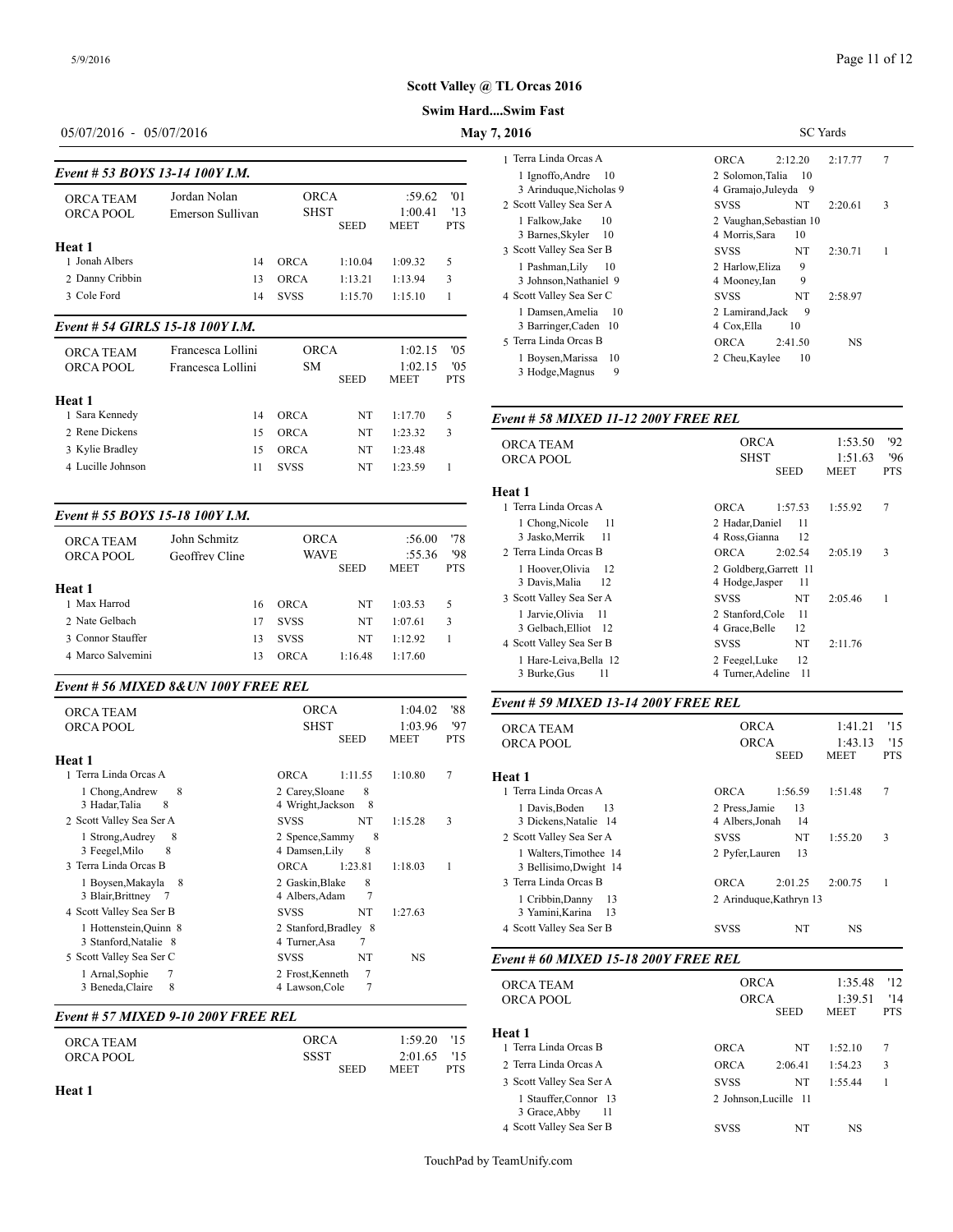#### **Swim Hard....Swim Fast**

# 05/07/2016 - 05/07/2016 **May 7, 2016**

| Event # 53 BOYS 13-14 100Y I.M.<br><b>ORCA TEAM</b>               | Jordan Nolan      | <b>ORCA</b> |             | :59.62                 | $^{\prime}$ 01    | 1 Ignoffo, Andr<br>3 Arinduque, N<br>2 Scott Valley Sea |
|-------------------------------------------------------------------|-------------------|-------------|-------------|------------------------|-------------------|---------------------------------------------------------|
| ORCA POOL                                                         | Emerson Sullivan  | <b>SHST</b> | <b>SEED</b> | 1:00.41<br><b>MEET</b> | '13<br><b>PTS</b> | 1 Falkow, Jake                                          |
|                                                                   |                   |             |             |                        |                   | 3 Barnes, Skyle                                         |
| Heat 1                                                            |                   |             |             |                        |                   | 3 Scott Valley Sea                                      |
| 1 Jonah Albers                                                    | 14                | <b>ORCA</b> | 1:10.04     | 1:09.32                | 5                 | 1 Pashman, Lil                                          |
| 2 Danny Cribbin                                                   | 13                | <b>ORCA</b> | 1:13.21     | 1:13.94                | 3                 | 3 Johnson, Natl                                         |
| 3 Cole Ford                                                       | 14                | <b>SVSS</b> | 1:15.70     | 1:15.10                |                   | 4 Scott Valley Sea                                      |
| $\cdots$ = $\cdots$ $\cdots$ $\cdots$<br>$\overline{\phantom{a}}$ | <b>*^*^^*****</b> |             |             |                        |                   | 1 Damsen, Ame<br>$\cdots$                               |

#### *Event # 54 GIRLS 15-18 100Y I.M.*

| <b>ORCA TEAM</b><br>ORCA POOL | Francesca Lollini<br>Francesca Lollini | <b>ORCA</b><br><b>SM</b> | <b>SEED</b> | 1:02.15<br>1:02.15<br><b>MEET</b> | '05<br>'05<br><b>PTS</b> | lerra Linda Orcas B<br>Boysen, Marissa 10<br>3 Hodge, Magnus<br>- 9 | ORCA<br>2:41.50<br>2 Cheu, Kaylee<br>-10 | NS                     |                   |
|-------------------------------|----------------------------------------|--------------------------|-------------|-----------------------------------|--------------------------|---------------------------------------------------------------------|------------------------------------------|------------------------|-------------------|
| Heat 1                        |                                        |                          |             |                                   |                          |                                                                     |                                          |                        |                   |
| 1 Sara Kennedy                | 14                                     | <b>ORCA</b>              | NT          | 1:17.70                           |                          | Event # 58 MIXED 11-12 200Y FREE REL                                |                                          |                        |                   |
| 2 Rene Dickens                | 15.                                    | <b>ORCA</b>              | NT          | 1:23.32                           |                          |                                                                     |                                          |                        |                   |
| 3 Kylie Bradley               | 15.                                    | <b>ORCA</b>              | NT          | 1:23.48                           |                          | <b>ORCA TEAM</b>                                                    | <b>ORCA</b>                              | 1:53.50 '92            |                   |
| 4 Lucille Johnson             |                                        | <b>SVSS</b>              | NT          | 1:23.59                           |                          | ORCA POOL                                                           | <b>SHST</b><br><b>SEED</b>               | 1:51.63<br><b>MEET</b> | '96<br><b>PTS</b> |

#### *Event # 55 BOYS 15-18 100Y I.M.*

|                        |                |             |             |                       |                   | <b>I</b> CHOILE, INTOIT<br>3 Jasko, Merrik |
|------------------------|----------------|-------------|-------------|-----------------------|-------------------|--------------------------------------------|
| <b>ORCA TEAM</b>       | John Schmitz   | <b>ORCA</b> |             | :56.00                | '78               | 2 Terra Linda Orc                          |
| ORCA POOL              | Geoffrey Cline | <b>WAVE</b> | <b>SEED</b> | :55.36<br><b>MEET</b> | '98<br><b>PTS</b> | 1 Hoover, Olivi<br>3 Davis, Malia          |
| Heat 1<br>1 Max Harrod |                |             |             |                       |                   | 3 Scott Valley Sea                         |
|                        | 16             | ORCA        | NT          | 1:03.53               | 5                 | 1 Jarvie, Olivia                           |
| 2 Nate Gelbach         | 17             | <b>SVSS</b> | NT          | 1:07.61               | 3                 | 3 Gelbach, Ellio                           |
| 3 Connor Stauffer      | 13             | <b>SVSS</b> | NT          | 1:12.92               |                   | 4 Scott Valley Sea                         |
| 4 Marco Salvemini      | 13             | <b>ORCA</b> | 1:16.48     | 1:17.60               |                   | 1 Hare-Leiva, E                            |
|                        |                |             |             |                       |                   |                                            |

#### *Event # 56 MIXED 8&UN 100Y FREE REL*

| <b>ORCA TEAM</b>         | <b>ORCA</b>                | 1:04.02                | '88               | Event # 59 MIXED 13-14 200Y FREE REL                                        |                                               |         |                    |            |
|--------------------------|----------------------------|------------------------|-------------------|-----------------------------------------------------------------------------|-----------------------------------------------|---------|--------------------|------------|
| ORCA POOL                | <b>SHST</b><br><b>SEED</b> | 1:03.96<br><b>MEET</b> | '97<br><b>PTS</b> | <b>ORCA TEAM</b><br><b>ORCA POOL</b>                                        | <b>ORCA</b><br><b>ORCA</b>                    |         | 1:41.21<br>1:43.13 | '15<br>'11 |
| Heat 1                   |                            |                        |                   |                                                                             |                                               | SEED    | <b>MEET</b>        | <b>PTS</b> |
| 1 Terra Linda Orcas A    | 1:11.55<br><b>ORCA</b>     | 1:10.80                |                   | Heat 1                                                                      |                                               |         |                    |            |
| 1 Chong, Andrew<br>8     | 2 Carey, Sloane<br>8       |                        |                   | 1 Terra Linda Orcas A                                                       | <b>ORCA</b>                                   | 1:56.59 | 1:51.48            | 7          |
| 3 Hadar, Talia<br>-8     | 4 Wright, Jackson 8        |                        |                   | 1 Davis, Boden<br>13                                                        | 2 Press, Jamie                                | 13      |                    |            |
| 2 Scott Valley Sea Ser A | NT<br><b>SVSS</b>          | 1:15.28                | 3                 | 3 Dickens, Natalie 14                                                       | 4 Albers.Jonah                                | 14      |                    |            |
| 1 Strong, Audrey<br>8    | 8<br>2 Spence, Sammy       |                        |                   | 2 Scott Valley Sea Ser A                                                    | <b>SVSS</b>                                   | NT      | 1:55.20            | 3          |
| 3 Feegel, Milo<br>8      | 8<br>4 Damsen.Lilv         |                        |                   | 1 Walters, Timothee 14                                                      | 2 Pyfer, Lauren                               | 13      |                    |            |
| 3 Terra Linda Orcas B    | 1:23.81<br><b>ORCA</b>     | 1:18.03                |                   | 3 Bellisimo, Dwight 14                                                      |                                               |         |                    |            |
| 1 Boysen, Makayla 8      | 8<br>2 Gaskin, Blake       |                        |                   | 3 Terra Linda Orcas B                                                       | <b>ORCA</b>                                   | 2:01.25 | 2:00.75            |            |
| 3 Blair, Brittney 7      | 4 Albers, Adam             |                        |                   | 1 Cribbin, Danny<br>-13                                                     | 2 Arinduque, Kathryn 13                       |         |                    |            |
| 4 Scott Valley Sea Ser B | NT<br><b>SVSS</b>          | 1:27.63                |                   | 3 Yamini, Karina<br>13                                                      |                                               |         |                    |            |
| 1 Hottenstein, Quinn 8   | 2 Stanford, Bradley 8      |                        |                   | 4 Scott Valley Sea Ser B                                                    | <b>SVSS</b>                                   | NT      | <b>NS</b>          |            |
| 3 Stanford, Natalie 8    | 4 Turner, Asa              |                        |                   |                                                                             |                                               |         |                    |            |
| 5 Scott Valley Sea Ser C | NT<br><b>SVSS</b>          | <b>NS</b>              |                   | Event # 60 MIXED 15-18 200Y FREE REL                                        |                                               |         |                    |            |
| 1 Arnal, Sophie          | 2 Frost, Kenneth           |                        |                   |                                                                             |                                               |         |                    |            |
| 3 Beneda, Claire<br>8    | 4 Lawson, Cole             |                        |                   | ORCA TEAM<br>$\Omega$ $\Omega$ $\Omega$ $\Omega$ $\Omega$ $\Omega$ $\Omega$ | <b>ORCA</b><br>$\bigcap$ R $\bigcap$ $\Delta$ |         | 1:35.48<br>1.3051  | '12<br>11/ |

## *Event # 57 MIXED 9-10 200Y FREE REL*

| <b>ORCA TEAM</b> | ORCA                | $1:59.20$ '15                            | Heat 1<br>1 Terra Linda Orc |
|------------------|---------------------|------------------------------------------|-----------------------------|
| ORCA POOL        | SSST<br><b>SEED</b> | 2:01.65 '15<br><b>PTS</b><br><b>MEET</b> | 2 Terra Linda Orc           |

#### **Heat 1**

| 2016                                              | <b>SC</b> Yards                                 |  |  |  |  |
|---------------------------------------------------|-------------------------------------------------|--|--|--|--|
| 1 Terra Linda Orcas A                             | 7<br><b>ORCA</b><br>2:17.77<br>2:12.20          |  |  |  |  |
| 1 Ignoffo, Andre 10<br>3 Arinduque, Nicholas 9    | 2 Solomon, Talia<br>-10<br>4 Gramajo, Juleyda 9 |  |  |  |  |
| 2 Scott Valley Sea Ser A                          | NT<br>3<br><b>SVSS</b><br>2:20.61               |  |  |  |  |
| 1 Falkow, Jake<br>10<br>3 Barnes, Skyler<br>-10   | 2 Vaughan, Sebastian 10<br>4 Morris, Sara<br>10 |  |  |  |  |
| 3 Scott Valley Sea Ser B                          | <b>SVSS</b><br>NT<br>2:30.71<br>1               |  |  |  |  |
| 1 Pashman, Lily<br>-10<br>3 Johnson, Nathaniel 9  | 9<br>2 Harlow, Eliza<br>9<br>4 Mooney, Ian      |  |  |  |  |
| 4 Scott Valley Sea Ser C                          | NT<br><b>SVSS</b><br>2:58.97                    |  |  |  |  |
| 1 Damsen, Amelia<br>- 10<br>3 Barringer, Caden 10 | 2 Lamirand, Jack<br>9<br>4 Cox, Ella<br>10      |  |  |  |  |
| 5 Terra Linda Orcas B                             | ORCA<br>NS<br>2:41.50                           |  |  |  |  |
| 1 Boysen, Marissa 10<br>9<br>3 Hodge, Magnus      | 10<br>2 Cheu, Kaylee                            |  |  |  |  |

| <b>ORCA TEAM</b><br>ORCA POOL                                              | <b>ORCA</b><br><b>SHST</b><br><b>SEED</b>                        | 1:53.50<br>1:51.63<br><b>MEET</b> | 92<br>'96<br><b>PTS</b> |
|----------------------------------------------------------------------------|------------------------------------------------------------------|-----------------------------------|-------------------------|
| Heat 1                                                                     |                                                                  |                                   |                         |
| 1 Terra Linda Orcas A                                                      | 1:57.53<br>ORCA                                                  | 1:55.92                           | 7                       |
| 1 Chong Nicole<br>- 11<br>3 Jasko, Merrik<br>- 11<br>2 Terra Linda Orcas B | 2 Hadar, Daniel<br>11<br>12<br>4 Ross, Gianna<br>ORCA<br>2:02.54 | 2:05.19                           | 3                       |
| 1 Hoover, Olivia<br>-12<br>12<br>3 Davis, Malia                            | 2 Goldberg, Garrett 11<br>4 Hodge, Jasper<br>11                  |                                   |                         |
| 3 Scott Valley Sea Ser A                                                   | NT<br><b>SVSS</b>                                                | 2:05.46                           | 1                       |
| 1 Jarvie, Olivia<br>-11<br>3 Gelbach, Elliot 12                            | 11<br>2 Stanford.Cole<br>12<br>4 Grace, Belle                    |                                   |                         |
| 4 Scott Valley Sea Ser B                                                   | NT<br><b>SVSS</b>                                                | 2:11.76                           |                         |
| 1 Hare-Leiva, Bella 12<br>3 Burke, Gus<br>11                               | 12<br>2 Feegel, Luke<br>4 Turner, Adeline<br>-11                 |                                   |                         |

## *Event # 59 MIXED 13-14 200Y FREE REL*

| <b>ORCA TEAM</b><br>ORCA POOL                      | <b>ORCA</b><br><b>ORCA</b><br><b>SEED</b>    | 1:41.21<br>1:43.13<br><b>MEET</b> | '15<br>'15<br><b>PTS</b> |
|----------------------------------------------------|----------------------------------------------|-----------------------------------|--------------------------|
| Heat 1                                             |                                              |                                   |                          |
| 1 Terra Linda Orcas A                              | ORCA<br>1:56.59                              | 1:51.48                           | 7                        |
| 1 Davis.Boden<br>- 13<br>3 Dickens, Natalie 14     | 13<br>2 Press, Jamie<br>4 Albers.Jonah<br>14 |                                   |                          |
| 2 Scott Valley Sea Ser A                           | NT<br><b>SVSS</b>                            | 1:55.20                           | 3                        |
| 1 Walters, Timothee 14<br>3 Bellisimo, Dwight 14   | 13<br>2 Pyfer, Lauren                        |                                   |                          |
| 3 Terra Linda Orcas B                              | <b>ORCA</b><br>2:01.25                       | 2:00.75                           |                          |
| 1 Cribbin, Danny<br>-13<br>3 Yamini, Karina<br>-13 | 2 Arinduque, Kathryn 13                      |                                   |                          |
| 4 Scott Valley Sea Ser B                           | NT<br><b>SVSS</b>                            | NS                                |                          |

| 1 Terra Linda Orcas B<br>NT<br>7<br><b>ORCA</b><br>1:52.10<br>2 Terra Linda Orcas A<br>3<br><b>ORCA</b><br>2:06.41<br>1:54.23<br>3 Scott Valley Sea Ser A<br><b>SVSS</b><br>NT<br>1:55.44<br>1 Stauffer, Connor 13<br>2 Johnson.Lucille 11<br>3 Grace, Abby<br>11<br>4 Scott Valley Sea Ser B<br>NT<br><b>SVSS</b><br>NS. | <b>ORCA TEAM</b><br>ORCA POOL | <b>ORCA</b><br><b>ORCA</b><br><b>SEED</b> |  | 12<br>1:35.48<br>1:39.51<br>'14<br><b>MEET</b><br><b>PTS</b> |  |
|---------------------------------------------------------------------------------------------------------------------------------------------------------------------------------------------------------------------------------------------------------------------------------------------------------------------------|-------------------------------|-------------------------------------------|--|--------------------------------------------------------------|--|
|                                                                                                                                                                                                                                                                                                                           | Heat 1                        |                                           |  |                                                              |  |
|                                                                                                                                                                                                                                                                                                                           |                               |                                           |  |                                                              |  |
|                                                                                                                                                                                                                                                                                                                           |                               |                                           |  |                                                              |  |
|                                                                                                                                                                                                                                                                                                                           |                               |                                           |  |                                                              |  |
|                                                                                                                                                                                                                                                                                                                           |                               |                                           |  |                                                              |  |
|                                                                                                                                                                                                                                                                                                                           |                               |                                           |  |                                                              |  |